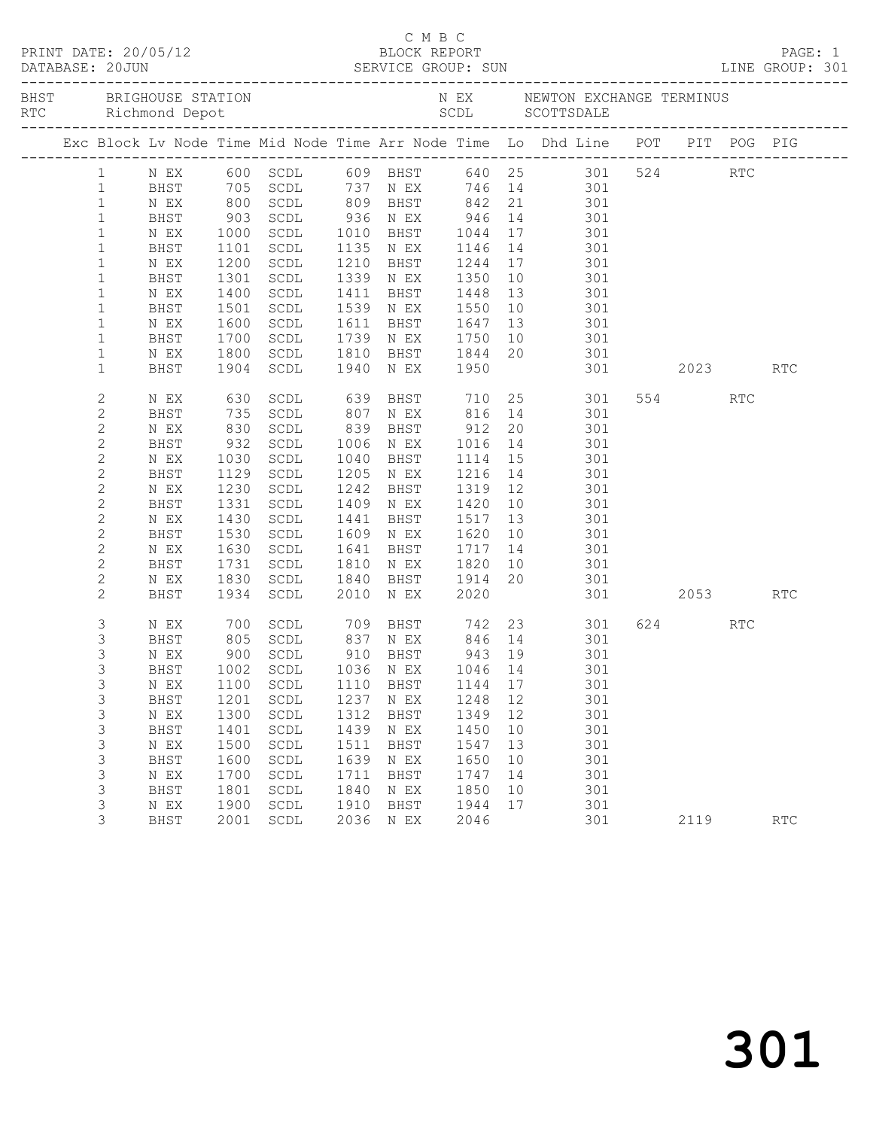|                |             |                     | BHST BRIGHOUSE STATION           |      |                                                             |         |    | N EX MEWTON EXCHANGE TERMINUS                                                                                       |          |                      |  |
|----------------|-------------|---------------------|----------------------------------|------|-------------------------------------------------------------|---------|----|---------------------------------------------------------------------------------------------------------------------|----------|----------------------|--|
|                |             |                     |                                  |      |                                                             |         |    | Exc Block Lv Node Time Mid Node Time Arr Node Time Lo Dhd Line POT PIT POG PIG                                      |          |                      |  |
| $\mathbf{1}$   |             |                     |                                  |      |                                                             |         |    | N EX 600 SCDL 609 BHST 640 25 301 524 RTC<br>BHST 705 SCDL 737 N EX 746 14 301<br>N EX 800 SCDL 809 BHST 842 21 301 |          |                      |  |
| $\mathbf{1}$   |             |                     |                                  |      |                                                             |         |    |                                                                                                                     |          |                      |  |
| $\mathbf{1}$   |             |                     |                                  |      |                                                             |         |    |                                                                                                                     |          |                      |  |
| $\mathbf{1}$   | BHST        | 903                 |                                  |      |                                                             |         |    | SCDL 936 N EX 946 14 301<br>SCDL 1010 BHST 1044 17 301<br>SCDL 1135 N EX 1146 14 301                                |          |                      |  |
| $\mathbf{1}$   | N EX        | 1000<br>1101        |                                  |      |                                                             |         |    |                                                                                                                     |          |                      |  |
| $1\,$          | BHST        |                     |                                  |      |                                                             |         |    |                                                                                                                     |          |                      |  |
| $\mathbf{1}$   | N EX        | 1200                | SCDL                             |      |                                                             |         |    | 1210 BHST 1244 17 301                                                                                               |          |                      |  |
| $1\,$          | BHST        | 1301                | SCDL                             |      | 1339 N EX 1350                                              |         | 10 | 301                                                                                                                 |          |                      |  |
| $\mathbf{1}$   | N EX        | 1400<br>1501        | SCDL                             |      | 1411 BHST 1448 13<br>1539 NEX 1550 10                       |         |    | 301<br>$\begin{array}{c} 13 \\ 10 \end{array}$                                                                      |          |                      |  |
| $\mathbf{1}$   | BHST        |                     | SCDL                             |      |                                                             |         |    | 301                                                                                                                 |          |                      |  |
| $\mathbf{1}$   | N EX        | 1600                | SCDL                             |      | 1611 BHST 1647                                              |         |    | 13 301                                                                                                              |          |                      |  |
| $\mathbf 1$    | BHST        | 1700                | SCDL                             |      |                                                             |         |    | 1739 N EX 1750 10 301                                                                                               |          |                      |  |
| $\mathbf{1}$   | N EX        | 1800                | SCDL                             |      |                                                             |         |    | 1810 BHST 1844 20 301<br>1940 NEX 1950 301                                                                          |          |                      |  |
| $\mathbf{1}$   | BHST        | 1904                | SCDL                             |      |                                                             |         |    | 301 2023                                                                                                            |          | RTC                  |  |
| $\mathbf{2}$   | N EX        | 630                 |                                  |      | 639 DR.J.<br>807 N EX 810<br>839 BHST 912<br>1016 N EX 1016 |         |    | SCDL 639 BHST 710 25 301                                                                                            | 554 RTC  |                      |  |
| $\mathbf{2}$   | BHST        |                     | SCDL                             |      |                                                             |         |    | 816 14 301                                                                                                          |          |                      |  |
| $\mathbf{2}$   | N EX        |                     | SCDL                             |      |                                                             |         | 20 | 301                                                                                                                 |          |                      |  |
| $\mathbf{2}$   | BHST        | 735<br>830<br>932   | SCDL                             |      |                                                             |         |    | 20 301<br>14 301                                                                                                    |          |                      |  |
| $\mathbf{2}$   | N EX        | 1030                | SCDL                             |      | 1040 BHST                                                   | 1114 15 |    | 301                                                                                                                 |          |                      |  |
| $\mathbf{2}$   | BHST        | 1129                | SCDL                             |      | 1205 N EX                                                   | 1216    | 14 | 301                                                                                                                 |          |                      |  |
| $\mathbf{2}$   | N EX        | $\frac{1230}{1331}$ | SCDL                             |      | 1242 BHST                                                   | 1319 12 |    | 301                                                                                                                 |          |                      |  |
| $\mathbf{2}$   | BHST        | 1331                | SCDL                             |      | 1409 N EX                                                   | 1420    | 10 | 301                                                                                                                 |          |                      |  |
| $\mathbf{2}$   | N EX        | 1430                | SCDL                             | 1441 | BHST 1517                                                   |         | 13 | 301                                                                                                                 |          |                      |  |
| $\mathbf{2}$   | BHST        | 1530                | SCDL                             |      | 1609 N EX                                                   | 1620    | 10 | 301                                                                                                                 |          |                      |  |
| $\mathbf{2}$   | N EX        | 1630<br>1731        | SCDL                             |      | 1641 BHST                                                   | 1717    |    | $\begin{array}{c} 14 \\ 10 \end{array}$<br>301                                                                      |          |                      |  |
| $\mathbf{2}$   | BHST        |                     | SCDL                             |      | 1810 N EX                                                   | 1820    |    | 301                                                                                                                 |          |                      |  |
| $\mathbf{2}$   | N EX        | 1830                | SCDL                             |      | 1840 BHST 1914                                              |         | 20 | 301                                                                                                                 |          |                      |  |
| 2              | BHST        | 1934                | SCDL                             | 2010 | N EX                                                        | 2020    |    |                                                                                                                     | 301 2053 | <b>RTC</b>           |  |
| $\mathfrak{Z}$ | N EX        |                     |                                  |      |                                                             |         |    | 700 SCDL 709 BHST 742 23 301<br>805 SCDL 837 NEX 846 14 301                                                         | 624 RTC  |                      |  |
| 3              | BHST        |                     |                                  |      |                                                             |         |    |                                                                                                                     |          |                      |  |
| 3              | N EX        |                     | 900 SCDL                         |      | 910 BHST 943 19                                             |         |    | 301                                                                                                                 |          |                      |  |
| $\mathfrak{Z}$ |             |                     | BHST 1002 SCDL 1036 N EX 1046 14 |      |                                                             |         |    | 301                                                                                                                 |          |                      |  |
| 3              | N EX        | 1100                | SCDL                             | 1110 | <b>BHST</b>                                                 | 1144    | 17 | 301                                                                                                                 |          |                      |  |
| 3              | BHST        | 1201                | $\operatorname{\mathsf{SCDL}}$   | 1237 | N EX                                                        | 1248    | 12 | 301                                                                                                                 |          |                      |  |
| 3              | N EX        | 1300                | $\operatorname{\mathsf{SCDL}}$   | 1312 | <b>BHST</b>                                                 | 1349    | 12 | 301                                                                                                                 |          |                      |  |
| 3              | <b>BHST</b> | 1401                | $\operatorname{\mathsf{SCDL}}$   | 1439 | N EX                                                        | 1450    | 10 | 301                                                                                                                 |          |                      |  |
| 3              | N EX        | 1500                | $\operatorname{\mathsf{SCDL}}$   | 1511 | <b>BHST</b>                                                 | 1547    | 13 | 301                                                                                                                 |          |                      |  |
| 3              | <b>BHST</b> | 1600                | $\operatorname{\mathsf{SCDL}}$   | 1639 | N EX                                                        | 1650    | 10 | 301                                                                                                                 |          |                      |  |
| 3              | N EX        | 1700                | SCDL                             | 1711 | <b>BHST</b>                                                 | 1747    | 14 | 301                                                                                                                 |          |                      |  |
| 3              | <b>BHST</b> | 1801                | $\operatorname{\mathsf{SCDL}}$   | 1840 | N EX                                                        | 1850    | 10 | 301                                                                                                                 |          |                      |  |
| 3              | N EX        | 1900                | SCDL                             | 1910 | <b>BHST</b>                                                 | 1944    | 17 | 301                                                                                                                 |          |                      |  |
| 3              | <b>BHST</b> | 2001                | $\operatorname{\mathsf{SCDL}}$   | 2036 | N EX                                                        | 2046    |    | 301                                                                                                                 | 2119     | $\operatorname{RTC}$ |  |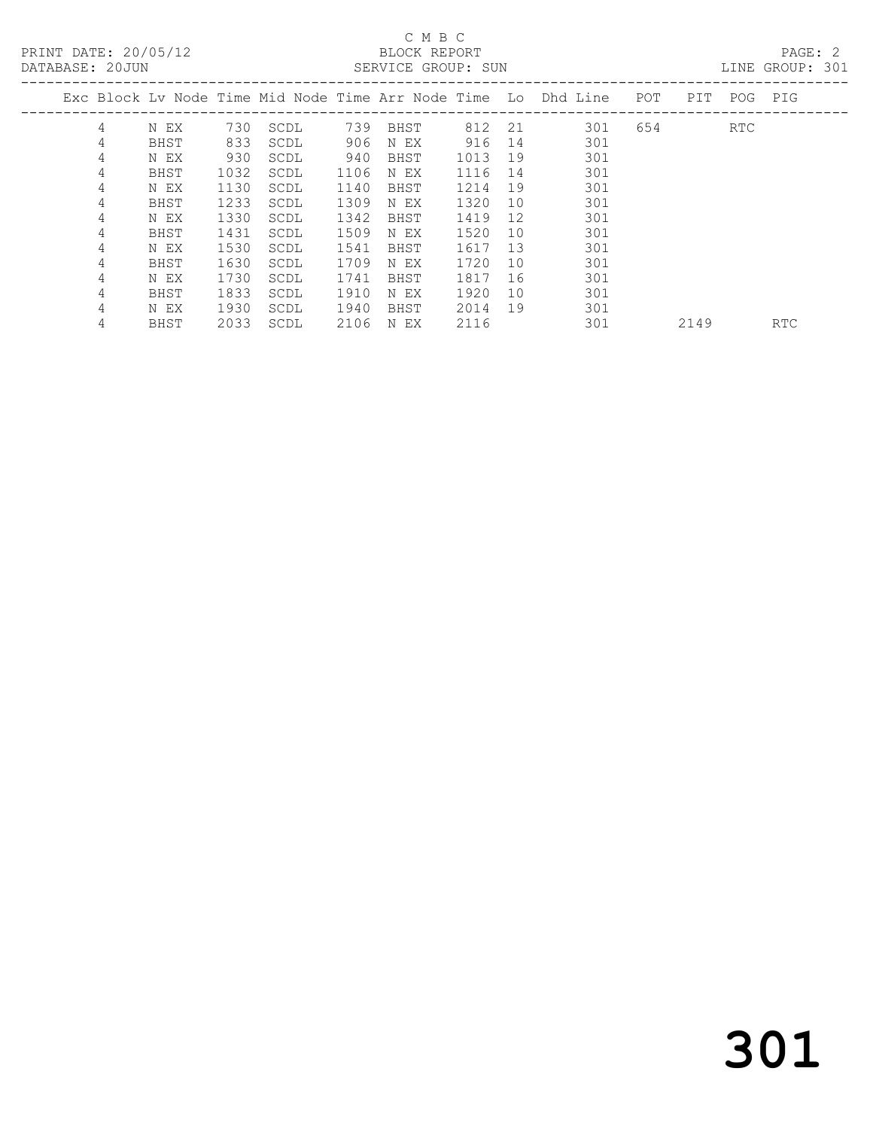PRINT DATE: 20/05/12 BLOCK REPORT<br>DATABASE: 20JUN SERVICE GROUP: SUN

## C M B C<br>BLOCK REPORT

PAGE: 2<br>LINE GROUP: 301

|   |      |      |      |      |      |      |     | Exc Block Ly Node Time Mid Node Time Arr Node Time Lo Dhd Line | POT | PIT  | POG PIG |            |
|---|------|------|------|------|------|------|-----|----------------------------------------------------------------|-----|------|---------|------------|
| 4 | N EX | 730  | SCDL | 739  | BHST | 812  | -21 | 301                                                            | 654 |      | RTC     |            |
| 4 | BHST | 833  | SCDL | 906  | N EX | 916  | 14  | 301                                                            |     |      |         |            |
| 4 | N EX | 930  | SCDL | 940  | BHST | 1013 | 19  | 301                                                            |     |      |         |            |
| 4 | BHST | 1032 | SCDL | 1106 | N EX | 1116 | 14  | 301                                                            |     |      |         |            |
| 4 | N EX | 1130 | SCDL | 1140 | BHST | 1214 | 19  | 301                                                            |     |      |         |            |
| 4 | BHST | 1233 | SCDL | 1309 | N EX | 1320 | 10  | 301                                                            |     |      |         |            |
| 4 | N EX | 1330 | SCDL | 1342 | BHST | 1419 | 12  | 301                                                            |     |      |         |            |
| 4 | BHST | 1431 | SCDL | 1509 | N EX | 1520 | 10  | 301                                                            |     |      |         |            |
| 4 | N EX | 1530 | SCDL | 1541 | BHST | 1617 | 13  | 301                                                            |     |      |         |            |
| 4 | BHST | 1630 | SCDL | 1709 | N EX | 1720 | 10  | 301                                                            |     |      |         |            |
| 4 | N EX | 1730 | SCDL | 1741 | BHST | 1817 | 16  | 301                                                            |     |      |         |            |
| 4 | BHST | 1833 | SCDL | 1910 | N EX | 1920 | 10  | 301                                                            |     |      |         |            |
| 4 | N EX | 1930 | SCDL | 1940 | BHST | 2014 | 19  | 301                                                            |     |      |         |            |
| 4 | BHST | 2033 | SCDL | 2106 | N EX | 2116 |     | 301                                                            |     | 2149 |         | <b>RTC</b> |
|   |      |      |      |      |      |      |     |                                                                |     |      |         |            |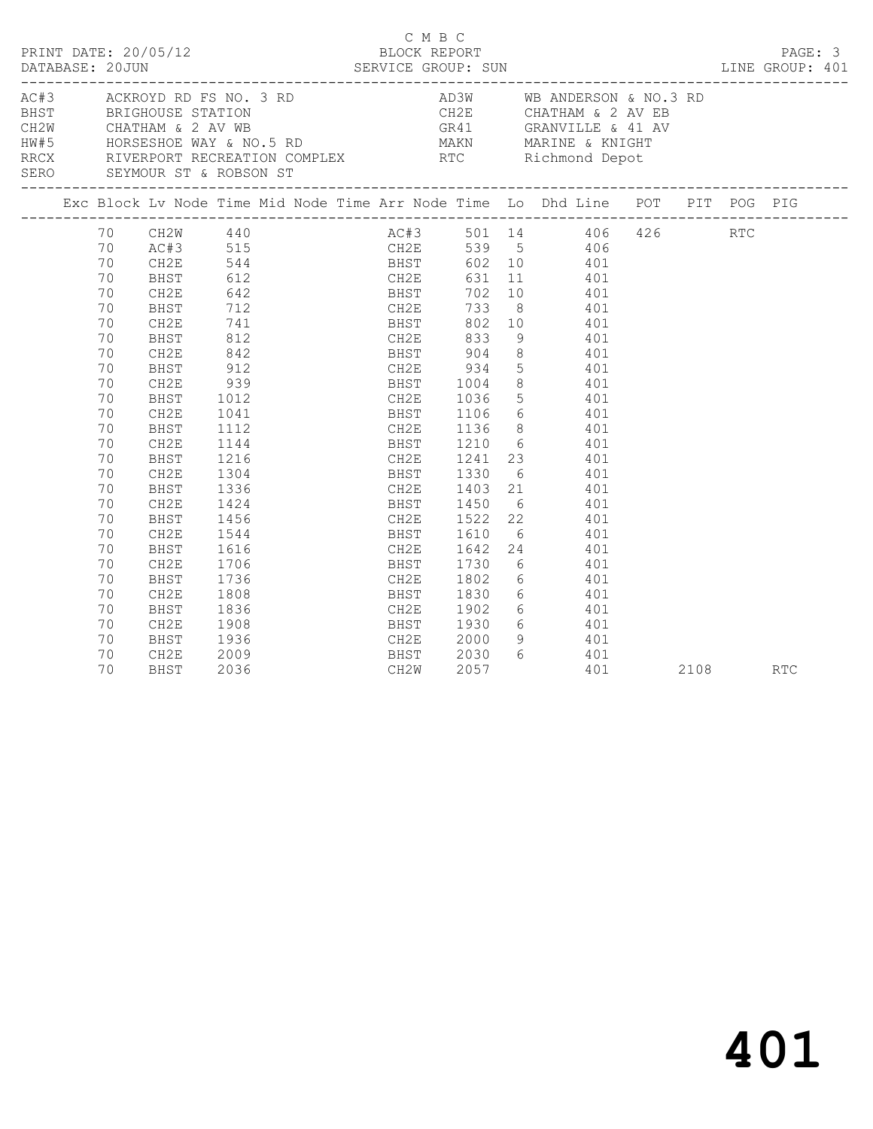| PRINT DATE: 20/05/12                                       |                                                                                                                                                                            |                                                                                                                                                                                                                           |                                                                                                                                    |                                                                                                  |  | C M B C | BLOCK REPORT                                     | DATABASE: 20JUN SERVICE GROUP: SUN LINE GROUP: 401                                                                                                                                                                                                                                                                                                                                                                                                                                                                                                                                                                                                      |  |          | PAGE: 3 |
|------------------------------------------------------------|----------------------------------------------------------------------------------------------------------------------------------------------------------------------------|---------------------------------------------------------------------------------------------------------------------------------------------------------------------------------------------------------------------------|------------------------------------------------------------------------------------------------------------------------------------|--------------------------------------------------------------------------------------------------|--|---------|--------------------------------------------------|---------------------------------------------------------------------------------------------------------------------------------------------------------------------------------------------------------------------------------------------------------------------------------------------------------------------------------------------------------------------------------------------------------------------------------------------------------------------------------------------------------------------------------------------------------------------------------------------------------------------------------------------------------|--|----------|---------|
| AC#3 ACKROYD RD FS NO. 3 RD<br>SERO SEYMOUR ST & ROBSON ST |                                                                                                                                                                            |                                                                                                                                                                                                                           |                                                                                                                                    |                                                                                                  |  |         |                                                  | AD3W WB ANDERSON & NO.3 RD<br>BHST BRIGHOUSE STATION<br>CHATHAM & 2 AV WB<br>HORSESHOE WAY & NO.5 RD MAKN MARINE & KNIGHT<br>RRCX RIVERPORT RECREATION COMPLEX RTC Richmond Depot                                                                                                                                                                                                                                                                                                                                                                                                                                                                       |  |          |         |
|                                                            |                                                                                                                                                                            |                                                                                                                                                                                                                           |                                                                                                                                    |                                                                                                  |  |         |                                                  | Exc Block Lv Node Time Mid Node Time Arr Node Time Lo Dhd Line POT PIT POG PIG                                                                                                                                                                                                                                                                                                                                                                                                                                                                                                                                                                          |  |          |         |
|                                                            | 70<br>70<br>70<br>70<br>70<br>70<br>70<br>70<br>70<br>70<br>70<br>70<br>70<br>70<br>70<br>70<br>70<br>70<br>70<br>70<br>70<br>70<br>70<br>70<br>70<br>70<br>70<br>70<br>70 | $CH2W$ 440<br>CH2E<br>BHST<br>CH2E<br><b>BHST</b><br>CH2E<br>BHST<br>CH2E<br>BHST<br>CH2E<br>BHST<br>CH2E<br>BHST<br>CH2E<br>BHST<br>CH2E<br>BHST<br>CH2E<br>BHST<br>CH2E<br>BHST<br>CH2E<br>BHST<br>CH2E<br>BHST<br>CH2E | 642<br>842<br>1012<br>1041<br>1112<br>1216<br>1304<br>1456<br>1544<br>1616<br>1706<br>1736<br>1808<br>1836<br>1908<br>1936<br>2009 | 712 CH2E 733<br>741 BHST 802<br>812 CH2E 833<br>$912$<br>939<br>$1112$<br>$1144$<br>1336<br>1424 |  |         | BHST 1830<br>CH2E 1902<br>BHST 1930<br>CH2E 2000 | AC#3 501 14 406 426 RTC<br>AC#3 515 CH2E 539 5 406<br>CH2E 544 BHST 602 10 401<br>BHST 612 CH2E 631 11 401<br>CH2E 539 5 406<br>BHST 602 10 401<br>BHST 702 10 401<br>CH2E 733 8 401<br>BHST 802 10 401<br>9 401<br>BHST 904 8 401<br>CH2E 934 5 401<br>BHST 1004 8 401<br>CH2E 1036 5 401<br>BHST 1106 6 401<br>CH2E 1136 8 401<br>BHST 1210 6 401<br>CH2E 1241 23 401<br>BHST 1330 6 401<br>CH2E 1403 21 401<br>BHST 1450 6 401<br>CH2E 1522 22 401<br>BHST 1610 6 401<br>CH2E 1642 24 401<br>BHST 1730 6 401<br>CH2E 1802 6 401<br>$6$ $401$<br>$6$ $401$<br>$\begin{matrix} 6 & 101 \end{matrix}$<br>9 401<br>$\begin{matrix} 6 & 401 \end{matrix}$ |  |          |         |
|                                                            | 70                                                                                                                                                                         | BHST                                                                                                                                                                                                                      | 2036                                                                                                                               |                                                                                                  |  |         | BHST 2030<br>CH2W 2057                           | 401                                                                                                                                                                                                                                                                                                                                                                                                                                                                                                                                                                                                                                                     |  | 2108 RTC |         |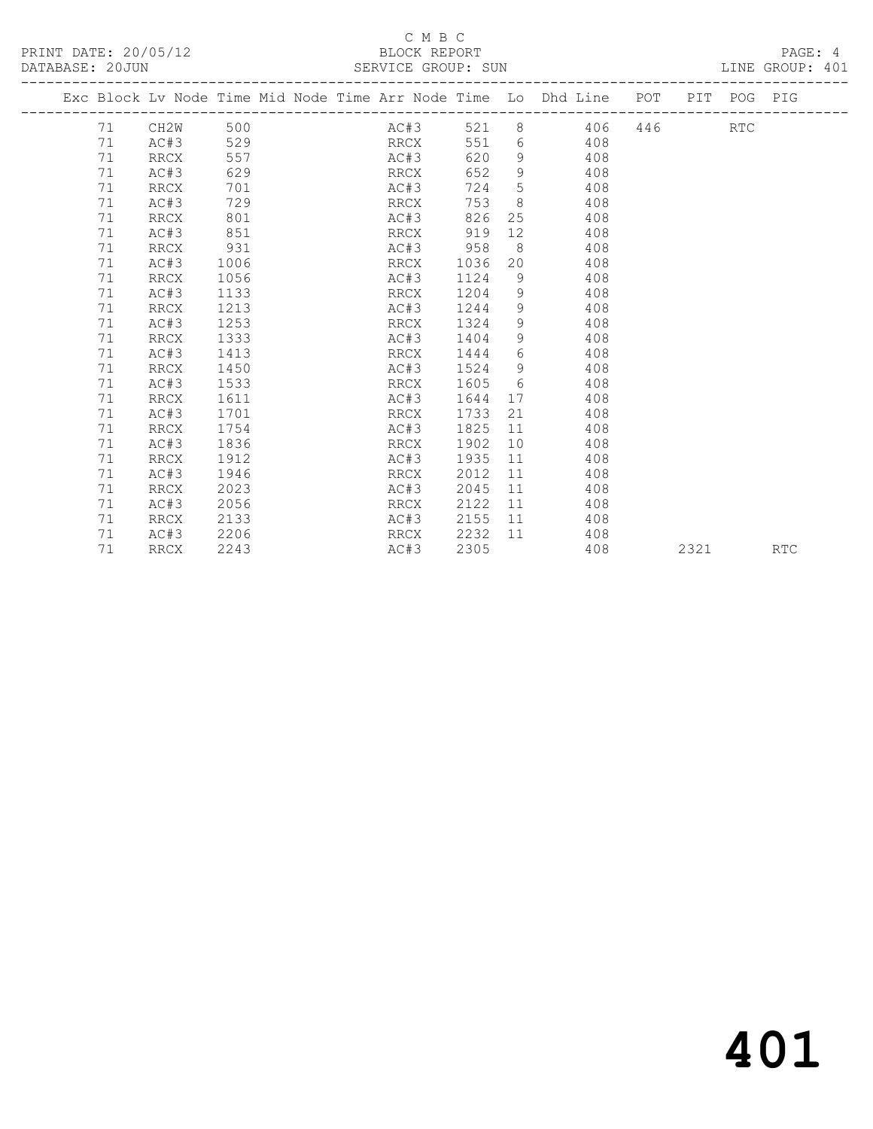### C M B C<br>BLOCK REPORT SERVICE GROUP: SUN

|  |    | Exc Block Lv Node Time Mid Node Time Arr Node Time Lo Dhd Line POT PIT POG PIG |      |  |      |      |          |                |                                |     |     |            |  |
|--|----|--------------------------------------------------------------------------------|------|--|------|------|----------|----------------|--------------------------------|-----|-----|------------|--|
|  | 71 | CH2W                                                                           | 500  |  |      | AC#3 |          |                | 521 8 406                      |     | 446 | <b>RTC</b> |  |
|  | 71 | AC#3                                                                           | 529  |  |      | RRCX | 551      |                | 6 408                          |     |     |            |  |
|  | 71 | <b>RRCX</b>                                                                    | 557  |  |      | AC#3 | 620      | 9              |                                | 408 |     |            |  |
|  | 71 | AC#3                                                                           | 629  |  |      | RRCX | 652      | 9              |                                | 408 |     |            |  |
|  | 71 | RRCX                                                                           | 701  |  |      | AC#3 | 724      | 5 <sup>5</sup> |                                | 408 |     |            |  |
|  | 71 | AC#3                                                                           | 729  |  | RRCX |      | 753      | 8              |                                | 408 |     |            |  |
|  | 71 | RRCX                                                                           | 801  |  | AC#3 |      | 826      |                | 25                             | 408 |     |            |  |
|  | 71 | AC#3                                                                           | 851  |  | RRCX |      | 919      | 12             |                                | 408 |     |            |  |
|  | 71 | RRCX                                                                           | 931  |  |      |      | AC#3 958 |                | $8 \overline{)}$               | 408 |     |            |  |
|  | 71 | AC#3                                                                           | 1006 |  | RRCX |      | 1036     | 20             |                                | 408 |     |            |  |
|  | 71 | RRCX                                                                           | 1056 |  | AC#3 |      | 1124     | 9              |                                | 408 |     |            |  |
|  | 71 | AC#3                                                                           | 1133 |  | RRCX |      | 1204     | 9              |                                | 408 |     |            |  |
|  | 71 | RRCX                                                                           | 1213 |  | AC#3 |      | 1244     |                | $9 \left( \frac{1}{2} \right)$ | 408 |     |            |  |
|  | 71 | AC#3                                                                           | 1253 |  | RRCX |      | 1324     | 9              |                                | 408 |     |            |  |
|  | 71 | <b>RRCX</b>                                                                    | 1333 |  | AC#3 |      | 1404     | 9              |                                | 408 |     |            |  |
|  | 71 | AC#3                                                                           | 1413 |  | RRCX |      | 1444     | 6              |                                | 408 |     |            |  |
|  | 71 | RRCX                                                                           | 1450 |  | AC#3 |      | 1524     | 9              |                                | 408 |     |            |  |
|  | 71 | AC#3                                                                           | 1533 |  | RRCX |      | 1605     |                | $6 \quad \text{or}$            | 408 |     |            |  |
|  | 71 | RRCX                                                                           | 1611 |  | AC#3 |      | 1644     |                | 17                             | 408 |     |            |  |
|  | 71 | AC#3                                                                           | 1701 |  | RRCX |      | 1733     | 21             |                                | 408 |     |            |  |
|  | 71 | RRCX                                                                           | 1754 |  | AC#3 |      | 1825     | 11             |                                | 408 |     |            |  |
|  | 71 | AC#3                                                                           | 1836 |  | RRCX |      | 1902     | 10             |                                | 408 |     |            |  |
|  | 71 | RRCX                                                                           | 1912 |  | AC#3 |      | 1935     | 11             |                                | 408 |     |            |  |
|  | 71 | AC#3                                                                           | 1946 |  | RRCX |      | 2012     | 11             |                                | 408 |     |            |  |
|  | 71 | RRCX                                                                           | 2023 |  | AC#3 |      | 2045     | 11             |                                | 408 |     |            |  |
|  | 71 | AC#3                                                                           | 2056 |  | RRCX |      | 2122     | 11             |                                | 408 |     |            |  |
|  | 71 | RRCX                                                                           | 2133 |  | AC#3 |      | 2155     | 11             |                                | 408 |     |            |  |
|  | 71 | AC#3                                                                           | 2206 |  | RRCX |      | 2232 11  |                |                                | 408 |     |            |  |

71 RRCX 2243 AC#3 2305 408 2321 RTC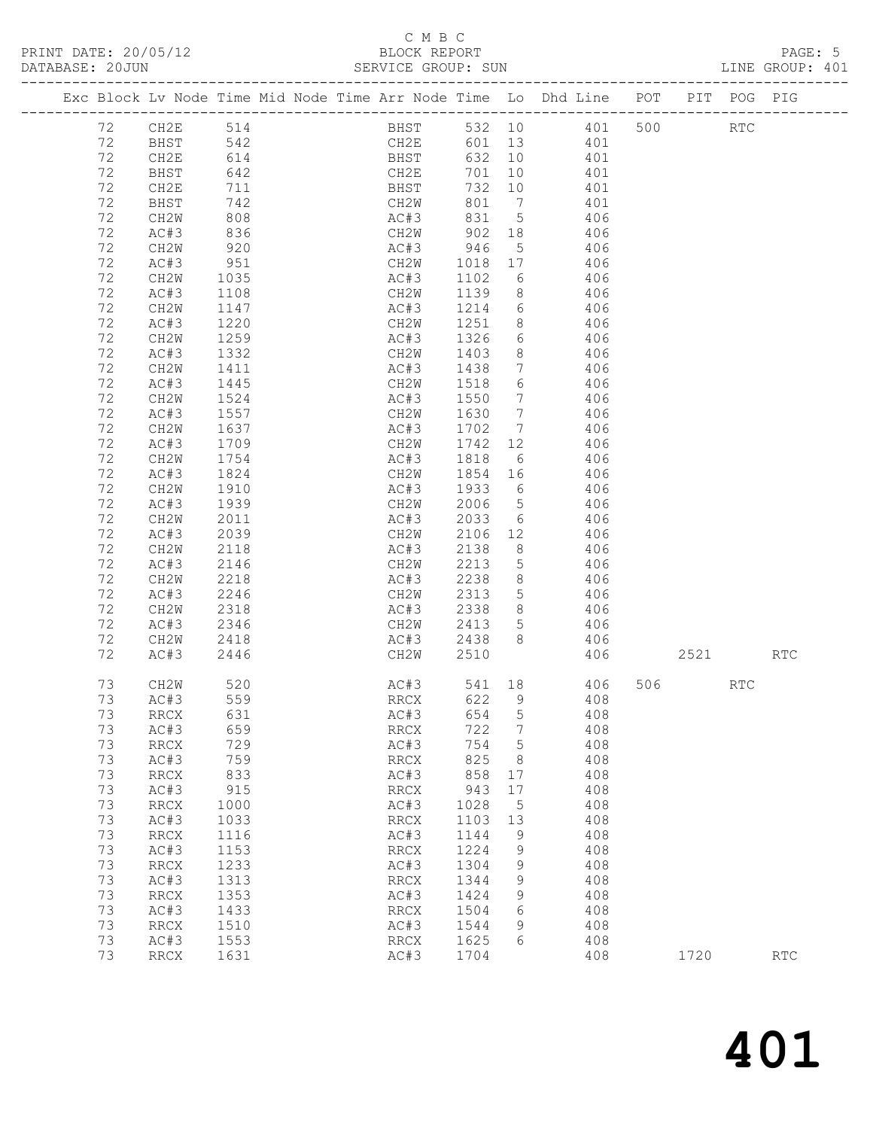| PRINT DATE: 20/05/12 | BLOCK REPORT       | PAGE: 5         |
|----------------------|--------------------|-----------------|
| DATABASE: 20JUN      | SERVICE GROUP: SUN | LINE GROUP: 401 |

|    |    | Exc Block Lv Node Time Mid Node Time Arr Node Time Lo Dhd Line POT PIT POG PIG |            |                      |  |             |             |                  |                 |            |            |     |         |            |                      |
|----|----|--------------------------------------------------------------------------------|------------|----------------------|--|-------------|-------------|------------------|-----------------|------------|------------|-----|---------|------------|----------------------|
|    | 72 | CH2E                                                                           | 514        |                      |  |             | <b>BHST</b> |                  |                 |            | 532 10 401 | 500 |         | <b>RTC</b> |                      |
|    | 72 | <b>BHST</b>                                                                    | 542        |                      |  |             | CH2E        |                  |                 | 601 13 401 |            |     |         |            |                      |
| 72 |    | CH2E                                                                           | 614        | $\frac{2}{\sqrt{2}}$ |  |             | BHST        | 632 10           |                 | 401        |            |     |         |            |                      |
| 72 |    | BHST                                                                           | 642        |                      |  | CH2E        |             | 701              | 10              |            | 401        |     |         |            |                      |
| 72 |    | CH2E                                                                           | 711        |                      |  | BHST        |             | 732 10           |                 |            | 401        |     |         |            |                      |
| 72 |    | BHST                                                                           | 742        |                      |  | CH2W        |             | 801              | $\overline{7}$  |            | 401        |     |         |            |                      |
| 72 |    | CH2W                                                                           | 808        |                      |  | AC#3        |             | 831              | $5\overline{)}$ |            | 406        |     |         |            |                      |
| 72 |    | AC#3                                                                           | 836        |                      |  | CH2W        |             | 902              | 18              |            | 406        |     |         |            |                      |
| 72 |    | CH2W                                                                           |            |                      |  | AC#3        |             |                  | 5 <sup>5</sup>  |            | 406        |     |         |            |                      |
| 72 |    | AC#3                                                                           | 920<br>951 |                      |  | CH2W        |             | 946 5<br>1018 17 |                 |            | 406        |     |         |            |                      |
| 72 |    | CH2W                                                                           | 1035       |                      |  | AC#3        |             | 1102             | 6               |            | 406        |     |         |            |                      |
| 72 |    | AC#3                                                                           | 1108       |                      |  | CH2W        |             | 1139             | 8 <sup>8</sup>  |            | 406        |     |         |            |                      |
| 72 |    | CH2W                                                                           | 1147       |                      |  | AC#3        |             | 1214             | 6               |            | 406        |     |         |            |                      |
| 72 |    | AC#3                                                                           | 1220       |                      |  | CH2W        |             | 1251             | 8 <sup>8</sup>  |            | 406        |     |         |            |                      |
| 72 |    | CH2W                                                                           | 1259       |                      |  | AC#3        |             | 1326             | 6               |            | 406        |     |         |            |                      |
| 72 |    | AC#3                                                                           | 1332       |                      |  | CH2W        |             | 1403             | 8 <sup>8</sup>  |            | 406        |     |         |            |                      |
| 72 |    | CH2W                                                                           | 1411       |                      |  | AC#3        |             |                  | $\overline{7}$  |            | 406        |     |         |            |                      |
| 72 |    | AC#3                                                                           | 1445       |                      |  | CH2W        |             | 1438<br>1518     | 6               |            | 406        |     |         |            |                      |
| 72 |    | CH2W                                                                           | 1524       |                      |  | AC#3        |             | 1550             | $7\phantom{0}$  |            | 406        |     |         |            |                      |
| 72 |    | AC#3                                                                           | 1557       |                      |  | CH2W        |             | 1630             | $\overline{7}$  |            | 406        |     |         |            |                      |
| 72 |    | CH2W                                                                           | 1637       |                      |  | AC#3        |             | 1702             | $\overline{7}$  |            | 406        |     |         |            |                      |
| 72 |    | AC#3                                                                           | 1709       |                      |  | CH2W        |             | 1742             | 12              |            | 406        |     |         |            |                      |
| 72 |    | CH2W                                                                           | 1754       |                      |  | AC#3        |             | 1818             | $6\overline{6}$ |            | 406        |     |         |            |                      |
| 72 |    | AC#3                                                                           | 1824       |                      |  | CH2W        |             | 1854 16          |                 |            | 406        |     |         |            |                      |
| 72 |    | CH2W                                                                           | 1910       |                      |  | AC#3        |             |                  |                 |            | 406        |     |         |            |                      |
| 72 |    | AC#3                                                                           | 1939       |                      |  | CH2W        |             | 1933 6<br>2006 5 |                 |            | 406        |     |         |            |                      |
| 72 |    | CH2W                                                                           | 2011       |                      |  | AC#3        |             | 2033             | 6               |            | 406        |     |         |            |                      |
| 72 |    | AC#3                                                                           | 2039       |                      |  | CH2W        |             | 2106 12          |                 |            | 406        |     |         |            |                      |
| 72 |    | CH2W                                                                           | 2118       |                      |  | AC#3        |             | 2138             | 8               |            | 406        |     |         |            |                      |
| 72 |    | AC#3                                                                           | 2146       |                      |  | CH2W        |             | 2213             | $5\overline{)}$ |            | 406        |     |         |            |                      |
| 72 |    | CH2W                                                                           | 2218       |                      |  | AC#3        |             | 2238             | 8 <sup>8</sup>  |            | 406        |     |         |            |                      |
| 72 |    | AC#3                                                                           | 2246       |                      |  | CH2W        |             | 2313             | $5^{\circ}$     |            | 406        |     |         |            |                      |
| 72 |    | CH2W                                                                           | 2318       |                      |  | AC#3        |             | 2338             | 8 <sup>8</sup>  |            | 406        |     |         |            |                      |
| 72 |    | AC#3                                                                           | 2346       |                      |  | CH2W        |             | 2413<br>2438     | $5^{\circ}$     |            | 406        |     |         |            |                      |
| 72 |    | CH2W                                                                           | 2418       |                      |  | AC#3        |             |                  | 8 <sup>8</sup>  |            | 406        |     |         |            |                      |
| 72 |    | AC#3                                                                           | 2446       |                      |  | CH2W        |             | 2510             |                 |            |            | 406 | 2521    |            | $\operatorname{RTC}$ |
| 73 |    | CH2W                                                                           | 520        |                      |  |             | AC#3        |                  | 541 18          |            | 406        |     | 506 700 | RTC        |                      |
| 73 |    | AC#3                                                                           | 559        |                      |  | RRCX        |             | 622 9            |                 |            | 408        |     |         |            |                      |
|    |    | 73 RRCX 631                                                                    |            |                      |  |             |             | AC#3 654 5       |                 |            | 408        |     |         |            |                      |
| 73 |    | AC#3                                                                           | 659        |                      |  | <b>RRCX</b> |             | 722              | $7\phantom{.0}$ |            | 408        |     |         |            |                      |
| 73 |    | RRCX                                                                           | 729        |                      |  | AC#3        |             | 754              | $5\overline{)}$ |            | 408        |     |         |            |                      |
| 73 |    | AC#3                                                                           | 759        |                      |  | RRCX        |             | 825              | 8               |            | 408        |     |         |            |                      |
| 73 |    | RRCX                                                                           | 833        |                      |  | AC#3        |             | 858              | 17              |            | 408        |     |         |            |                      |
| 73 |    | AC#3                                                                           | 915        |                      |  | RRCX        |             | 943              | 17              |            | 408        |     |         |            |                      |
| 73 |    | <b>RRCX</b>                                                                    | 1000       |                      |  | AC#3        |             | 1028             | $5\phantom{0}$  |            | 408        |     |         |            |                      |
| 73 |    | AC#3                                                                           | 1033       |                      |  | RRCX        |             | 1103             | 13              |            | 408        |     |         |            |                      |
| 73 |    | RRCX                                                                           | 1116       |                      |  | AC#3        |             | 1144             | 9               |            | 408        |     |         |            |                      |
| 73 |    | AC#3                                                                           | 1153       |                      |  | RRCX        |             | 1224             | 9               |            | 408        |     |         |            |                      |
| 73 |    | <b>RRCX</b>                                                                    | 1233       |                      |  | AC#3        |             | 1304             | 9               |            | 408        |     |         |            |                      |
| 73 |    | AC#3                                                                           | 1313       |                      |  | RRCX        |             | 1344             | 9               |            | 408        |     |         |            |                      |
| 73 |    | RRCX                                                                           | 1353       |                      |  | AC#3        |             | 1424             | 9               |            | 408        |     |         |            |                      |
| 73 |    | AC#3                                                                           | 1433       |                      |  | RRCX        |             | 1504             | 6               |            | 408        |     |         |            |                      |
| 73 |    | <b>RRCX</b>                                                                    | 1510       |                      |  | AC#3        |             | 1544             | 9<br>6          |            | 408        |     |         |            |                      |
| 73 |    | AC#3                                                                           | 1553       |                      |  | RRCX        |             | 1625             |                 |            | 408        |     |         |            |                      |
| 73 |    | RRCX                                                                           | 1631       |                      |  | AC#3        |             | 1704             |                 |            | 408        |     | 1720    |            | $\operatorname{RTC}$ |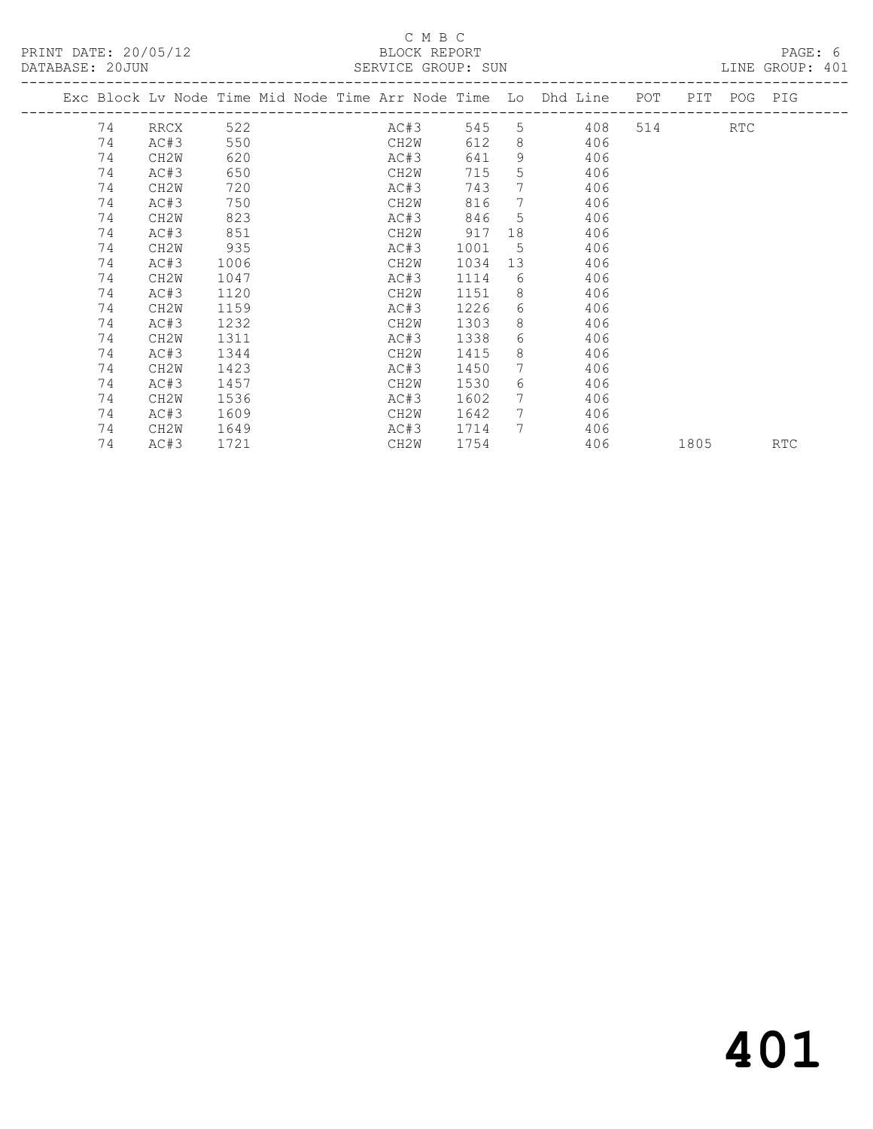|    |                   |      |  | AULTRATION CITY OF A DOM |      |                 |                                                                    |        |             |            |
|----|-------------------|------|--|--------------------------|------|-----------------|--------------------------------------------------------------------|--------|-------------|------------|
|    |                   |      |  |                          |      |                 | Exc Block Lv Node Time Mid Node Time Arr Node Time Lo Dhd Line POT |        | PIT POG PIG |            |
| 74 | RRCX 522          |      |  | AC#3                     | 545  |                 | 408                                                                | 514 31 | RTC         |            |
| 74 | AC#3              | 550  |  | CH2W                     | 612  | 8               | 406                                                                |        |             |            |
| 74 | CH2W              | 620  |  | AC#3                     | 641  | 9               | 406                                                                |        |             |            |
| 74 | AC#3              | 650  |  | CH2W                     | 715  | 5               | 406                                                                |        |             |            |
| 74 | CH <sub>2</sub> W | 720  |  | AC#3                     | 743  | $7^{\circ}$     | 406                                                                |        |             |            |
| 74 | AC#3              | 750  |  | CH2W                     | 816  | $7\phantom{.0}$ | 406                                                                |        |             |            |
| 74 | CH2W              | 823  |  | AC#3                     | 846  |                 | $5^{\circ}$<br>406                                                 |        |             |            |
| 74 | AC#3              | 851  |  | CH2W                     | 917  | 18              | 406                                                                |        |             |            |
| 74 | CH2W              | 935  |  | AC#3                     | 1001 | 5 <sup>5</sup>  | 406                                                                |        |             |            |
| 74 | AC#3              | 1006 |  | CH2W                     | 1034 | 13 <sup>°</sup> | 406                                                                |        |             |            |
| 74 | CH2W              | 1047 |  | AC#3                     | 1114 | 6               | 406                                                                |        |             |            |
| 74 | AC#3              | 1120 |  | CH2W                     | 1151 | 8               | 406                                                                |        |             |            |
| 74 | CH2W              | 1159 |  | AC#3                     | 1226 | 6               | 406                                                                |        |             |            |
| 74 | AC#3              | 1232 |  | CH2W                     | 1303 | 8               | 406                                                                |        |             |            |
| 74 | CH2W              | 1311 |  | AC#3                     | 1338 | 6               | 406                                                                |        |             |            |
| 74 | AC#3              | 1344 |  | CH2W                     | 1415 | 8               | 406                                                                |        |             |            |
| 74 | CH <sub>2</sub> W | 1423 |  | AC#3                     | 1450 | 7               | 406                                                                |        |             |            |
| 74 | AC#3              | 1457 |  | CH2W                     | 1530 | 6               | 406                                                                |        |             |            |
| 74 | CH <sub>2</sub> W | 1536 |  | AC#3                     | 1602 | $7\phantom{.0}$ | 406                                                                |        |             |            |
| 74 | AC#3              | 1609 |  | CH2W                     | 1642 |                 | 7<br>406                                                           |        |             |            |
| 74 | CH2W              | 1649 |  | AC#3                     | 1714 | 7               | 406                                                                |        |             |            |
| 74 | AC#3              | 1721 |  | CH2W                     | 1754 |                 | 406                                                                | 1805   |             | <b>RTC</b> |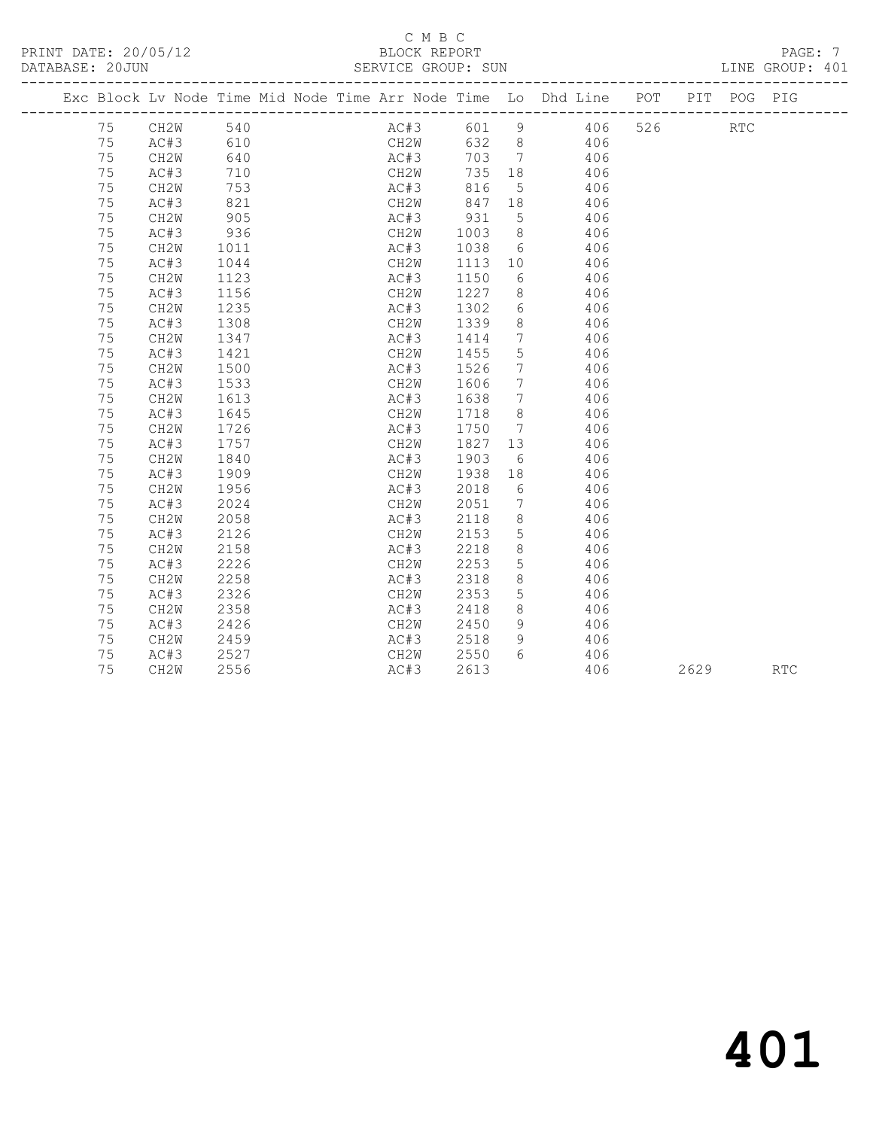|    |      |      |  |      |              |          |                              | Exc Block Lv Node Time Mid Node Time Arr Node Time Lo Dhd Line POT |     | PIT  | POG PIG              |     |
|----|------|------|--|------|--------------|----------|------------------------------|--------------------------------------------------------------------|-----|------|----------------------|-----|
| 75 | CH2W | 540  |  |      | AC#3         |          |                              | 601 9 406                                                          | 526 |      | $\operatorname{RTC}$ |     |
| 75 | AC#3 | 610  |  |      | CH2W         |          |                              | 632 8 406                                                          |     |      |                      |     |
| 75 | CH2W | 640  |  | AC#3 |              | 703      | $7\overline{7}$              | 406                                                                |     |      |                      |     |
| 75 | AC#3 | 710  |  |      | CH2W<br>AC#3 | 735 18   |                              | 406                                                                |     |      |                      |     |
| 75 | CH2W | 753  |  |      |              | 816      | $5^{\circ}$                  | 406                                                                |     |      |                      |     |
| 75 | AC#3 | 821  |  |      | CH2W         | 847 18   |                              | 406                                                                |     |      |                      |     |
| 75 | CH2W | 905  |  |      |              | AC#3 931 | $5^{\circ}$                  | 406                                                                |     |      |                      |     |
| 75 | AC#3 | 936  |  | CH2W |              | 1003     | 8 <sup>8</sup>               | 406                                                                |     |      |                      |     |
| 75 | CH2W | 1011 |  | AC#3 |              | 1038     | 6                            | 406                                                                |     |      |                      |     |
| 75 | AC#3 | 1044 |  | CH2W |              | 1113     | 10                           | 406                                                                |     |      |                      |     |
| 75 | CH2W | 1123 |  | AC#3 |              | 1150     | 6                            | 406                                                                |     |      |                      |     |
| 75 | AC#3 | 1156 |  | CH2W |              | 1227     | 8                            | 406                                                                |     |      |                      |     |
| 75 | CH2W | 1235 |  | AC#3 |              | 1302     | $6\overline{6}$              | 406                                                                |     |      |                      |     |
| 75 | AC#3 | 1308 |  | CH2W |              | 1339     | 8 <sup>8</sup>               | 406                                                                |     |      |                      |     |
| 75 | CH2W | 1347 |  | AC#3 |              | 1414     | $\overline{7}$               | 406                                                                |     |      |                      |     |
| 75 | AC#3 | 1421 |  | CH2W |              | 1455     | 5                            | 406                                                                |     |      |                      |     |
| 75 | CH2W | 1500 |  | AC#3 |              | 1526     | $7\phantom{.0}$              | 406                                                                |     |      |                      |     |
| 75 | AC#3 | 1533 |  | CH2W |              | 1606     | $\overline{7}$               | 406                                                                |     |      |                      |     |
| 75 | CH2W | 1613 |  | AC#3 |              | 1638     | $\overline{7}$               | 406                                                                |     |      |                      |     |
| 75 | AC#3 | 1645 |  | CH2W |              | 1718     | 8                            | 406                                                                |     |      |                      |     |
| 75 | CH2W | 1726 |  | AC#3 |              | 1750     | $7\phantom{.0}\phantom{.0}7$ | 406                                                                |     |      |                      |     |
| 75 | AC#3 | 1757 |  | CH2W |              | 1827     | 13                           | 406                                                                |     |      |                      |     |
| 75 | CH2W | 1840 |  | AC#3 |              | 1903     | 6                            | 406                                                                |     |      |                      |     |
| 75 | AC#3 | 1909 |  | CH2W |              | 1938     | 18                           | 406                                                                |     |      |                      |     |
| 75 | CH2W | 1956 |  | AC#3 |              | 2018     | 6                            | 406                                                                |     |      |                      |     |
| 75 | AC#3 | 2024 |  | CH2W |              | 2051     | $\overline{7}$               | 406                                                                |     |      |                      |     |
| 75 | CH2W | 2058 |  | AC#3 |              | 2118     | 8                            | 406                                                                |     |      |                      |     |
| 75 | AC#3 | 2126 |  | CH2W |              | 2153     | $5\overline{)}$              | 406                                                                |     |      |                      |     |
| 75 | CH2W | 2158 |  | AC#3 |              | 2218     | 8                            | 406                                                                |     |      |                      |     |
| 75 | AC#3 | 2226 |  | CH2W |              | 2253     | $5\phantom{.0}$              | 406                                                                |     |      |                      |     |
| 75 | CH2W | 2258 |  | AC#3 |              | 2318     | 8                            | 406                                                                |     |      |                      |     |
| 75 | AC#3 | 2326 |  | CH2W |              | 2353     | $5\overline{)}$              | 406                                                                |     |      |                      |     |
| 75 | CH2W | 2358 |  | AC#3 |              | 2418     | 8                            | 406                                                                |     |      |                      |     |
| 75 | AC#3 | 2426 |  | CH2W |              | 2450     | 9                            | 406                                                                |     |      |                      |     |
| 75 | CH2W | 2459 |  | AC#3 |              | 2518     | 9                            | 406                                                                |     |      |                      |     |
| 75 | AC#3 | 2527 |  | CH2W |              | 2550     | 6                            | 406                                                                |     |      |                      |     |
| 75 | CH2W | 2556 |  | AC#3 |              | 2613     |                              | 406                                                                |     | 2629 |                      | RTC |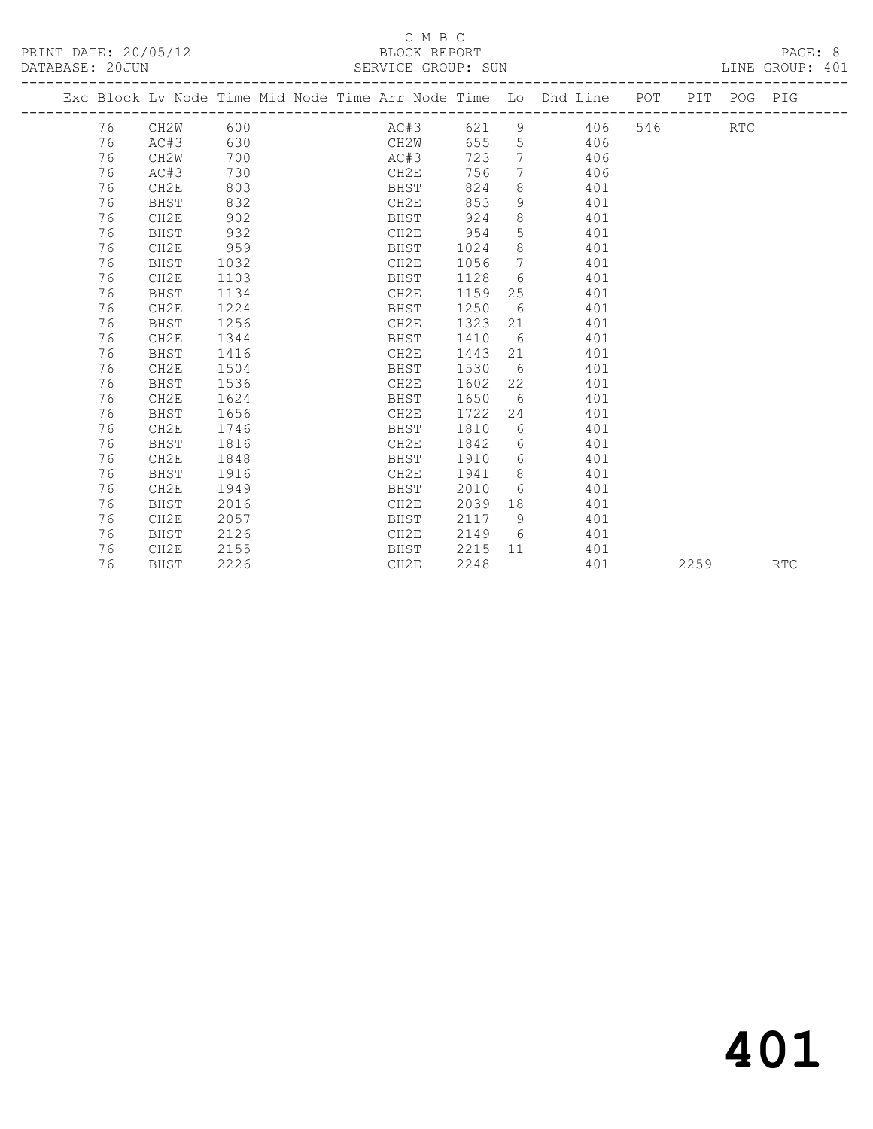#### C M B C<br>BLOCK REPORT SERVICE GROUP: SUN

|  |    |                  |      |  |      |      |                | Exc Block Lv Node Time Mid Node Time Arr Node Time Lo Dhd Line POT |     | PIT | POG PIG    |  |
|--|----|------------------|------|--|------|------|----------------|--------------------------------------------------------------------|-----|-----|------------|--|
|  | 76 | CH2W             | 600  |  | AC#3 | 621  |                | $9 \left( \frac{1}{2} \right)$<br>406                              | 546 |     | <b>RTC</b> |  |
|  | 76 | AC#3             | 630  |  | CH2W | 655  | 5              | 406                                                                |     |     |            |  |
|  | 76 | CH2W             | 700  |  | AC#3 | 723  | 7              | 406                                                                |     |     |            |  |
|  | 76 | AC#3             | 730  |  | CH2E | 756  | 7 <sup>7</sup> | 406                                                                |     |     |            |  |
|  | 76 | CH2E             | 803  |  | BHST | 824  | 8              | 401                                                                |     |     |            |  |
|  | 76 | BHST             | 832  |  | CH2E | 853  | 9              | 401                                                                |     |     |            |  |
|  | 76 | CH <sub>2E</sub> | 902  |  | BHST | 924  | 8              | 401                                                                |     |     |            |  |
|  | 76 | <b>BHST</b>      | 932  |  | CH2E | 954  | 5              | 401                                                                |     |     |            |  |
|  | 76 | CH2E             | 959  |  | BHST | 1024 | 8              | 401                                                                |     |     |            |  |
|  | 76 | BHST             | 1032 |  | CH2E | 1056 | 7              | 401                                                                |     |     |            |  |
|  | 76 | CH2E             | 1103 |  | BHST | 1128 | 6              | 401                                                                |     |     |            |  |
|  | 76 | BHST             | 1134 |  | CH2E | 1159 | 25             | 401                                                                |     |     |            |  |
|  | 76 | CH2E             | 1224 |  | BHST | 1250 | 6              | 401                                                                |     |     |            |  |
|  | 76 | <b>BHST</b>      | 1256 |  | CH2E | 1323 | 21             | 401                                                                |     |     |            |  |
|  | 76 | CH2E             | 1344 |  | BHST | 1410 | 6              | 401                                                                |     |     |            |  |
|  | 76 | <b>BHST</b>      | 1416 |  | CH2E | 1443 | 21             | 401                                                                |     |     |            |  |
|  | 76 | CH2E             | 1504 |  | BHST | 1530 | 6              | 401                                                                |     |     |            |  |
|  | 76 | BHST             | 1536 |  | CH2E | 1602 | 22             | 401                                                                |     |     |            |  |
|  | 76 | CH2E             | 1624 |  | BHST | 1650 | 6              | 401                                                                |     |     |            |  |
|  | 76 | BHST             | 1656 |  | CH2E | 1722 | 24             | 401                                                                |     |     |            |  |
|  | 76 | CH2E             | 1746 |  | BHST | 1810 | 6              | 401                                                                |     |     |            |  |
|  | 76 | BHST             | 1816 |  | CH2E | 1842 | 6              | 401                                                                |     |     |            |  |
|  | 76 | CH2E             | 1848 |  | BHST | 1910 | 6              | 401                                                                |     |     |            |  |
|  | 76 | BHST             | 1916 |  | CH2E | 1941 | 8 <sup>8</sup> | 401                                                                |     |     |            |  |
|  | 76 | CH2E             | 1949 |  | BHST | 2010 | 6              | 401                                                                |     |     |            |  |
|  | 76 | <b>BHST</b>      | 2016 |  | CH2E | 2039 | 18             | 401                                                                |     |     |            |  |
|  | 76 | CH2E             | 2057 |  | BHST | 2117 | 9              | 401                                                                |     |     |            |  |
|  | 76 | BHST             | 2126 |  | CH2E | 2149 | - 6            | 401                                                                |     |     |            |  |
|  | 76 | CH <sub>2E</sub> | 2155 |  | BHST | 2215 | 11             | 401                                                                |     |     |            |  |

76 BHST 2226 CH2E 2248 401 2259 RTC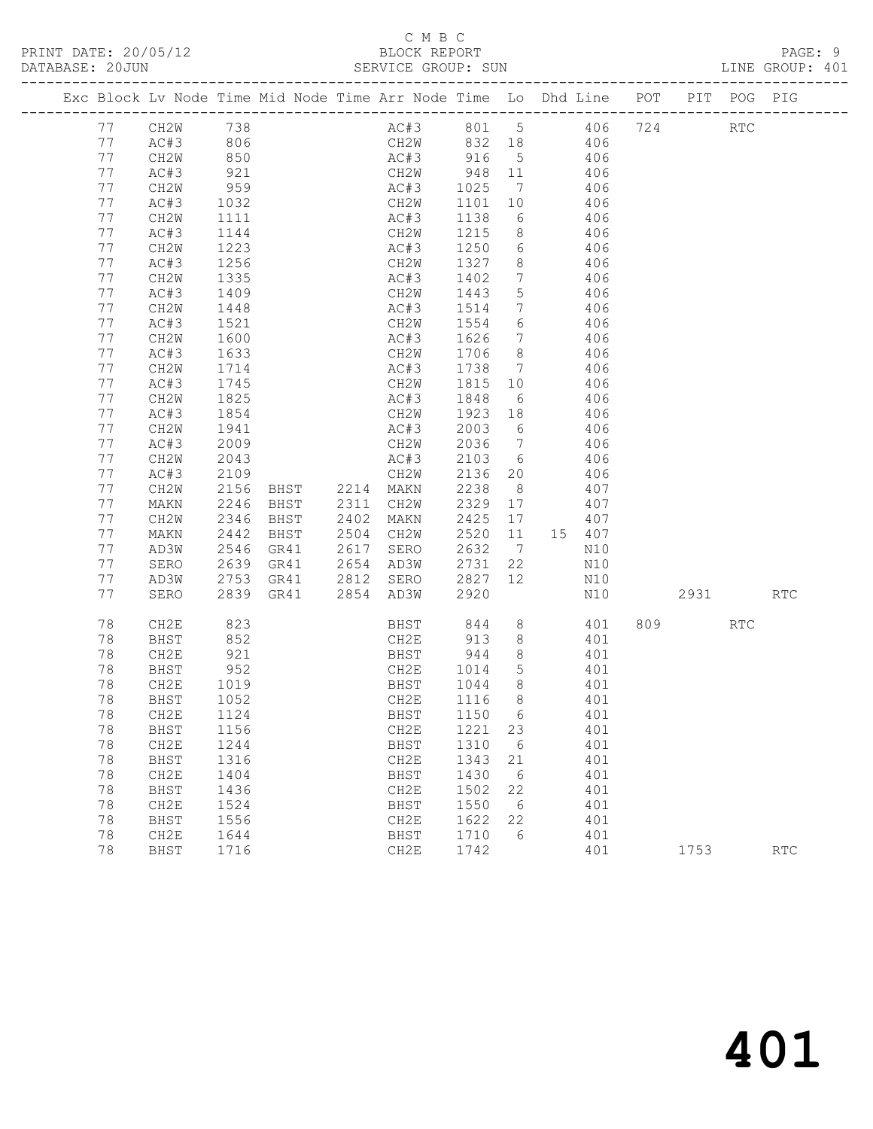### C M B C<br>BLOCK REPORT SERVICE GROUP: SUN

| Exc Block Lv Node Time Mid Node Time Arr Node Time Lo Dhd Line POT |           |      |           |                                  |                      |         |                 |     |        |           | PIT POG PIG |            |
|--------------------------------------------------------------------|-----------|------|-----------|----------------------------------|----------------------|---------|-----------------|-----|--------|-----------|-------------|------------|
| 77                                                                 | CH2W 738  |      |           |                                  | AC#3 801 5 406 724   |         |                 |     |        |           | <b>RTC</b>  |            |
| 77                                                                 | AC#3      | 806  |           |                                  | CH2W 832 18 406      |         |                 |     |        |           |             |            |
| 77                                                                 | CH2W      | 850  |           |                                  | AC#3 916             |         | 5 <sup>5</sup>  | 406 |        |           |             |            |
| 77                                                                 | AC#3      | 921  |           |                                  | CH2W                 | 948 11  |                 |     | 406    |           |             |            |
| 77                                                                 | CH2W      | 959  |           |                                  | AC#3                 | 1025    | $\overline{7}$  |     | 406    |           |             |            |
| 77                                                                 | AC#3      | 1032 |           |                                  | CH2W                 | 1101    | 10              |     | 406    |           |             |            |
| 77                                                                 | CH2W      | 1111 |           |                                  | AC#3                 | 1138    | 6               | 406 |        |           |             |            |
| 77                                                                 | AC#3      | 1144 |           |                                  | CH2W                 | 1215    | 8 <sup>8</sup>  |     | 406    |           |             |            |
| 77                                                                 | CH2W      | 1223 |           |                                  | AC#3                 | 1250 6  |                 |     | 406    |           |             |            |
| 77                                                                 | AC#3      | 1256 |           |                                  | CH2W                 | 1327 8  |                 |     | 406    |           |             |            |
| 77                                                                 | CH2W      | 1335 |           |                                  | AC#3                 | 1402    | $7\overline{ }$ | 406 |        |           |             |            |
| 77                                                                 | AC#3      | 1409 |           |                                  | CH2W                 | 1443    | 5               |     | 406    |           |             |            |
| 77                                                                 | CH2W      | 1448 |           |                                  | AC#3                 | 1514    | $\overline{7}$  |     | 406    |           |             |            |
| 77                                                                 | AC#3      | 1521 |           |                                  | CH2W                 | 1554    | $6\overline{6}$ |     | 406    |           |             |            |
| 77                                                                 | CH2W      | 1600 |           |                                  | AC#3                 | 1626    | $\overline{7}$  |     | 406    |           |             |            |
| 77                                                                 | AC#3      | 1633 |           |                                  | CH2W                 | 1706    | 8 <sup>8</sup>  |     | 406    |           |             |            |
| 77                                                                 | CH2W      | 1714 |           |                                  | AC#3                 | 1738 7  |                 |     | 406    |           |             |            |
| 77                                                                 | AC#3      | 1745 |           |                                  | CH2W                 | 1815 10 |                 |     | 406    |           |             |            |
| 77                                                                 | CH2W      | 1825 |           |                                  | AC#3                 | 1848    | 6               | 406 |        |           |             |            |
| 77                                                                 | AC#3      | 1854 |           |                                  | CH2W                 | 1923 18 |                 | 406 |        |           |             |            |
| 77                                                                 | CH2W      | 1941 |           |                                  | AC#3                 | 2003    | 6 <sup>6</sup>  |     | 406    |           |             |            |
| 77                                                                 | AC#3      | 2009 |           |                                  | CH2W                 | 2036 7  |                 |     | 406    |           |             |            |
| 77                                                                 | CH2W      | 2043 |           |                                  | AC#3                 | 2103 6  |                 |     | 406    |           |             |            |
| 77                                                                 | AC#3      | 2109 |           |                                  | CH2W                 | 2136 20 |                 |     | 406    |           |             |            |
| 77                                                                 | CH2W      | 2156 |           |                                  |                      | 2238 8  |                 |     | 407    |           |             |            |
| 77                                                                 | MAKN      | 2246 |           | BHST 2214 MAKN<br>BHST 2311 CH2W |                      | 2329 17 |                 |     | 407    |           |             |            |
| 77                                                                 | CH2W      | 2346 | BHST      | 2402                             | MAKN                 | 2425 17 |                 |     | 407    |           |             |            |
| 77                                                                 | MAKN      | 2442 | BHST      | 2504 CH2W                        |                      | 2520    | 11              |     | 15 407 |           |             |            |
| 77                                                                 | AD3W      | 2546 | GR41      | 2617                             | SERO                 | 2632    | $\overline{7}$  |     | N10    |           |             |            |
| 77                                                                 | SERO      | 2639 | GR41      | 2654 AD3W                        |                      | 2731    | 22              |     | N10    |           |             |            |
| 77                                                                 | AD3W      | 2753 |           | GR41 2812 SERO                   |                      | 2827    | 12              |     | N10    |           |             |            |
| 77                                                                 | SERO      |      | 2839 GR41 |                                  | 2854 AD3W            | 2920    |                 |     | N10    | 2931      |             | <b>RTC</b> |
| 78                                                                 | CH2E      | 823  |           |                                  |                      |         | 8 <sup>8</sup>  |     | 401    | 809 — 100 | <b>RTC</b>  |            |
| 78                                                                 | BHST      | 852  |           |                                  | BHST 844<br>CH2E 913 |         | 8 <sup>8</sup>  |     | 401    |           |             |            |
| 78                                                                 | CH2E      | 921  |           |                                  | BHST                 | 944     | 8 <sup>8</sup>  |     | 401    |           |             |            |
| 78                                                                 | BHST      | 952  |           |                                  | CH2E                 | 1014    | $5^{\circ}$     |     | 401    |           |             |            |
| 78                                                                 | CH2E      | 1019 |           |                                  | BHST                 | 1044    | 8 <sup>8</sup>  |     | 401    |           |             |            |
| 78                                                                 | BHST      | 1052 |           |                                  | CH2E                 | 1116    | 8 <sup>8</sup>  |     | 401    |           |             |            |
| 78                                                                 | CH2E 1124 |      |           |                                  | BHST 1150 6          |         |                 |     | 401    |           |             |            |
| 78                                                                 | BHST      | 1156 |           |                                  | CH2E                 | 1221 23 |                 |     | 401    |           |             |            |
| 78                                                                 | CH2E      | 1244 |           |                                  | BHST                 | 1310    | 6               |     | 401    |           |             |            |
| 78                                                                 | BHST      | 1316 |           |                                  | CH2E                 | 1343    | 21              |     | 401    |           |             |            |
| 78                                                                 | CH2E      | 1404 |           |                                  | BHST                 | 1430    | $6\overline{6}$ |     | 401    |           |             |            |
| 78                                                                 | BHST      | 1436 |           |                                  | CH2E                 | 1502    | 22              |     | 401    |           |             |            |
| 78                                                                 | CH2E      | 1524 |           |                                  | BHST                 | 1550    | - 6             |     | 401    |           |             |            |
| 78                                                                 | BHST      | 1556 |           |                                  | CH2E                 | 1622    | 22              |     | 401    |           |             |            |

78 CH2E 1644 BHST 1710 6 401

78 BHST 1716 CH2E 1742 401 1753 RTC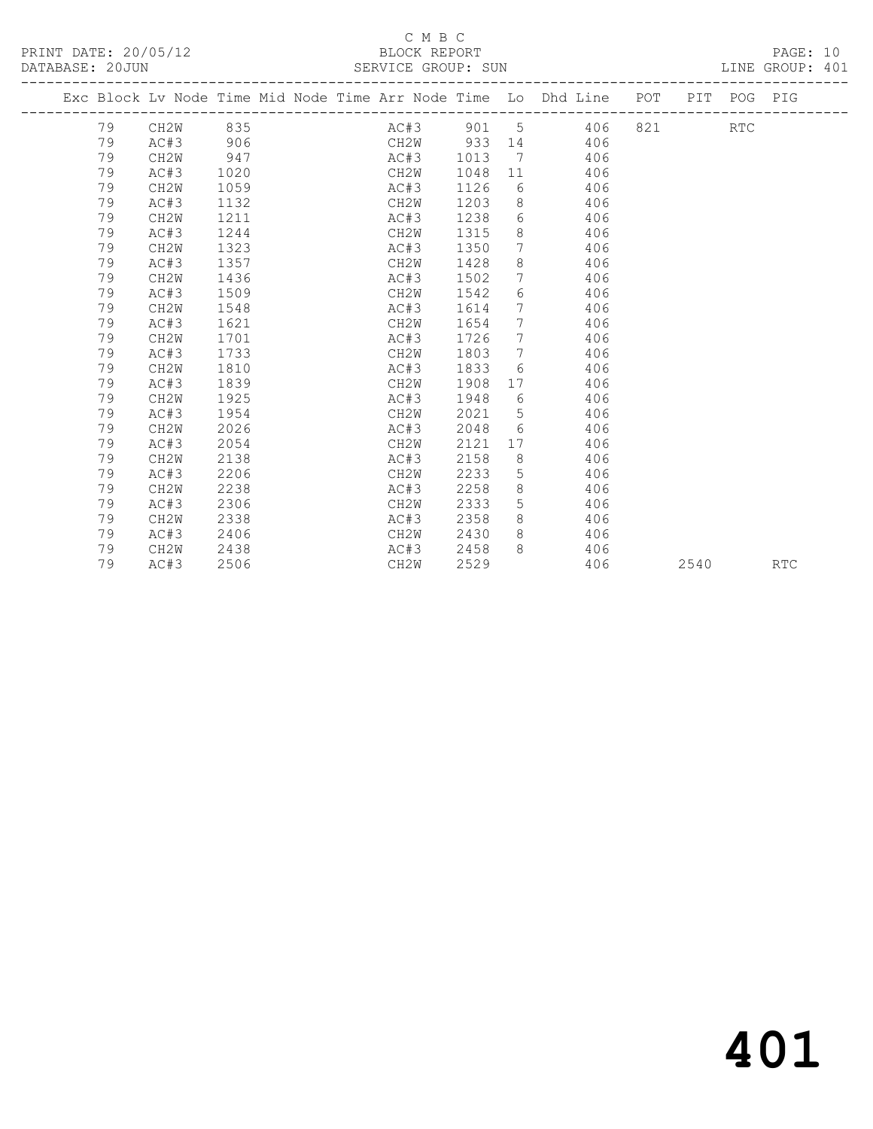### C M B C<br>BLOCK REPORT

|    |      | Exc Block Lv Node Time Mid Node Time Arr Node Time Lo Dhd Line POT PIT POG PIG |                   |      |               |                 |  |            |            |  |
|----|------|--------------------------------------------------------------------------------|-------------------|------|---------------|-----------------|--|------------|------------|--|
|    |      | 79 CH2W 835 AC#3 901 5 406 821                                                 |                   |      |               |                 |  | <b>RTC</b> |            |  |
| 79 |      | AC#3 906 CH2W 933 14 406                                                       |                   |      |               |                 |  |            |            |  |
| 79 | CH2W | 947                                                                            |                   |      |               | AC#3 1013 7 406 |  |            |            |  |
| 79 | AC#3 | 1020                                                                           |                   | CH2W |               | 1048 11 406     |  |            |            |  |
| 79 | CH2W | 1059                                                                           | AC#3              |      |               | 1126 6 406      |  |            |            |  |
| 79 | AC#3 | 1132                                                                           |                   |      |               | CH2W 1203 8 406 |  |            |            |  |
| 79 | CH2W | 1211                                                                           |                   | AC#3 |               | 1238 6 406      |  |            |            |  |
| 79 | AC#3 | 1244                                                                           |                   | CH2W |               | 1315 8 406      |  |            |            |  |
| 79 | CH2W | 1323                                                                           | AC#3              |      |               | 1350 7 406      |  |            |            |  |
| 79 | AC#3 | 1357                                                                           |                   |      |               | CH2W 1428 8 406 |  |            |            |  |
| 79 | CH2W | 1436                                                                           |                   |      |               | AC#3 1502 7 406 |  |            |            |  |
| 79 | AC#3 | 1509                                                                           |                   |      |               | CH2W 1542 6 406 |  |            |            |  |
| 79 | CH2W | 1548                                                                           |                   |      |               | AC#3 1614 7 406 |  |            |            |  |
| 79 | AC#3 | 1621                                                                           |                   |      |               | CH2W 1654 7 406 |  |            |            |  |
| 79 | CH2W | 1701                                                                           |                   |      |               | AC#3 1726 7 406 |  |            |            |  |
| 79 | AC#3 | 1733                                                                           |                   |      | $CH2W$ 1803 7 | 406             |  |            |            |  |
| 79 | CH2W | 1810                                                                           | AC#3              |      |               | 1833 6 406      |  |            |            |  |
| 79 | AC#3 | 1839                                                                           |                   | CH2W |               | 1908 17 406     |  |            |            |  |
| 79 | CH2W | 1925                                                                           |                   |      |               | AC#3 1948 6 406 |  |            |            |  |
| 79 | AC#3 | 1954                                                                           | CH <sub>2</sub> W |      |               | 2021 5 406      |  |            |            |  |
| 79 | CH2W | 2026                                                                           | AC#3              |      |               | 2048 6 406      |  |            |            |  |
| 79 | AC#3 | 2054                                                                           |                   | CH2W | 2121          | 17 406          |  |            |            |  |
| 79 | CH2W | 2138                                                                           |                   | AC#3 |               | 2158 8 406      |  |            |            |  |
| 79 | AC#3 | 2206                                                                           |                   | CH2W | 2233 5        | 406             |  |            |            |  |
| 79 | CH2W | 2238                                                                           |                   | AC#3 |               | 2258 8 406      |  |            |            |  |
| 79 | AC#3 | 2306                                                                           |                   | CH2W |               | 2333 5 406      |  |            |            |  |
| 79 | CH2W | 2338                                                                           | AC#3              |      |               | 2358 8 406      |  |            |            |  |
| 79 | AC#3 | 2406                                                                           |                   | CH2W |               | 2430 8 406      |  |            |            |  |
| 79 | CH2W | 2438                                                                           |                   |      |               | AC#3 2458 8 406 |  |            |            |  |
| 79 | AC#3 | 2506                                                                           | CH2W              |      |               | 2529 406 2540   |  |            | <b>RTC</b> |  |
|    |      |                                                                                |                   |      |               |                 |  |            |            |  |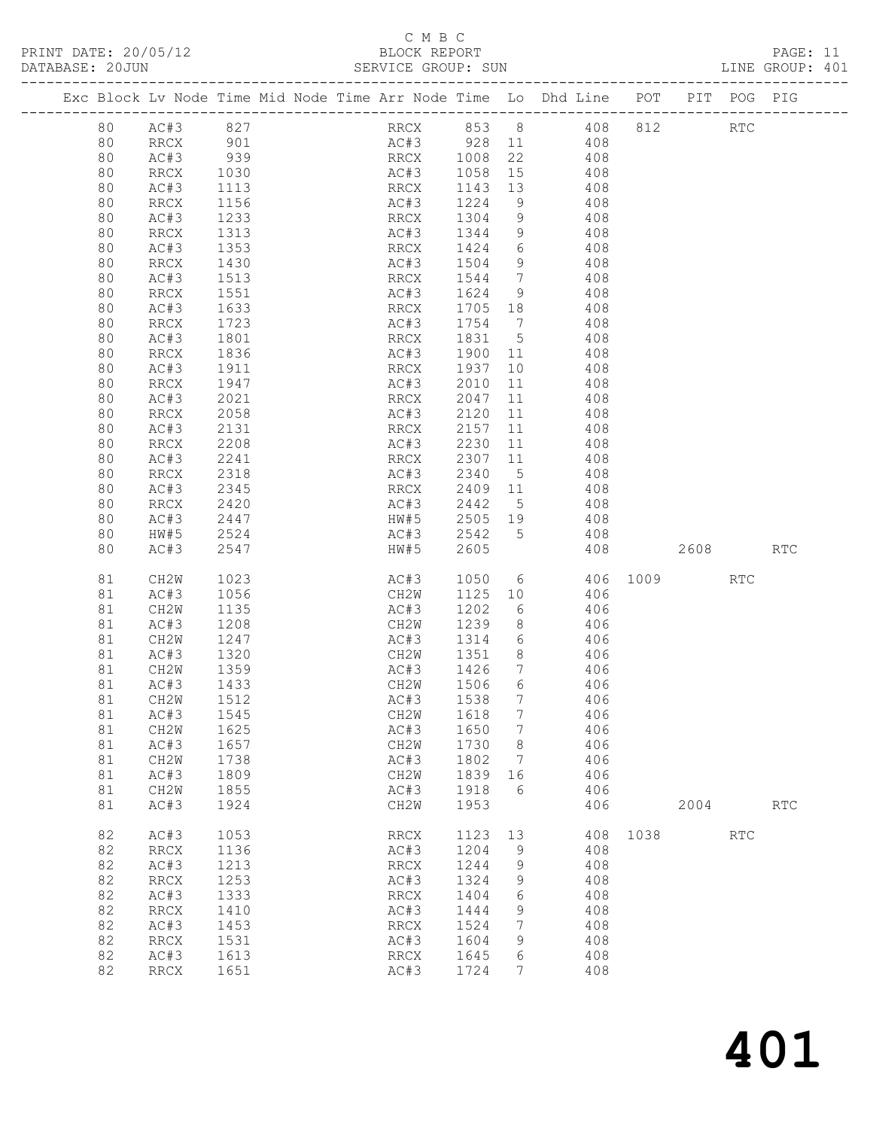### C M B C<br>BLOCK REPORT

|    |                                                |                              |  |                                              |         |                 |                                                                                    |      |          |            | LINE GROUP: 401 |  |
|----|------------------------------------------------|------------------------------|--|----------------------------------------------|---------|-----------------|------------------------------------------------------------------------------------|------|----------|------------|-----------------|--|
|    |                                                |                              |  |                                              |         |                 | Exc Block Lv Node Time Mid Node Time Arr Node Time Lo Dhd Line POT PIT POG PIG     |      |          |            |                 |  |
|    |                                                |                              |  |                                              |         |                 | 80 AC#3 827 RRCX 853 8 408 812 RTC                                                 |      |          |            |                 |  |
| 80 |                                                |                              |  |                                              |         |                 | AC#3 928 11 408                                                                    |      |          |            |                 |  |
| 80 | RRCX 901<br>RC#3 939<br>RRCX 1030<br>AC#3 1113 |                              |  |                                              |         |                 | RRCX 1008 22 408<br>AC#3 1058 15 408<br>RRCX 1143 13 408                           |      |          |            |                 |  |
| 80 |                                                |                              |  |                                              |         |                 |                                                                                    |      |          |            |                 |  |
| 80 |                                                |                              |  |                                              |         |                 |                                                                                    |      |          |            |                 |  |
| 80 | RRCX                                           | 1156                         |  | AC#3 1224                                    |         |                 | 9 408                                                                              |      |          |            |                 |  |
| 80 | AC#3                                           | 1233                         |  | RRCX 1304                                    |         |                 | 9 408                                                                              |      |          |            |                 |  |
| 80 | RRCX                                           |                              |  |                                              |         |                 |                                                                                    |      |          |            |                 |  |
| 80 | AC#3                                           | 1313<br>1353<br>1430<br>1513 |  | AC#3 1344 9<br>RRCX 1424 6                   |         |                 | $408$<br>$408$                                                                     |      |          |            |                 |  |
| 80 | RRCX                                           |                              |  | AC#3 1504                                    |         |                 | 9 408                                                                              |      |          |            |                 |  |
| 80 | AC#3                                           |                              |  | RRCX 1544 7 408                              |         |                 |                                                                                    |      |          |            |                 |  |
| 80 | RRCX                                           | 1551                         |  |                                              |         |                 |                                                                                    |      |          |            |                 |  |
| 80 | AC#3                                           | 1633                         |  |                                              |         |                 | AC#3 1624 9 408<br>RRCX 1705 18 408                                                |      |          |            |                 |  |
| 80 | RRCX                                           | 1723                         |  | AC#3 1754 7                                  |         |                 | 408                                                                                |      |          |            |                 |  |
| 80 | AC#3                                           | 1801                         |  | RRCX 1831 5                                  |         |                 | 408                                                                                |      |          |            |                 |  |
| 80 | RRCX                                           | 1836                         |  |                                              |         |                 |                                                                                    |      |          |            |                 |  |
| 80 | AC#3                                           | 1911                         |  |                                              |         |                 | AC#3 1900 11 408<br>RRCX 1937 10 408                                               |      |          |            |                 |  |
| 80 | RRCX                                           | 1947                         |  | AC#3 2010                                    |         | 11              | 408                                                                                |      |          |            |                 |  |
| 80 | AC#3                                           | 2021                         |  | RRCX 2047                                    |         | 11              | 408                                                                                |      |          |            |                 |  |
| 80 | RRCX                                           | 2058                         |  |                                              |         |                 | 408                                                                                |      |          |            |                 |  |
| 80 | AC#3                                           | 2131                         |  | AC#3 2120 11<br>RRCX 2157 11<br>AC#3 2230 11 |         |                 |                                                                                    |      |          |            |                 |  |
| 80 | RRCX                                           | 2208                         |  |                                              |         |                 | $\begin{array}{cc} 11 & \hspace{1.5cm} 408 \\ 11 & \hspace{1.5cm} 408 \end{array}$ |      |          |            |                 |  |
| 80 | AC#3                                           | 2241                         |  | RRCX 2307 11                                 |         |                 | 408                                                                                |      |          |            |                 |  |
| 80 | RRCX                                           | 2318                         |  |                                              |         | 5 <sup>5</sup>  | 408                                                                                |      |          |            |                 |  |
| 80 | AC#3                                           |                              |  | AC#3 2340                                    |         |                 |                                                                                    |      |          |            |                 |  |
| 80 | RRCX                                           | 2345<br>2420                 |  |                                              |         |                 | RRCX 2409 11 408<br>AC#3 2442 5 408                                                |      |          |            |                 |  |
| 80 | AC#3                                           | 2447                         |  |                                              |         |                 | HW#5 2505 19 408                                                                   |      |          |            |                 |  |
| 80 | HW#5                                           | 2524                         |  | AC#3 2542                                    |         |                 | 5 408                                                                              |      |          |            |                 |  |
| 80 | AC#3                                           | 2547                         |  | HW#5 2605                                    |         |                 |                                                                                    |      |          |            |                 |  |
|    |                                                |                              |  |                                              |         |                 |                                                                                    |      | 408 2608 |            | RTC             |  |
| 81 | CH2W                                           | 1023                         |  | AC#3                                         | 1050    |                 | 6 406 1009                                                                         |      |          | <b>RTC</b> |                 |  |
| 81 | AC#3                                           | 1056                         |  | CH2W                                         | 1125 10 |                 | 406                                                                                |      |          |            |                 |  |
| 81 | CH2W                                           | 1135                         |  | AC#3                                         | 1202    | $6\overline{6}$ | $406$<br>$406$                                                                     |      |          |            |                 |  |
| 81 | AC#3                                           | 1208                         |  | CH2W 1239                                    |         | 8 <sup>8</sup>  |                                                                                    |      |          |            |                 |  |
| 81 | CH2W                                           | 1247                         |  |                                              |         |                 | AC#3 1314 6 406                                                                    |      |          |            |                 |  |
| 81 | AC#3                                           | 1320                         |  | CH2W 1351 8 406                              |         |                 |                                                                                    |      |          |            |                 |  |
| 81 | CH2W                                           | 1359                         |  | AC#3                                         | 1426 7  |                 | 406                                                                                |      |          |            |                 |  |
|    | 81 AC#3 1433                                   |                              |  | CH2W 1506 6                                  |         |                 | 406                                                                                |      |          |            |                 |  |
| 81 | CH2W                                           | 1512                         |  | AC#3                                         | 1538    | $7\phantom{.0}$ | 406                                                                                |      |          |            |                 |  |
| 81 | AC#3                                           | 1545                         |  | CH2W                                         | 1618    | 7               | 406                                                                                |      |          |            |                 |  |
| 81 | CH2W                                           | 1625                         |  | AC#3                                         | 1650    | 7               | 406                                                                                |      |          |            |                 |  |
| 81 | AC#3                                           | 1657                         |  | CH2W                                         | 1730    | 8               | 406                                                                                |      |          |            |                 |  |
| 81 | CH2W                                           | 1738                         |  | AC#3                                         | 1802    | $\overline{7}$  | 406                                                                                |      |          |            |                 |  |
| 81 | AC#3                                           | 1809                         |  | CH2W                                         | 1839    | 16              | 406                                                                                |      |          |            |                 |  |
| 81 | CH2W                                           | 1855                         |  | AC#3                                         | 1918    | 6               | 406                                                                                |      |          |            |                 |  |
| 81 | AC#3                                           | 1924                         |  | CH2W                                         | 1953    |                 | 406                                                                                |      | 2004     |            | RTC             |  |
| 82 | AC#3                                           | 1053                         |  | RRCX                                         | 1123    | 13              | 408                                                                                | 1038 |          | <b>RTC</b> |                 |  |
| 82 | <b>RRCX</b>                                    | 1136                         |  | AC#3                                         | 1204    | 9               | 408                                                                                |      |          |            |                 |  |
| 82 | AC#3                                           | 1213                         |  | RRCX                                         | 1244    | 9               | 408                                                                                |      |          |            |                 |  |
| 82 | <b>RRCX</b>                                    | 1253                         |  | AC#3                                         | 1324    | 9               | 408                                                                                |      |          |            |                 |  |
| 82 | AC#3                                           | 1333                         |  | RRCX                                         | 1404    | 6               | 408                                                                                |      |          |            |                 |  |
| 82 | <b>RRCX</b>                                    | 1410                         |  | AC#3                                         | 1444    | 9               | 408                                                                                |      |          |            |                 |  |
| 82 | AC#3                                           | 1453                         |  | RRCX                                         | 1524    | 7               | 408                                                                                |      |          |            |                 |  |
| 82 | <b>RRCX</b>                                    | 1531                         |  | AC#3                                         | 1604    | 9               | 408                                                                                |      |          |            |                 |  |
| 82 | AC#3                                           | 1613                         |  | RRCX                                         | 1645    | 6               | 408                                                                                |      |          |            |                 |  |
| 82 | <b>RRCX</b>                                    | 1651                         |  | AC#3                                         | 1724    | 7               | 408                                                                                |      |          |            |                 |  |
|    |                                                |                              |  |                                              |         |                 |                                                                                    |      |          |            |                 |  |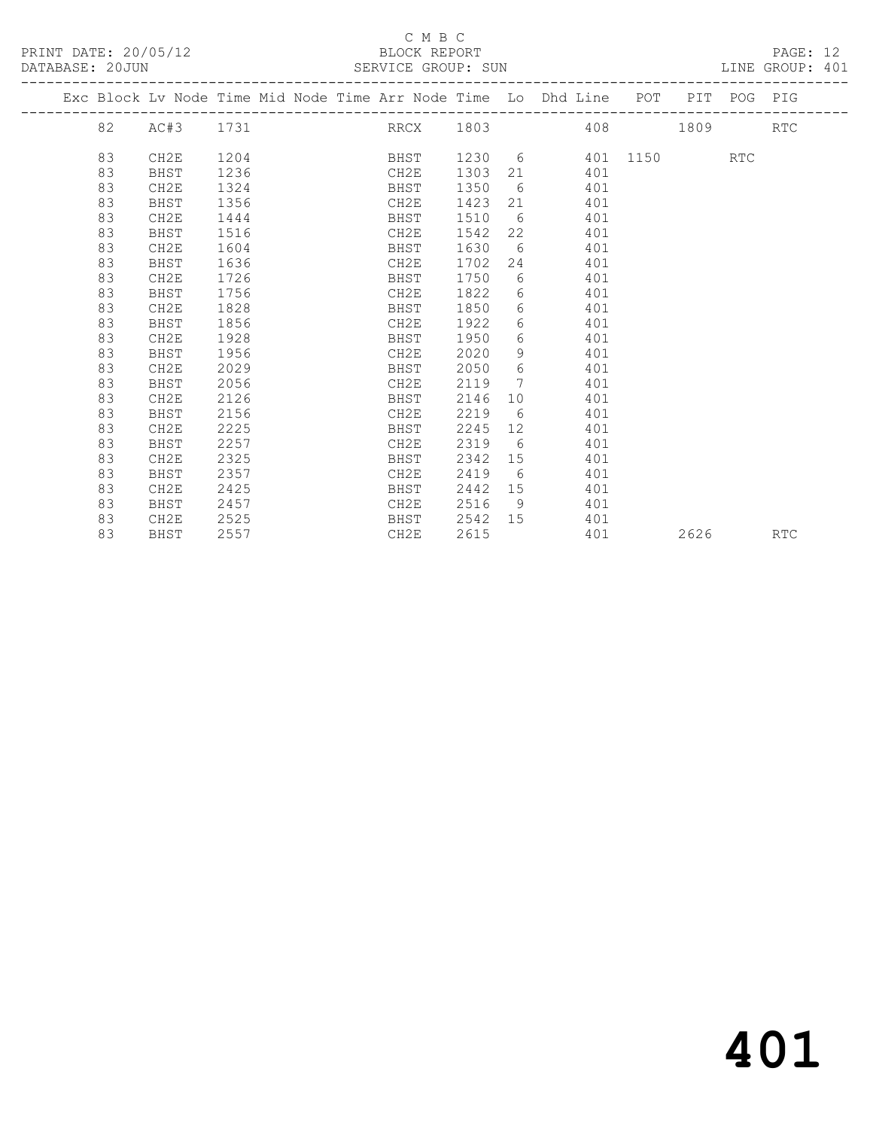|  |    | Exc Block Lv Node Time Mid Node Time Arr Node Time Lo Dhd Line POT PIT POG PIG |      |  |      |      |                 |                   |     |               |      |            |            |
|--|----|--------------------------------------------------------------------------------|------|--|------|------|-----------------|-------------------|-----|---------------|------|------------|------------|
|  | 82 | AC#3                                                                           | 1731 |  |      |      |                 |                   |     | RRCX 1803 408 | 1809 |            | <b>RTC</b> |
|  |    |                                                                                |      |  |      |      |                 |                   |     |               |      |            |            |
|  | 83 | CH2E                                                                           | 1204 |  | BHST |      |                 | 1230 6            |     | 401 1150      |      | <b>RTC</b> |            |
|  | 83 | BHST                                                                           | 1236 |  | CH2E | 1303 |                 |                   | 401 |               |      |            |            |
|  | 83 | CH2E                                                                           | 1324 |  | BHST | 1350 | 6 <sup>6</sup>  |                   | 401 |               |      |            |            |
|  | 83 | BHST                                                                           | 1356 |  | CH2E | 1423 | 21              |                   | 401 |               |      |            |            |
|  | 83 | CH2E                                                                           | 1444 |  | BHST | 1510 | 6               |                   | 401 |               |      |            |            |
|  | 83 | BHST                                                                           | 1516 |  | CH2E | 1542 | 22              |                   | 401 |               |      |            |            |
|  | 83 | CH2E                                                                           | 1604 |  | BHST | 1630 |                 | $6\degree$        | 401 |               |      |            |            |
|  | 83 | BHST                                                                           | 1636 |  | CH2E | 1702 | 24              |                   | 401 |               |      |            |            |
|  | 83 | CH2E                                                                           | 1726 |  | BHST | 1750 | 6               |                   | 401 |               |      |            |            |
|  | 83 | BHST                                                                           | 1756 |  | CH2E | 1822 | 6               |                   | 401 |               |      |            |            |
|  | 83 | CH2E                                                                           | 1828 |  | BHST | 1850 |                 | $6 \quad \sigma$  | 401 |               |      |            |            |
|  | 83 | BHST                                                                           | 1856 |  | CH2E | 1922 |                 | $6 \qquad \qquad$ | 401 |               |      |            |            |
|  | 83 | CH2E                                                                           | 1928 |  | BHST | 1950 | 6               |                   | 401 |               |      |            |            |
|  | 83 | BHST                                                                           | 1956 |  | CH2E | 2020 | 9               |                   | 401 |               |      |            |            |
|  | 83 | CH2E                                                                           | 2029 |  | BHST | 2050 | 6               |                   | 401 |               |      |            |            |
|  | 83 | BHST                                                                           | 2056 |  | CH2E | 2119 | $7\phantom{0}$  |                   | 401 |               |      |            |            |
|  | 83 | CH2E                                                                           | 2126 |  | BHST | 2146 |                 | 10 0              | 401 |               |      |            |            |
|  | 83 | BHST                                                                           | 2156 |  | CH2E | 2219 | 6               |                   | 401 |               |      |            |            |
|  | 83 | CH2E                                                                           | 2225 |  | BHST | 2245 | 12 <sup>°</sup> |                   | 401 |               |      |            |            |
|  | 83 | BHST                                                                           | 2257 |  | CH2E | 2319 | 6               |                   | 401 |               |      |            |            |
|  | 83 | CH2E                                                                           | 2325 |  | BHST | 2342 |                 | 15                | 401 |               |      |            |            |
|  | 83 | BHST                                                                           | 2357 |  | CH2E | 2419 | 6               |                   | 401 |               |      |            |            |
|  | 83 | CH2E                                                                           | 2425 |  | BHST | 2442 | 15              |                   | 401 |               |      |            |            |
|  | 83 | BHST                                                                           | 2457 |  | CH2E | 2516 | - 9             |                   | 401 |               |      |            |            |
|  | 83 | CH2E                                                                           | 2525 |  | BHST | 2542 | 15              |                   | 401 |               |      |            |            |
|  | 83 | BHST                                                                           | 2557 |  | CH2E | 2615 |                 |                   | 401 |               | 2626 |            | <b>RTC</b> |
|  |    |                                                                                |      |  |      |      |                 |                   |     |               |      |            |            |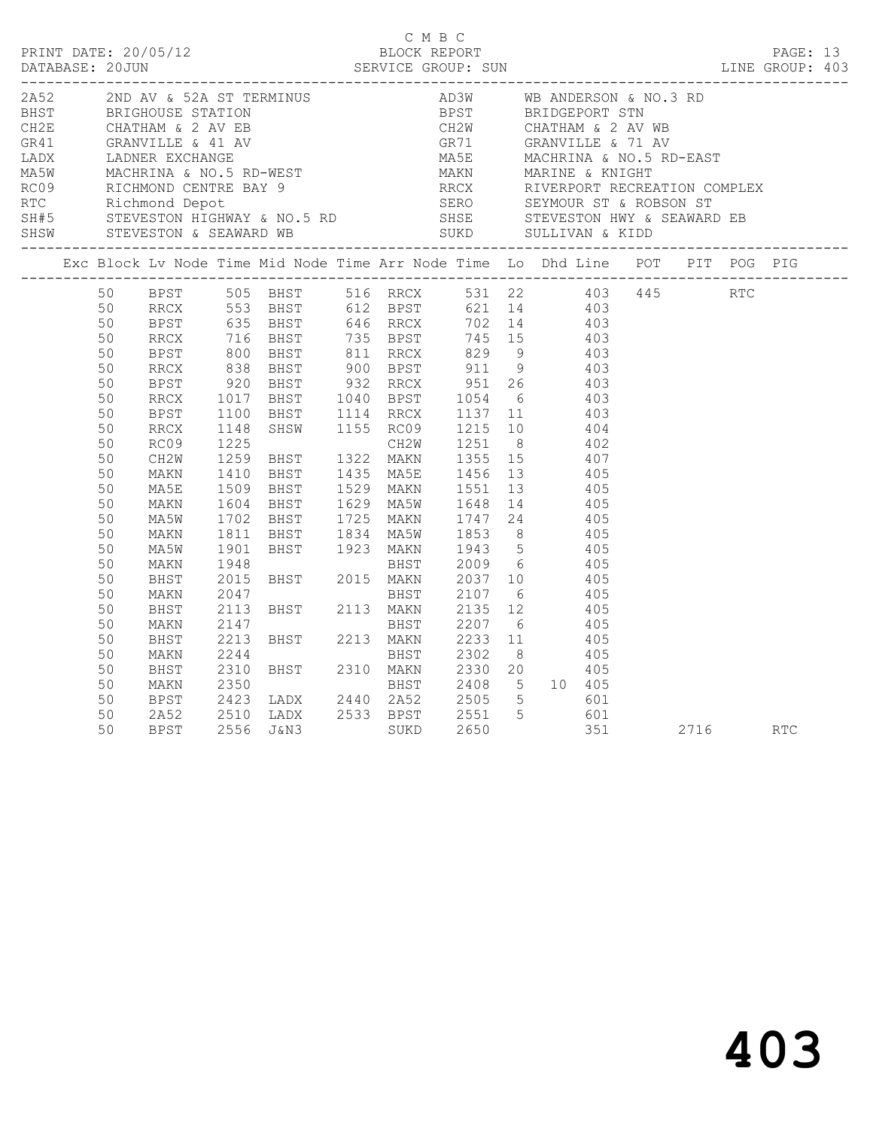|                                                                                |                                                                                                                                              |                                                                                      |                                                                                                                                                                                                                                                                                                                                                                                                                                                                                                                                                                                                                                                                                                                                                |  | C M B C                                                   |  |  |  | PAGE: 13<br>LINE GROUP: 403 |  |
|--------------------------------------------------------------------------------|----------------------------------------------------------------------------------------------------------------------------------------------|--------------------------------------------------------------------------------------|------------------------------------------------------------------------------------------------------------------------------------------------------------------------------------------------------------------------------------------------------------------------------------------------------------------------------------------------------------------------------------------------------------------------------------------------------------------------------------------------------------------------------------------------------------------------------------------------------------------------------------------------------------------------------------------------------------------------------------------------|--|-----------------------------------------------------------|--|--|--|-----------------------------|--|
| 2A52 2ND AV & 52A ST TERMINUS<br>SHSW STEVESTON & SEAWARD WB                   |                                                                                                                                              |                                                                                      |                                                                                                                                                                                                                                                                                                                                                                                                                                                                                                                                                                                                                                                                                                                                                |  | AD3W WB ANDERSON & NO.3 RD<br>BPST         BRIDGEPORT STN |  |  |  |                             |  |
| Exc Block Lv Node Time Mid Node Time Arr Node Time Lo Dhd Line POT PIT POG PIG |                                                                                                                                              |                                                                                      |                                                                                                                                                                                                                                                                                                                                                                                                                                                                                                                                                                                                                                                                                                                                                |  |                                                           |  |  |  |                             |  |
|                                                                                | 50<br>50<br>50<br>50<br>50<br>50<br>50<br>50<br>50<br>50<br>50<br>50<br>50<br>50<br>50<br>50<br>50<br>50<br>50<br>50<br>50<br>50<br>50<br>50 | MA5E<br>MAKN<br>MA5W<br>MAKN<br>MA5W<br>MAKN<br>BHST<br>MAKN<br>BHST<br>MAKN<br>BHST | BPST 505 BHST 516 RRCX 531 22 403 445 RTC<br>RRCX 553 BHST 612 BPST 621 14 403<br>BPST 635 BHST 646 RRCX 702 14 403<br>BPST 635 BHST 646 RRCX 702 14 403<br>BRCX 716 BHST 735 BPST 745 15 403<br>BPST 800 BHST 811 RRCX 829 9 403<br>RRCX 838 BHST 900 BPST 911 9 403<br>BPST 920 BHST 932 RRCX 951 26 403<br>RRCX 1017 BHST 1040 BPST 1054 6 403<br>BPST 1100 BH<br>1509 BHST 1529 MAKN 1551 13       405<br>1604 BHST 1629 MA5W 1648 14     405<br>1702 BHST 1725 MAKN 1747 24 405<br>1702 BHST 1725 MAKN 1747 24 405<br>1811 BHST 1834 MA5W 1853 8 405<br>1901 BHST 1923 MAKN 1943 5 405<br>1948 BHST 2009 6 405<br>2015 BHST 2015 MAKN 2037 10 405<br>2047 BHST 2107 6 405<br>2113 BHST 2113 MAKN 2135 12 405<br>2147 BHST 2207 6 405<br>2 |  |                                                           |  |  |  |                             |  |
|                                                                                | 50<br>50<br>50<br>50<br>50<br>50                                                                                                             | MAKN<br>BHST<br>MAKN<br><b>BPST</b><br>$2A52$<br>BPST                                | 2423 LADX 2440 2A52 2505 5 601<br>– 1510 LADX – 2533 BPST – 2551 – 5 – 601<br>2556 J&N3 – SUKD – 2650 – 251 – 2716 – RTC                                                                                                                                                                                                                                                                                                                                                                                                                                                                                                                                                                                                                       |  |                                                           |  |  |  |                             |  |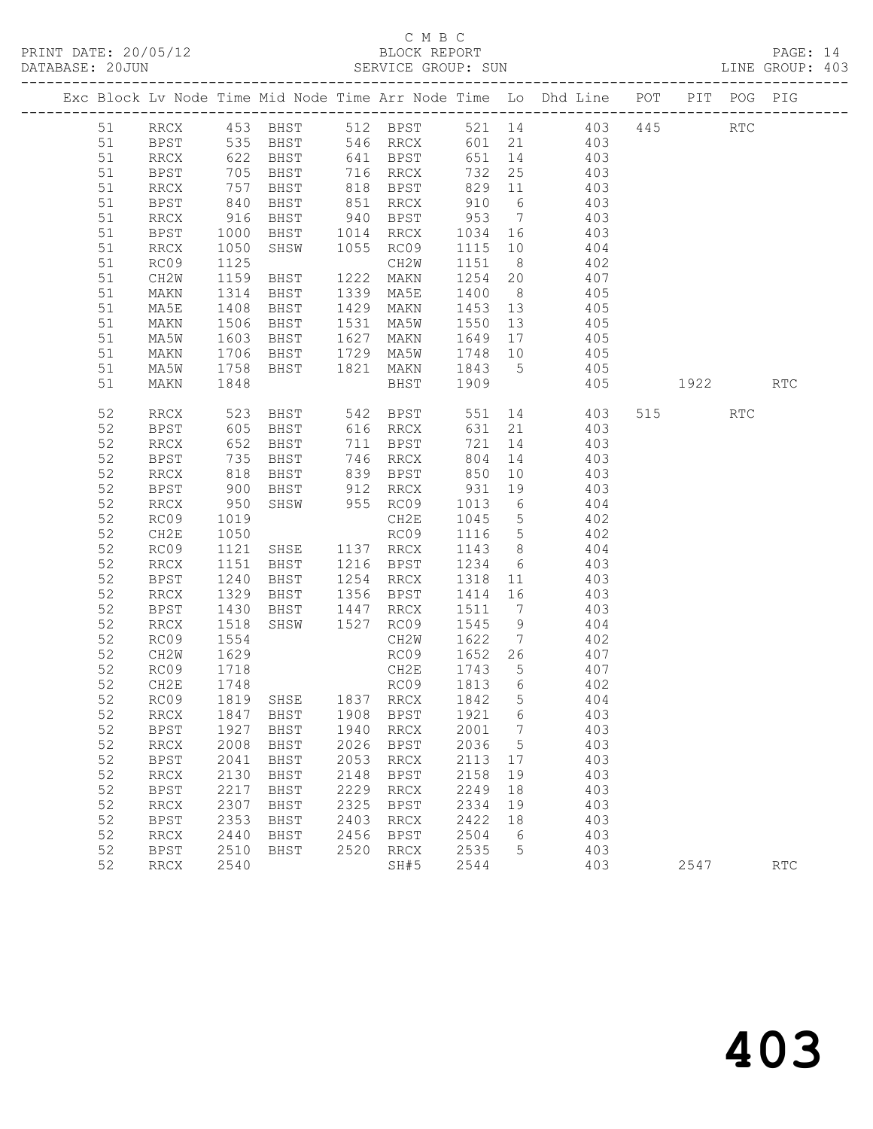## C M B C

|  | DATABASE: 20JUN | ______________________ |                          |                        |      |                                                 |        |                | SERVICE GROUP: SUN LINE GROUP: 403                                                           |      |     |                             |  |
|--|-----------------|------------------------|--------------------------|------------------------|------|-------------------------------------------------|--------|----------------|----------------------------------------------------------------------------------------------|------|-----|-----------------------------|--|
|  |                 |                        |                          |                        |      |                                                 |        |                | Exc Block Lv Node Time Mid Node Time Arr Node Time Lo Dhd Line POT PIT POG PIG               |      |     |                             |  |
|  |                 |                        |                          |                        |      |                                                 |        |                | 51 RRCX 453 BHST 512 BPST 521 14 403 445 RTC                                                 |      |     |                             |  |
|  | 51              |                        |                          |                        |      |                                                 |        |                | BPST 535 BHST 546 RRCX 601 21 403                                                            |      |     |                             |  |
|  | 51              | <b>RRCX</b>            |                          |                        |      |                                                 |        |                | 622 BHST 641 BPST 651 14 403<br>705 BHST 716 RRCX 732 25 403<br>757 BHST 818 BPST 829 11 403 |      |     |                             |  |
|  | 51              | BPST                   |                          |                        |      |                                                 |        |                |                                                                                              |      |     |                             |  |
|  | 51              | RRCX                   |                          |                        |      |                                                 |        |                |                                                                                              |      |     |                             |  |
|  | 51              | BPST                   | 840                      |                        |      |                                                 |        |                | BHST 851 RRCX 910 6 403                                                                      |      |     |                             |  |
|  | 51              | RRCX                   |                          |                        |      |                                                 |        |                |                                                                                              |      |     |                             |  |
|  | 51              | BPST                   | 916<br>1000<br>1050      |                        |      |                                                 |        |                | BHST 940 BPST 953 7 403<br>BHST 1014 RRCX 1034 16 403<br>SHSW 1055 RC09 1115 10 404          |      |     |                             |  |
|  | 51              | RRCX                   |                          |                        |      |                                                 |        |                |                                                                                              |      |     |                             |  |
|  | 51              | RC09                   | 1125                     | CH2W<br>BHST 1222 MAKN |      |                                                 |        |                | CH2W 1151 8 402                                                                              |      |     |                             |  |
|  | 51              | CH2W                   | 1159                     |                        |      |                                                 |        |                | 1254 20 407                                                                                  |      |     |                             |  |
|  | 51              | MAKN                   | 1314<br>1408             | BHST<br>BHST           |      |                                                 |        |                | 1339 MA5E 1400 8 405<br>1429 MAKN 1453 13 405                                                |      |     |                             |  |
|  | 51              | MA5E                   | 1506                     |                        |      |                                                 |        |                | BHST 1531 MA5W 1550 13 405                                                                   |      |     |                             |  |
|  | 51              | MAKN                   |                          |                        |      |                                                 |        |                |                                                                                              |      |     |                             |  |
|  | 51<br>51        | MA5W<br>MAKN           | 1603                     |                        |      |                                                 |        |                | BHST 1627 MAKN 1649 17 405                                                                   |      |     |                             |  |
|  | 51              | MA5W                   | 1706<br>1758             |                        |      | BHST 1729 MA5W 1748 10<br>BHST 1821 MAKN 1843 5 |        |                | 405<br>405                                                                                   |      |     |                             |  |
|  | 51              | MAKN                   | 1848                     |                        |      |                                                 |        |                | BHST 1909 405 1922 RTC                                                                       |      |     |                             |  |
|  |                 |                        |                          |                        |      |                                                 |        |                |                                                                                              |      |     |                             |  |
|  | 52              | RRCX                   | 523<br>605<br>652        |                        |      |                                                 |        |                | BHST 542 BPST 551 14 403<br>BHST 616 RRCX 631 21 403                                         | 515  | RTC |                             |  |
|  | 52              | BPST                   |                          |                        |      |                                                 |        |                |                                                                                              |      |     |                             |  |
|  | 52              | RRCX                   |                          | BHST                   |      | 711 BPST                                        |        |                | 721 14 403                                                                                   |      |     |                             |  |
|  | 52              | BPST                   | 735<br>818<br>900<br>950 | <b>BHST</b>            |      | 746 RRCX                                        | 804    |                | 14 403                                                                                       |      |     |                             |  |
|  | 52              | RRCX                   |                          |                        |      |                                                 |        |                |                                                                                              |      |     |                             |  |
|  | 52              | BPST                   |                          |                        |      |                                                 |        |                | BHST 839 BPST 850 10 403<br>BHST 912 RRCX 931 19 403<br>SHSW 955 RC09 1013 6 404             |      |     |                             |  |
|  | 52              | RRCX                   |                          |                        |      |                                                 |        |                |                                                                                              |      |     |                             |  |
|  | 52              | RC09                   | 1019                     |                        |      |                                                 |        |                | CH2E 1045 5 402                                                                              |      |     |                             |  |
|  | 52              | CH2E                   | 1050<br>1121             |                        |      |                                                 |        |                | RCO9 1116 5 402<br>SHSE 1137 RRCX 1143 8 404<br>BHST 1216 BPST 1234 6 403                    |      |     |                             |  |
|  | 52              | RC09                   | 1151                     |                        |      |                                                 |        |                |                                                                                              |      |     |                             |  |
|  | 52              | RRCX                   | 1240                     |                        |      |                                                 |        |                | BHST 1254 RRCX 1318 11 403                                                                   |      |     |                             |  |
|  | 52<br>52        | BPST<br>RRCX           |                          | <b>BHST</b>            |      |                                                 |        |                |                                                                                              |      |     |                             |  |
|  | 52              | BPST                   | 1329                     |                        |      |                                                 | 1511 7 |                | 1356 BPST 1414 16 403<br>403                                                                 |      |     |                             |  |
|  | 52              | RRCX                   | 1430<br>1518             |                        |      |                                                 |        |                | $1545$ 9 $404$                                                                               |      |     |                             |  |
|  | 52              | RC09                   | 1554                     |                        |      | CH2W                                            |        |                | 1622 7 402                                                                                   |      |     |                             |  |
|  | 52              | CH2W                   | 1629                     |                        |      | RC09                                            |        |                | 1652 26 407                                                                                  |      |     |                             |  |
|  | 52              | RC09                   |                          |                        |      |                                                 |        |                |                                                                                              |      |     |                             |  |
|  | 52              | CH2E                   | 1718<br>1748             |                        |      | CH2E 1743 5<br>RC09 1813 6                      |        |                | 407<br>402                                                                                   |      |     |                             |  |
|  |                 |                        |                          |                        |      |                                                 |        |                | 52 RC09 1819 SHSE 1837 RRCX 1842 5 404                                                       |      |     |                             |  |
|  | 52              | RRCX                   | 1847                     | BHST                   | 1908 | BPST                                            | 1921   | 6              | 403                                                                                          |      |     |                             |  |
|  | 52              | BPST                   | 1927                     | BHST                   | 1940 | RRCX                                            | 2001   | $\overline{7}$ | 403                                                                                          |      |     |                             |  |
|  | 52              | RRCX                   | 2008                     | BHST                   | 2026 | BPST                                            | 2036   | $5^{\circ}$    | 403                                                                                          |      |     |                             |  |
|  | 52              | <b>BPST</b>            | 2041                     | BHST                   | 2053 | RRCX                                            | 2113   | 17             | 403                                                                                          |      |     |                             |  |
|  | 52              | <b>RRCX</b>            | 2130                     | BHST                   | 2148 | <b>BPST</b>                                     | 2158   | 19             | 403                                                                                          |      |     |                             |  |
|  | 52              | <b>BPST</b>            | 2217                     | <b>BHST</b>            | 2229 | $\operatorname{RRCX}$                           | 2249   | 18             | 403                                                                                          |      |     |                             |  |
|  | 52              | RRCX                   | 2307                     | BHST                   | 2325 | BPST                                            | 2334   | 19             | 403                                                                                          |      |     |                             |  |
|  | 52              | BPST                   | 2353                     | BHST                   | 2403 | RRCX                                            | 2422   | 18             | 403                                                                                          |      |     |                             |  |
|  | 52              | RRCX                   | 2440                     | BHST                   | 2456 | BPST                                            | 2504   | 6              | 403                                                                                          |      |     |                             |  |
|  | 52              | <b>BPST</b>            | 2510                     | BHST                   | 2520 | RRCX                                            | 2535   | 5              | 403                                                                                          |      |     |                             |  |
|  | 52              | RRCX                   | 2540                     |                        |      | SH#5                                            | 2544   |                | 403                                                                                          | 2547 |     | $\mathop{\rm RTC}\nolimits$ |  |
|  |                 |                        |                          |                        |      |                                                 |        |                |                                                                                              |      |     |                             |  |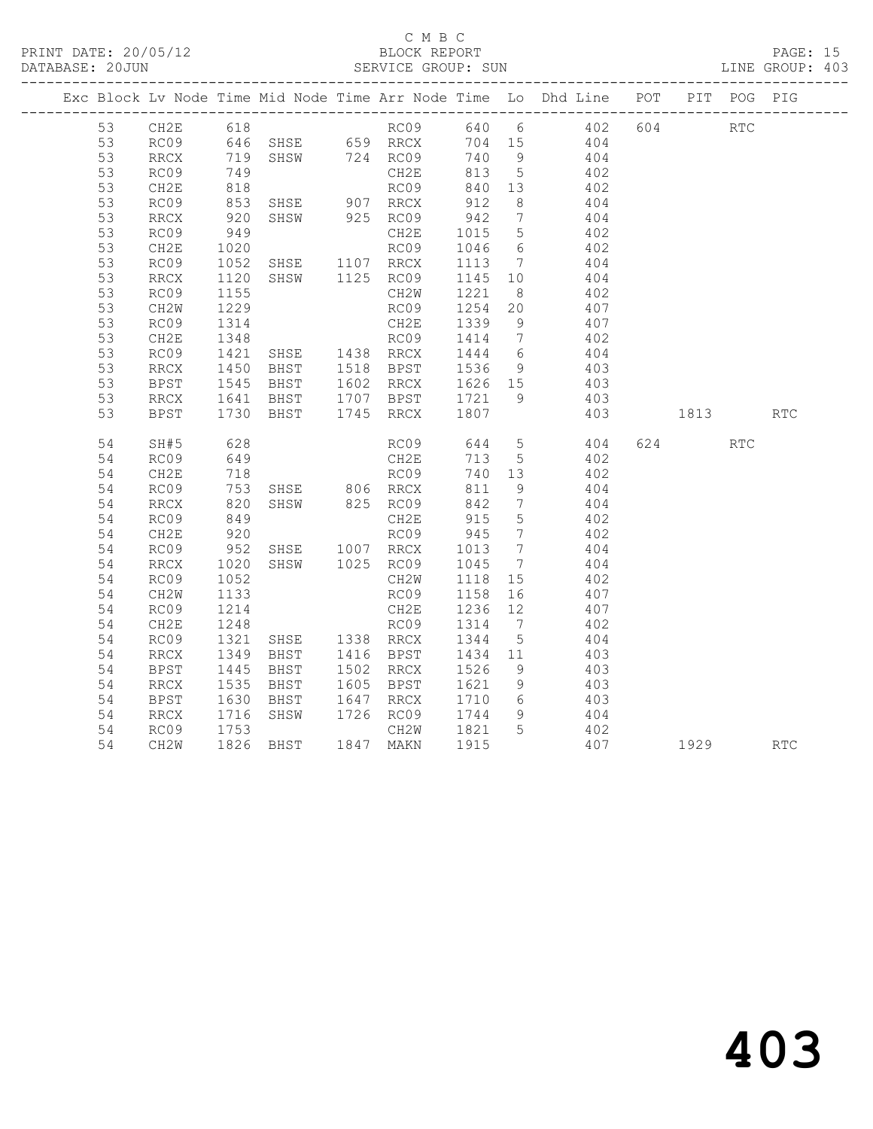|  |    |      |                      |                                                                                                                                                                                                                 |              |                   |                 | Exc Block Lv Node Time Mid Node Time Arr Node Time Lo Dhd Line POT PIT POG PIG                     |      |            |            |
|--|----|------|----------------------|-----------------------------------------------------------------------------------------------------------------------------------------------------------------------------------------------------------------|--------------|-------------------|-----------------|----------------------------------------------------------------------------------------------------|------|------------|------------|
|  |    |      |                      |                                                                                                                                                                                                                 |              |                   |                 | 53 CH2E 618 RC09 640 6 402 604 RTC                                                                 |      |            |            |
|  | 53 |      |                      |                                                                                                                                                                                                                 |              |                   |                 |                                                                                                    |      |            |            |
|  | 53 |      |                      |                                                                                                                                                                                                                 |              |                   |                 |                                                                                                    |      |            |            |
|  | 53 | RC09 | 749                  |                                                                                                                                                                                                                 |              | 813 5             |                 | 402                                                                                                |      |            |            |
|  | 53 | CH2E |                      |                                                                                                                                                                                                                 |              |                   |                 | RC09 840 13 402<br>RRCX 912 8 404                                                                  |      |            |            |
|  | 53 | RC09 |                      |                                                                                                                                                                                                                 |              |                   |                 |                                                                                                    |      |            |            |
|  | 53 | RRCX | 920                  | SHSW 925 RC09                                                                                                                                                                                                   |              |                   |                 | 942 7 404                                                                                          |      |            |            |
|  | 53 | RC09 | 949                  |                                                                                                                                                                                                                 |              |                   |                 | CH2E 1015 5 402<br>RC09 1046 6 402<br>SHSE 1107 RRCX 1113 7 404                                    |      |            |            |
|  | 53 | CH2E | 1020                 |                                                                                                                                                                                                                 |              |                   |                 |                                                                                                    |      |            |            |
|  | 53 | RC09 | 1052<br>1120<br>1155 |                                                                                                                                                                                                                 |              |                   |                 |                                                                                                    |      |            |            |
|  | 53 | RRCX |                      |                                                                                                                                                                                                                 |              |                   |                 | SHSW 1125 RC09 1145 10 404<br>CH2W 1221 8 402                                                      |      |            |            |
|  | 53 | RC09 |                      |                                                                                                                                                                                                                 |              |                   |                 |                                                                                                    |      |            |            |
|  | 53 | CH2W |                      |                                                                                                                                                                                                                 |              |                   |                 | RC09 1254 20 407<br>CH2E 1339 9 407                                                                |      |            |            |
|  | 53 | RC09 |                      |                                                                                                                                                                                                                 |              |                   |                 |                                                                                                    |      |            |            |
|  | 53 | CH2E |                      |                                                                                                                                                                                                                 |              |                   |                 | 402                                                                                                |      |            |            |
|  | 53 | RC09 |                      |                                                                                                                                                                                                                 |              |                   |                 | $404$<br>$403$                                                                                     |      |            |            |
|  | 53 | RRCX |                      |                                                                                                                                                                                                                 |              |                   |                 |                                                                                                    |      |            |            |
|  | 53 | BPST |                      |                                                                                                                                                                                                                 |              |                   |                 | 403                                                                                                |      |            |            |
|  | 53 | RRCX |                      |                                                                                                                                                                                                                 |              |                   |                 | 403                                                                                                |      |            |            |
|  | 53 | BPST |                      | 1229 RC09 1254 20<br>1314 RC09 1254 20<br>1348 RC09 1414 7<br>1421 SHSE 1438 RRCX 1444 6<br>1450 BHST 1518 BPST 1536 9<br>1545 BHST 1602 RRCX 1626 15<br>1641 BHST 1707 BPST 1721 9<br>1730 BHST 1745 RRCX 1807 |              |                   |                 | 403                                                                                                | 1813 |            | <b>RTC</b> |
|  | 54 | SH#5 | 628<br>649           |                                                                                                                                                                                                                 |              |                   |                 | $404$<br>$402$                                                                                     | 624  | <b>RTC</b> |            |
|  | 54 | RC09 |                      |                                                                                                                                                                                                                 |              |                   |                 |                                                                                                    |      |            |            |
|  | 54 | CH2E | 718<br>753<br>820    |                                                                                                                                                                                                                 | RC09         | 740 13            |                 | 402                                                                                                |      |            |            |
|  | 54 | RC09 |                      | SHSE 806 RRCX 811 9<br>SHSW 825 RC09 842 7                                                                                                                                                                      |              |                   |                 | 404                                                                                                |      |            |            |
|  | 54 | RRCX |                      |                                                                                                                                                                                                                 |              |                   |                 | 404                                                                                                |      |            |            |
|  | 54 | RC09 |                      |                                                                                                                                                                                                                 |              |                   |                 | 402                                                                                                |      |            |            |
|  | 54 | CH2E |                      |                                                                                                                                                                                                                 |              |                   | $7\overline{ }$ | 402                                                                                                |      |            |            |
|  | 54 | RC09 |                      |                                                                                                                                                                                                                 |              |                   |                 | 404                                                                                                |      |            |            |
|  | 54 | RRCX | 1020<br>1052         | SHSW 1025 RC09 1045 7<br>CH2W 1118 15                                                                                                                                                                           |              |                   |                 | 404                                                                                                |      |            |            |
|  | 54 | RC09 |                      |                                                                                                                                                                                                                 |              |                   |                 | 402                                                                                                |      |            |            |
|  | 54 | CH2W | 1133                 |                                                                                                                                                                                                                 | RC09 1158 16 |                   |                 | 407                                                                                                |      |            |            |
|  | 54 | RC09 |                      | 1214 CH2E 1236 12<br>1248 RC09 1314 7<br>1321 SHSE 1338 RRCX 1344 5                                                                                                                                             |              |                   |                 | 407                                                                                                |      |            |            |
|  | 54 | CH2E |                      |                                                                                                                                                                                                                 |              |                   |                 | 402                                                                                                |      |            |            |
|  | 54 | RC09 |                      |                                                                                                                                                                                                                 |              |                   |                 | 404                                                                                                |      |            |            |
|  | 54 | RRCX | 1349<br>1445         | BHST 1416 BPST<br>BHST 1502 RRCX                                                                                                                                                                                |              | 1434 11<br>1526 9 |                 | $403$<br>$403$                                                                                     |      |            |            |
|  | 54 | BPST |                      |                                                                                                                                                                                                                 |              |                   |                 |                                                                                                    |      |            |            |
|  | 54 | RRCX |                      |                                                                                                                                                                                                                 |              |                   |                 | 1535 BHST 1605 BPST 1621 9 403<br>1630 BHST 1647 RRCX 1710 6 403<br>1716 SHSW 1726 RC09 1744 9 404 |      |            |            |
|  | 54 | BPST |                      |                                                                                                                                                                                                                 |              |                   |                 |                                                                                                    |      |            |            |
|  | 54 | RRCX |                      |                                                                                                                                                                                                                 |              |                   |                 |                                                                                                    |      |            |            |
|  | 54 | RC09 | 1753                 |                                                                                                                                                                                                                 | CH2W 1821 5  |                   |                 | 402                                                                                                |      |            |            |
|  | 54 | CH2W |                      | 1826 BHST 1847 MAKN 1915                                                                                                                                                                                        |              |                   |                 | 407 1929                                                                                           |      |            | RTC        |
|  |    |      |                      |                                                                                                                                                                                                                 |              |                   |                 |                                                                                                    |      |            |            |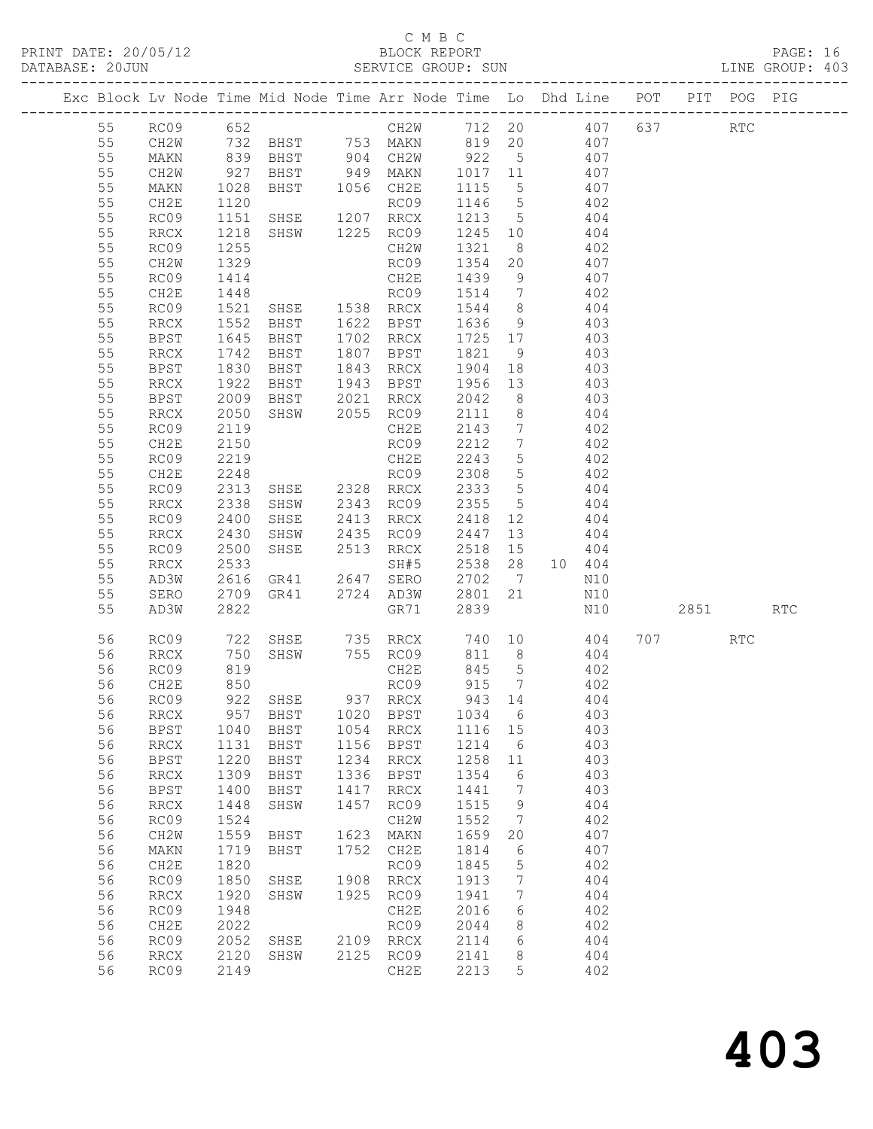|  |          |                     |                  | Exc Block Lv Node Time Mid Node Time Arr Node Time Lo Dhd Line POT                                               |              |                                                                                     |                     |                 |                |                   |                                 | PIT POG PIG |            |
|--|----------|---------------------|------------------|------------------------------------------------------------------------------------------------------------------|--------------|-------------------------------------------------------------------------------------|---------------------|-----------------|----------------|-------------------|---------------------------------|-------------|------------|
|  | 55       | RC09 652            |                  |                                                                                                                  |              | CH2W 712 20 407 637                                                                 |                     |                 |                |                   |                                 | <b>RTC</b>  |            |
|  | 55       | CH2W                |                  |                                                                                                                  |              |                                                                                     |                     |                 |                |                   |                                 |             |            |
|  | 55       | MAKN                |                  | 732 BHST     753 MAKN      819   20           407<br>839   BHST       904   CH2W        922     5            407 |              |                                                                                     |                     |                 |                |                   |                                 |             |            |
|  | 55       | CH2W                | 927              |                                                                                                                  |              | BHST 949 MAKN 1017 11                                                               |                     |                 | 407            |                   |                                 |             |            |
|  | 55       | MAKN                | 1028             | BHST 1056 CH2E                                                                                                   |              |                                                                                     | 1115                | $5\overline{)}$ | 407            |                   |                                 |             |            |
|  | 55       | CH2E                | 1120             |                                                                                                                  |              | RC09                                                                                | 1146 5              |                 |                |                   |                                 |             |            |
|  | 55       | RC09                | $\frac{1}{1151}$ | SHSE 1207 RRCX                                                                                                   |              |                                                                                     | 1213 5              |                 |                | $\frac{402}{404}$ |                                 |             |            |
|  | 55       | RRCX                | 1218             | SHSW 1225 RC09                                                                                                   |              |                                                                                     | 1245 10 404         |                 |                |                   |                                 |             |            |
|  | 55       | RC09                | 1255             |                                                                                                                  |              | CH2W                                                                                | 1321                | 8 <sup>8</sup>  | 402            |                   |                                 |             |            |
|  | 55       | CH2W                | 1329             |                                                                                                                  |              |                                                                                     |                     |                 |                |                   |                                 |             |            |
|  | 55       | RC09                | 1414             |                                                                                                                  |              |                                                                                     |                     |                 |                |                   |                                 |             |            |
|  | 55       | CH2E                | 1448             |                                                                                                                  |              | RC09 1354 20 407<br>CH2E 1439 9 407<br>RC09 1514 7 402<br>SHSE 1538 RRCX 1544 8 404 |                     |                 |                |                   |                                 |             |            |
|  | 55       | RC09                | 1521             |                                                                                                                  |              |                                                                                     |                     |                 |                |                   |                                 |             |            |
|  | 55       | RRCX                | 1552<br>1645     | <b>BHST</b>                                                                                                      |              | 1622 BPST                                                                           | 1636                | 9               |                | 403               |                                 |             |            |
|  | 55       | BPST                |                  | BHST                                                                                                             |              | 1702 RRCX                                                                           | 1725 17             |                 |                | 403               |                                 |             |            |
|  | 55       | RRCX                | 1742             | BHST                                                                                                             |              | 1807 BPST                                                                           | 1821                | 9               | 403            |                   |                                 |             |            |
|  | 55       | BPST                | 1830             | BHST                                                                                                             |              | 1843 RRCX                                                                           | 1904                | 18              | 403            |                   |                                 |             |            |
|  | 55       | RRCX                | 1922             | BHST                                                                                                             |              | 1943 BPST                                                                           | 1956                | 13              |                | 403               |                                 |             |            |
|  | 55       | BPST                | 2009             | BHST 2021 RRCX                                                                                                   |              |                                                                                     | 2042                | 8 <sup>8</sup>  |                | 403               |                                 |             |            |
|  | 55       | RRCX                | 2050             | SHSW 2055 RC09                                                                                                   |              |                                                                                     | 2111                |                 | 8 404          |                   |                                 |             |            |
|  | 55       | RC09                | 2119             |                                                                                                                  |              | CH2E                                                                                | 2143                |                 | 7 402          |                   |                                 |             |            |
|  | 55       | CH2E                | 2150             |                                                                                                                  |              | RC09                                                                                | 2212                | $7\overline{ }$ |                | 402               |                                 |             |            |
|  | 55       | RC09                | 2219             |                                                                                                                  |              | CH2E                                                                                | 2243                | 5 <sup>5</sup>  | $402$<br>$402$ |                   |                                 |             |            |
|  | 55       | CH2E                | 2248             |                                                                                                                  |              | RC09                                                                                | 2308                | 5 <sup>5</sup>  |                |                   |                                 |             |            |
|  | 55       | RC09                | 2313             | SHSE 2328 RRCX                                                                                                   |              |                                                                                     | 2333                |                 | 5 404          |                   |                                 |             |            |
|  | 55       | RRCX                | 2338             | SHSW                                                                                                             |              | 2343 RC09                                                                           | 2355                | 5 <sup>5</sup>  |                | 404               |                                 |             |            |
|  | 55<br>55 | RC09                | 2400<br>2430     | SHSE                                                                                                             |              | 2413 RRCX<br>2435 RC09                                                              | 2418 12             |                 |                | 404<br>404        |                                 |             |            |
|  | 55       | RRCX<br>RC09        | 2500             | SHSW<br>SHSE                                                                                                     |              | 2513 RRCX                                                                           | 2447<br>2518 15 404 | 13              |                |                   |                                 |             |            |
|  | 55       | RRCX                | 2533             |                                                                                                                  |              | SH#5                                                                                | 2538                |                 | 28 10 404      |                   |                                 |             |            |
|  | 55       | AD3W                | 2616             | GR41  2647  SERO                                                                                                 |              |                                                                                     | 2702                | $\overline{7}$  |                | N10               |                                 |             |            |
|  | 55       | SERO                | 2709             | GR41 2724 AD3W                                                                                                   |              |                                                                                     | 2801                | 21              |                | N10               |                                 |             |            |
|  | 55       | AD3W                | 2822             |                                                                                                                  |              | GR71                                                                                | 2839                |                 |                | N10               | 2851 7                          |             | <b>RTC</b> |
|  |          |                     |                  |                                                                                                                  |              |                                                                                     |                     |                 |                |                   |                                 |             |            |
|  | 56       | RC09                | 722<br>750       |                                                                                                                  |              | SHSE 735 RRCX 740 10 404<br>SHSW 755 RC09 811 8 404                                 |                     |                 |                |                   | 707 — 2007 — 2008 — 2014 — 2020 | <b>RTC</b>  |            |
|  | 56       | RRCX                |                  |                                                                                                                  |              |                                                                                     | 811 8               |                 |                |                   |                                 |             |            |
|  | 56       | RC09                | 819              |                                                                                                                  |              | CH2E                                                                                | 845 5               |                 | 402            |                   |                                 |             |            |
|  | 56       | CH2E                | 850              |                                                                                                                  |              | RC09                                                                                | 915 7               |                 |                | 402               |                                 |             |            |
|  | 56       | RC09                |                  | 922 SHSE 937 RRCX                                                                                                |              |                                                                                     | 943 14              |                 |                | 404               |                                 |             |            |
|  |          |                     |                  | 56 RRCX 957 BHST 1020 BPST 1034 6                                                                                |              |                                                                                     |                     |                 |                | 403               |                                 |             |            |
|  | 56       | <b>BPST</b>         | 1040             | BHST                                                                                                             | 1054         | <b>RRCX</b>                                                                         | 1116                | 15              |                | 403               |                                 |             |            |
|  | 56       | RRCX                | 1131             | BHST                                                                                                             | 1156         | <b>BPST</b>                                                                         | 1214                | - 6             |                | 403               |                                 |             |            |
|  | 56       | $_{\rm BPST}$       | 1220             | BHST                                                                                                             | 1234         | RRCX                                                                                | 1258                | 11              |                | 403               |                                 |             |            |
|  | 56<br>56 | <b>RRCX</b><br>BPST | 1309<br>1400     | BHST                                                                                                             | 1336<br>1417 | <b>BPST</b>                                                                         | 1354<br>1441        | 6<br>7          |                | 403<br>403        |                                 |             |            |
|  | 56       | <b>RRCX</b>         | 1448             | BHST<br>SHSW                                                                                                     | 1457         | RRCX<br>RC09                                                                        | 1515                | 9               |                | 404               |                                 |             |            |
|  | 56       | RC09                | 1524             |                                                                                                                  |              | CH2W                                                                                | 1552                | 7               |                | 402               |                                 |             |            |
|  | 56       | CH2W                | 1559             | BHST                                                                                                             | 1623         | MAKN                                                                                | 1659                | 20              |                | 407               |                                 |             |            |
|  | 56       | MAKN                | 1719             | BHST                                                                                                             | 1752         | CH2E                                                                                | 1814                | 6               |                | 407               |                                 |             |            |
|  | 56       | CH2E                | 1820             |                                                                                                                  |              | RC09                                                                                | 1845                | 5               |                | 402               |                                 |             |            |
|  | 56       | RC09                | 1850             | SHSE                                                                                                             | 1908         | RRCX                                                                                | 1913                | 7               |                | 404               |                                 |             |            |
|  | 56       | <b>RRCX</b>         | 1920             | SHSW                                                                                                             | 1925         | RC09                                                                                | 1941                | $7\phantom{.0}$ |                | 404               |                                 |             |            |
|  | 56       | RC09                | 1948             |                                                                                                                  |              | CH2E                                                                                | 2016                | 6               |                | 402               |                                 |             |            |
|  | 56       | CH2E                | 2022             |                                                                                                                  |              | RC09                                                                                | 2044                | 8               |                | 402               |                                 |             |            |
|  | 56       | RC09                | 2052             | SHSE                                                                                                             | 2109         | $\mathop{\mathrm{RRCX}}$                                                            | 2114                | 6               |                | 404               |                                 |             |            |
|  | 56       | RRCX                | 2120             | SHSW                                                                                                             | 2125         | RC09                                                                                | 2141                | 8               |                | 404               |                                 |             |            |
|  | 56       | RC09                | 2149             |                                                                                                                  |              | CH2E                                                                                | 2213                | 5               |                | 402               |                                 |             |            |
|  |          |                     |                  |                                                                                                                  |              |                                                                                     |                     |                 |                |                   |                                 |             |            |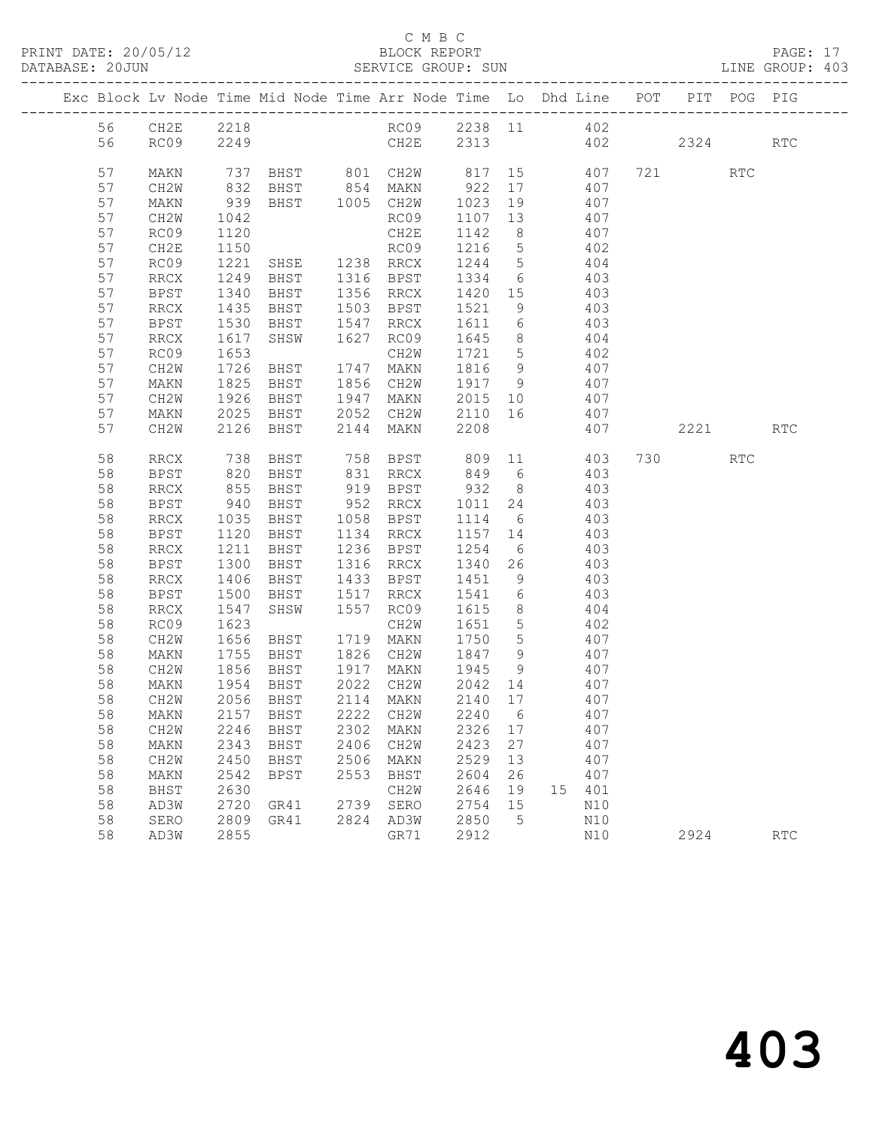|  |    |             |                  | Exc Block Lv Node Time Mid Node Time Arr Node Time Lo Dhd Line POT PIT POG PIG |      |                           |                                   |                |                 |     |          |     |            |
|--|----|-------------|------------------|--------------------------------------------------------------------------------|------|---------------------------|-----------------------------------|----------------|-----------------|-----|----------|-----|------------|
|  |    |             |                  |                                                                                |      |                           |                                   |                |                 |     |          |     |            |
|  | 56 | CH2E 2218   |                  |                                                                                |      | RC09 2238 11 402          |                                   |                |                 |     |          |     |            |
|  | 56 | RC09        | 2249             |                                                                                |      | CH2E 2313 402 2324        |                                   |                |                 |     |          |     | <b>RTC</b> |
|  | 57 | MAKN        |                  | 737 BHST 801 CH2W 817 15 407 721 RTC                                           |      |                           |                                   |                |                 |     |          |     |            |
|  | 57 | CH2W        |                  |                                                                                |      |                           | 922                               |                | 17 407          |     |          |     |            |
|  | 57 | MAKN        | 832<br>939       | BHST 854 MAKN<br>BHST 1005 CH2W                                                |      |                           | 1023 19                           |                |                 | 407 |          |     |            |
|  | 57 | CH2W        | 1042             |                                                                                |      | RC09                      | 1107 13                           |                | $\frac{1}{407}$ |     |          |     |            |
|  | 57 | RC09        | 1120             |                                                                                |      | CH2E                      | 1142                              | 8 <sup>8</sup> | 407             |     |          |     |            |
|  | 57 | CH2E        | 1150             |                                                                                |      |                           | 1216 5                            |                | 402             |     |          |     |            |
|  | 57 | RC09        | 1221             |                                                                                |      |                           | 1244 5                            |                |                 | 404 |          |     |            |
|  | 57 | RRCX        | 1249             | RC09<br>SHSE 1238 RRCX<br>BHST 1316 BPST                                       |      |                           | 1334 6                            |                |                 | 403 |          |     |            |
|  | 57 | BPST        | 1340             | BHST                                                                           |      | 1356 RRCX                 | 1420 15                           |                | 403             |     |          |     |            |
|  | 57 | RRCX        | 1435             | BHST                                                                           |      | 1503 BPST                 | 1521                              | 9              |                 | 403 |          |     |            |
|  | 57 | BPST        |                  | BHST                                                                           |      | 1547 RRCX                 | 1611 6                            |                |                 | 403 |          |     |            |
|  | 57 | RRCX        | $152$<br>$1617$  | SHSW                                                                           |      | 1627 RC09                 | 1645                              | 8 <sup>8</sup> |                 | 404 |          |     |            |
|  | 57 | RC09        | 1653             |                                                                                |      | CH2W                      | 1721 5                            |                | 402             |     |          |     |            |
|  | 57 | CH2W        | 1726             | BHST                                                                           |      | 1747 MAKN                 | 1816 9                            |                | 407             |     |          |     |            |
|  | 57 | MAKN        |                  | <b>BHST</b>                                                                    |      | 1856 CH2W                 |                                   |                |                 | 407 |          |     |            |
|  | 57 | CH2W        | 1825<br>1926     | BHST                                                                           |      | 1947 MAKN                 | $\frac{1917}{2015}$ 10<br>2015 10 |                |                 | 407 |          |     |            |
|  | 57 | MAKN        | 2025             | BHST                                                                           |      | 2052 CH2W                 | 2110 16 407                       |                |                 |     |          |     |            |
|  | 57 | CH2W        | 2126             | BHST                                                                           |      | 2144 MAKN                 | 2208                              |                |                 | 407 | 2221 RTC |     |            |
|  |    |             |                  |                                                                                |      |                           |                                   |                |                 |     |          |     |            |
|  | 58 | RRCX        | 738              | BHST                                                                           |      | 758 BPST 809 11 403       |                                   |                |                 |     | 730      | RTC |            |
|  | 58 | BPST        | 820              | BHST                                                                           |      | 831 RRCX                  | 849 6                             |                |                 | 403 |          |     |            |
|  | 58 | RRCX        | 855              | BHST                                                                           |      | 919 BPST 932 8 403        |                                   |                |                 |     |          |     |            |
|  | 58 | BPST        | 940              | BHST                                                                           |      | 952 RRCX                  | 1011                              | 24             |                 | 403 |          |     |            |
|  | 58 | RRCX        | 1035             | BHST                                                                           |      | 1058 BPST                 | 1114 6                            |                |                 | 403 |          |     |            |
|  | 58 | BPST        | 1120             | BHST                                                                           |      | 1134 RRCX                 | 1157 14                           |                | 403             |     |          |     |            |
|  | 58 | RRCX        | 1211             | <b>BHST</b>                                                                    |      | 1236 BPST                 | 1254                              |                | 6 403           |     |          |     |            |
|  | 58 | <b>BPST</b> | 1300             | BHST                                                                           |      | 1316 RRCX                 | 1340 26                           |                |                 | 403 |          |     |            |
|  | 58 | RRCX        | 1406             | BHST                                                                           |      | 1433 BPST                 | 1451                              | 9              |                 | 403 |          |     |            |
|  | 58 | BPST        | 1500             | BHST                                                                           |      | 1517 RRCX                 | 1541 6                            |                |                 | 403 |          |     |            |
|  | 58 | RRCX        | 1547             | SHSW                                                                           |      | 1557 RC09                 | 1615 8                            |                | 404             |     |          |     |            |
|  | 58 | RC09        | 1623             |                                                                                |      | CH2W                      | 1651 5                            |                |                 | 402 |          |     |            |
|  | 58 | CH2W        | $1650$<br>$1755$ | BHST                                                                           |      | 1719 MAKN                 | 1750 5                            |                |                 | 407 |          |     |            |
|  | 58 | MAKN        |                  | BHST                                                                           |      | 1826 CH2W                 | 1847 9                            |                |                 | 407 |          |     |            |
|  | 58 | CH2W        | 1856             |                                                                                |      | BHST 1917 MAKN 1945 9 407 |                                   |                |                 |     |          |     |            |
|  | 58 | MAKN        | 1954             | BHST                                                                           |      | 2022 CH2W                 | 2042 14                           |                |                 | 407 |          |     |            |
|  | 58 | CH2W        |                  | 2056 BHST                                                                      |      | 2114 MAKN                 | 2140 17                           |                |                 | 407 |          |     |            |
|  |    |             |                  | 58 MAKN 2157 BHST 2222 CH2W 2240 6                                             |      |                           |                                   |                |                 | 407 |          |     |            |
|  | 58 | CH2W        | 2246             | BHST                                                                           | 2302 | MAKN                      | 2326                              | 17             |                 | 407 |          |     |            |
|  | 58 | MAKN        | 2343             | BHST                                                                           | 2406 | CH2W                      | 2423                              | 27             |                 | 407 |          |     |            |
|  | 58 | CH2W        | 2450             | BHST                                                                           | 2506 | MAKN                      | 2529                              | 13             |                 | 407 |          |     |            |
|  | 58 | MAKN        | 2542             | <b>BPST</b>                                                                    | 2553 | BHST                      | 2604                              | 26             |                 | 407 |          |     |            |
|  | 58 | BHST        | 2630             |                                                                                |      | CH2W                      | 2646                              | 19             | 15              | 401 |          |     |            |
|  | 58 | AD3W        | 2720             | GR41                                                                           | 2739 | SERO                      | 2754                              | 15             |                 | N10 |          |     |            |
|  | 58 | SERO        | 2809             | GR41                                                                           |      | 2824 AD3W                 | 2850                              | 5              |                 | N10 |          |     |            |
|  | 58 | AD3W        | 2855             |                                                                                |      | GR71                      | 2912                              |                |                 | N10 | 2924     |     | <b>RTC</b> |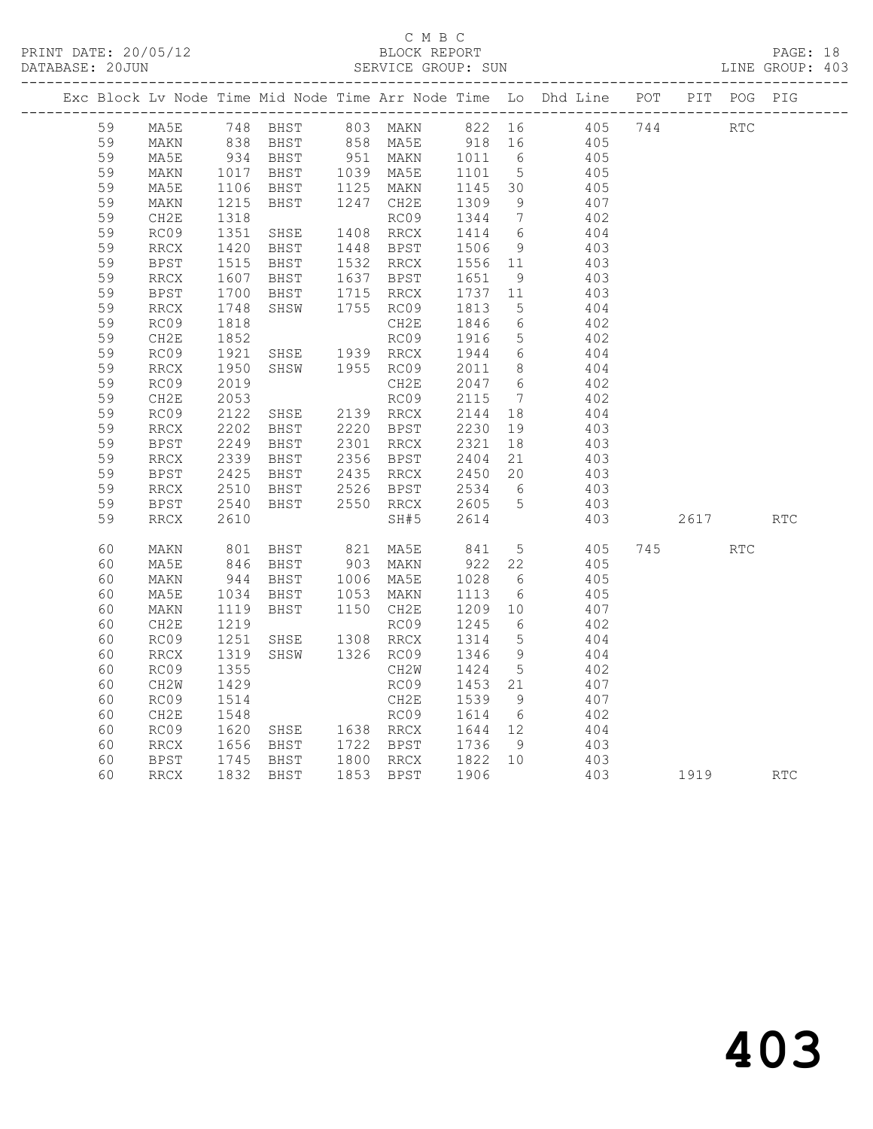#### C M B C<br>BLOCK REPORT SERVICE GROUP: SUN

|  |    |                              |                                                             |                                                                                               |                                                                                                                               |                                                                                                            |                 | Exc Block Lv Node Time Mid Node Time Arr Node Time Lo Dhd Line POT PIT POG PIG |      |            |            |
|--|----|------------------------------|-------------------------------------------------------------|-----------------------------------------------------------------------------------------------|-------------------------------------------------------------------------------------------------------------------------------|------------------------------------------------------------------------------------------------------------|-----------------|--------------------------------------------------------------------------------|------|------------|------------|
|  | 59 |                              |                                                             |                                                                                               |                                                                                                                               |                                                                                                            |                 | MA5E 748 BHST 803 MAKN 822 16 405 744 RTC                                      |      |            |            |
|  | 59 | MAKN                         |                                                             |                                                                                               |                                                                                                                               |                                                                                                            |                 | 405<br>405                                                                     |      |            |            |
|  | 59 | MA5E                         |                                                             |                                                                                               |                                                                                                                               |                                                                                                            |                 |                                                                                |      |            |            |
|  | 59 | MAKN                         | 1017<br>1106                                                |                                                                                               | BHST 1039 MA5E 1101 5<br>BHST 1125 MAKN 1145 30                                                                               |                                                                                                            |                 | 405<br>405                                                                     |      |            |            |
|  | 59 | MA5E                         |                                                             |                                                                                               |                                                                                                                               |                                                                                                            |                 |                                                                                |      |            |            |
|  | 59 | MAKN                         |                                                             | BHST                                                                                          | 1247 CH2E                                                                                                                     | 1309                                                                                                       | 9               | 407                                                                            |      |            |            |
|  | 59 | CH2E                         | $\begin{array}{c} 1100 \\ 1215 \\ 1318 \\ 1351 \end{array}$ |                                                                                               | RC09                                                                                                                          | 1344 7                                                                                                     |                 | 402                                                                            |      |            |            |
|  | 59 | RC09                         |                                                             | SHSE                                                                                          | 1408 RRCX                                                                                                                     | 1414 6                                                                                                     |                 | 404                                                                            |      |            |            |
|  | 59 | RRCX                         | 1420<br>1515                                                | BHST 1448 BPST<br>BHST 1532 RRCX                                                              |                                                                                                                               | 1506 9<br>1556 11                                                                                          |                 | $403$<br>$403$                                                                 |      |            |            |
|  | 59 | <b>BPST</b>                  |                                                             |                                                                                               |                                                                                                                               |                                                                                                            |                 |                                                                                |      |            |            |
|  | 59 | RRCX                         | $\begin{array}{c} 1607 \\ 1607 \\ 1700 \\ 1748 \end{array}$ | BHST 1637 BPST                                                                                |                                                                                                                               | $\begin{bmatrix} 1 & 1 & 1 \\ 1 & 6 & 5 \\ 1 & 7 & 3 \\ 1 & 8 & 1 \\ 1 & 8 & 1 \\ 3 & 1 & 5 \end{bmatrix}$ |                 | 403                                                                            |      |            |            |
|  | 59 | <b>BPST</b>                  |                                                             | BHST 1715 RRCX<br>SHSW 1755 RC09                                                              |                                                                                                                               |                                                                                                            |                 | 403                                                                            |      |            |            |
|  | 59 | $\rm RRCX$                   |                                                             |                                                                                               |                                                                                                                               |                                                                                                            |                 | 404                                                                            |      |            |            |
|  | 59 | RC09                         | 1818<br>1852                                                |                                                                                               | CH2E                                                                                                                          | 1846 6<br>1916 5                                                                                           |                 | 402                                                                            |      |            |            |
|  | 59 | CH2E                         |                                                             |                                                                                               | RC09                                                                                                                          |                                                                                                            |                 | 402                                                                            |      |            |            |
|  | 59 | RC09                         | 1921<br>1950                                                | SHSE 1939 RRCX                                                                                |                                                                                                                               | 1944 6                                                                                                     |                 | 404                                                                            |      |            |            |
|  | 59 | RRCX                         |                                                             | SHSW 1955 RC09                                                                                |                                                                                                                               | 2011 8                                                                                                     |                 | 404                                                                            |      |            |            |
|  | 59 | RC09                         | 2019                                                        |                                                                                               | CH2E                                                                                                                          | 2047 6                                                                                                     |                 | 402                                                                            |      |            |            |
|  | 59 | CH2E                         | 2053                                                        |                                                                                               | RC09                                                                                                                          | 2115<br>2115 7<br>2144 18                                                                                  | $\overline{7}$  | 402                                                                            |      |            |            |
|  | 59 | RC09                         | 2122                                                        |                                                                                               |                                                                                                                               |                                                                                                            |                 | 404                                                                            |      |            |            |
|  | 59 | $\mathop{\rm RRCX}\nolimits$ | 2202                                                        | BHST 2220 BPST<br>BHST 2301 RRCX                                                              |                                                                                                                               |                                                                                                            |                 | 403                                                                            |      |            |            |
|  | 59 | <b>BPST</b>                  | 2249                                                        |                                                                                               |                                                                                                                               |                                                                                                            |                 | 403                                                                            |      |            |            |
|  | 59 | RRCX                         | 2339                                                        |                                                                                               | BHST 2220 BPST 2230 19<br>BHST 2301 RRCX 2321 18<br>BHST 2356 BPST 2404 21<br>BHST 2435 RRCX 2450 20<br>BHST 2526 BPST 2534 6 |                                                                                                            |                 | 403                                                                            |      |            |            |
|  | 59 | <b>BPST</b>                  | 2425<br>2510                                                |                                                                                               |                                                                                                                               |                                                                                                            |                 | $403$<br>$403$                                                                 |      |            |            |
|  | 59 | RRCX                         |                                                             |                                                                                               |                                                                                                                               |                                                                                                            |                 |                                                                                |      |            |            |
|  | 59 | <b>BPST</b>                  | 2540                                                        | BHST                                                                                          | 2550 RRCX 2605 5                                                                                                              |                                                                                                            |                 | 403                                                                            |      |            |            |
|  | 59 | RRCX                         | 2610                                                        |                                                                                               | SH#5                                                                                                                          | 2614                                                                                                       |                 | 403                                                                            | 2617 |            | <b>RTC</b> |
|  | 60 | MAKN                         |                                                             | 801 BHST       821   MA5E        841     5<br>846   BHST         903   MAKN         922    22 |                                                                                                                               |                                                                                                            |                 | 405 745<br>405                                                                 |      | <b>RTC</b> |            |
|  | 60 | MA5E                         |                                                             |                                                                                               |                                                                                                                               |                                                                                                            |                 |                                                                                |      |            |            |
|  | 60 | MAKN                         | 944<br>1034                                                 | BHST 1006 MA5E<br>BHST 1053 MAKN                                                              |                                                                                                                               | 1028<br>1113                                                                                               | $6\overline{6}$ | 405                                                                            |      |            |            |
|  | 60 | MA5E                         |                                                             |                                                                                               |                                                                                                                               |                                                                                                            | $6\overline{6}$ | 405                                                                            |      |            |            |
|  | 60 | MAKN                         | 1119                                                        | BHST 1150 CH2E                                                                                |                                                                                                                               | 1209 10                                                                                                    |                 | 407                                                                            |      |            |            |
|  | 60 | CH2E                         | $12 - 1251$<br>1251                                         | SHSE                                                                                          | RC09                                                                                                                          | 1245 6<br>1314 5                                                                                           |                 | 402<br>404                                                                     |      |            |            |
|  | 60 | RC09                         |                                                             |                                                                                               | 1308 RRCX                                                                                                                     |                                                                                                            |                 |                                                                                |      |            |            |
|  | 60 | <b>RRCX</b>                  | 1319                                                        | SHSW                                                                                          | 1326 RC09                                                                                                                     | 1346                                                                                                       | 9               | 404                                                                            |      |            |            |
|  | 60 | RC09                         | 1355                                                        |                                                                                               | CH2W                                                                                                                          | 1424                                                                                                       | $5\overline{)}$ | 402                                                                            |      |            |            |
|  | 60 | CH2W                         | 1429                                                        |                                                                                               | RC09                                                                                                                          | 1453 21                                                                                                    |                 | 407                                                                            |      |            |            |
|  | 60 | RC09                         | 1514                                                        |                                                                                               | CH2E 1539 9<br>RC09 1614 6<br>SHSE 1638 RRCX 1644 12<br>BHST 1722 BPST 1736 9                                                 |                                                                                                            |                 | 407                                                                            |      |            |            |
|  | 60 | CH2E                         | 1548                                                        |                                                                                               |                                                                                                                               |                                                                                                            |                 | 402                                                                            |      |            |            |
|  | 60 | RC09                         | 1620<br>1656                                                |                                                                                               |                                                                                                                               |                                                                                                            |                 | 404                                                                            |      |            |            |
|  | 60 | RRCX                         |                                                             |                                                                                               |                                                                                                                               | $1/36$ 9<br>1822 10                                                                                        |                 | 403                                                                            |      |            |            |
|  | 60 | BPST                         |                                                             | 1745 BHST 1800 RRCX                                                                           |                                                                                                                               |                                                                                                            |                 | 403                                                                            |      |            |            |
|  | 60 | <b>RRCX</b>                  | 1832                                                        | BHST                                                                                          | 1853 BPST                                                                                                                     | 1906                                                                                                       |                 | 403                                                                            | 1919 |            | <b>RTC</b> |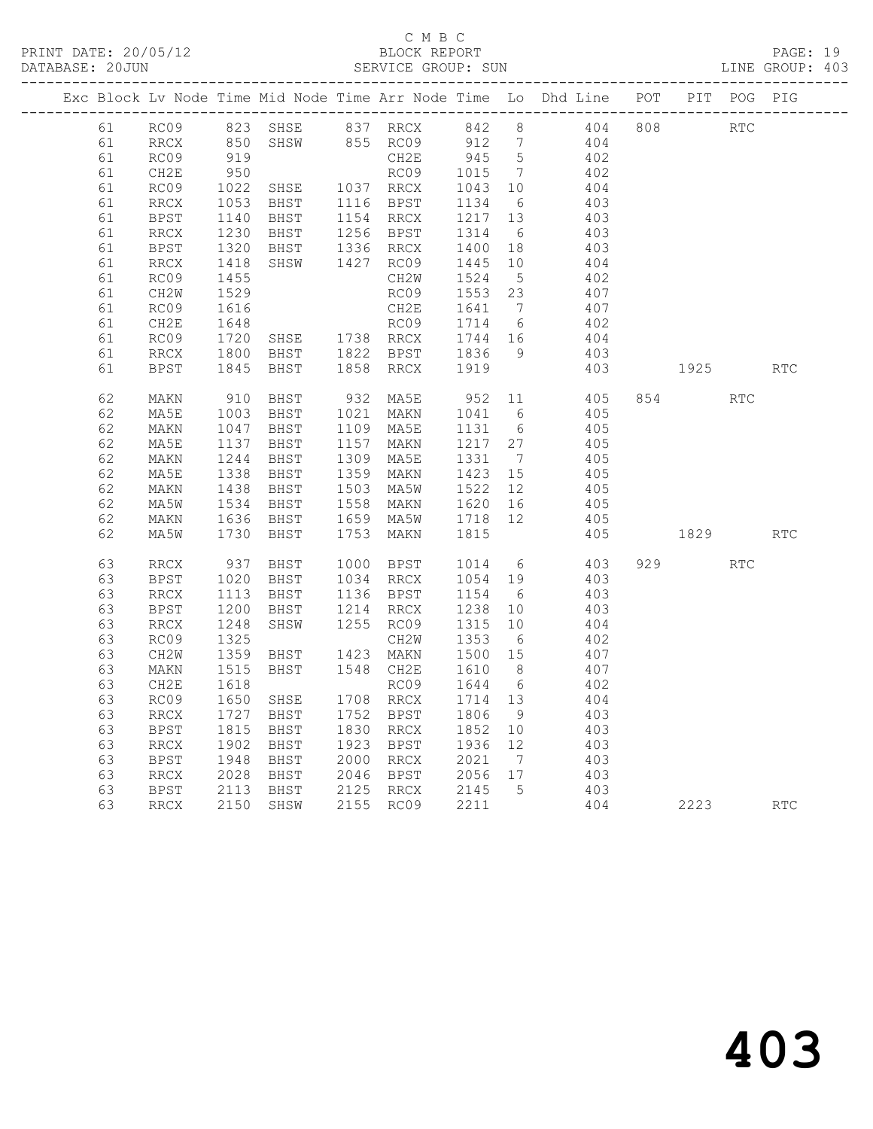|          |                   |              |                     |      |              |                                                                                  |                 | Exc Block Lv Node Time Mid Node Time Arr Node Time Lo Dhd Line POT |            | PIT POG PIG |            |
|----------|-------------------|--------------|---------------------|------|--------------|----------------------------------------------------------------------------------|-----------------|--------------------------------------------------------------------|------------|-------------|------------|
| 61       | RC09              |              |                     |      |              |                                                                                  |                 | 404 808                                                            | <b>RTC</b> |             |            |
| 61       | RRCX              |              |                     |      |              | 912 7                                                                            |                 | 404                                                                |            |             |            |
| 61       | RC09              | 919          |                     |      | CH2E         | $945$ 5                                                                          |                 | 402                                                                |            |             |            |
| 61       | CH2E              | 950          |                     |      | RC09         | 1015                                                                             | $\overline{7}$  | 402                                                                |            |             |            |
| 61       | RC09              |              | 1022 SHSE 1037 RRCX |      |              | $\begin{bmatrix} 1 & 0 & 0 \\ 1 & 0 & 0 \\ 1 & 1 & 3 & 4 \end{bmatrix}$          |                 | 404                                                                |            |             |            |
| 61       | RRCX              | 1053         | BHST                |      | 1116 BPST    |                                                                                  |                 | 403                                                                |            |             |            |
| 61       | BPST              | 1140         | BHST                |      | 1154 RRCX    | $\begin{array}{rrrr} 1154 & 0 \\ 1217 & 13 \\ 1314 & 6 \\ 1400 & 18 \end{array}$ |                 | 403                                                                |            |             |            |
| 61       | RRCX              | 1230         | BHST                |      | 1256 BPST    |                                                                                  |                 | 403                                                                |            |             |            |
| 61       | BPST              | 1320         | BHST                |      | 1336 RRCX    |                                                                                  |                 | 403                                                                |            |             |            |
| 61       | RRCX              | 1418         | SHSW                |      | 1427 RC09    | 1445                                                                             | 10 <sup>°</sup> | 404                                                                |            |             |            |
| 61       | RC09              | 1455         |                     |      | CH2W         | 1524                                                                             | $5\overline{)}$ | 402                                                                |            |             |            |
| 61       | CH <sub>2</sub> W | 1529         |                     |      | RC09         | 1553 23                                                                          | $\overline{7}$  | 407                                                                |            |             |            |
| 61<br>61 | RC09              | 1616         |                     |      | CH2E<br>RC09 | 1641                                                                             |                 | 407<br>402                                                         |            |             |            |
| 61       | CH2E<br>RC09      | 1648<br>1720 | SHSE 1738 RRCX      |      |              | 1714 6<br>1744 16                                                                |                 | 404                                                                |            |             |            |
| 61       | RRCX              | 1800         | BHST                |      | 1822 BPST    |                                                                                  | 9               | 403                                                                |            |             |            |
| 61       | BPST              | 1845         | BHST                |      | 1858 RRCX    | 1836<br>1919                                                                     |                 | 403                                                                | 1925       |             | RTC        |
|          |                   |              |                     |      |              |                                                                                  |                 |                                                                    |            |             |            |
| 62       | MAKN              | 910          | BHST                |      | 932 MA5E     | 952                                                                              |                 | 11 405                                                             | 854        | RTC         |            |
| 62       | MA5E              | 1003         | BHST                |      | 1021 MAKN    | 1041                                                                             | 6               | 405                                                                |            |             |            |
| 62       | MAKN              | 1047         | BHST                |      | 1109 MA5E    | 1131                                                                             | $6\overline{6}$ | 405                                                                |            |             |            |
| 62       | MA5E              | 1137         | BHST                | 1157 | MAKN         | 1217 27                                                                          |                 | 405                                                                |            |             |            |
| 62       | MAKN              | 1244         | BHST                |      | 1309 MA5E    | 1331                                                                             | $\overline{7}$  | 405                                                                |            |             |            |
| 62       | MA5E              | 1338         | BHST                |      | 1359 MAKN    | 1423                                                                             | 15              | 405                                                                |            |             |            |
| 62       | MAKN              | 1438         | BHST                | 1503 | MA5W         | 1522                                                                             | 12              | 405                                                                |            |             |            |
| 62       | MA5W              | 1534         | BHST                | 1558 | MAKN         | 1620                                                                             | 16              | 405                                                                |            |             |            |
| 62       | MAKN              | 1636         | BHST                |      | 1659 MA5W    | 1718                                                                             | 12              | 405                                                                |            |             |            |
| 62       | MA5W              | 1730         | BHST                | 1753 | MAKN         | 1815                                                                             |                 | 405                                                                | 1829       |             | <b>RTC</b> |
| 63       | RRCX              | 937          | BHST                |      | 1000 BPST    | 1014                                                                             | 6               | 403                                                                | 929 — 10   | <b>RTC</b>  |            |
| 63       | BPST              | 1020         | BHST                |      | 1034 RRCX    | 1054 19                                                                          |                 | 403                                                                |            |             |            |
| 63       | RRCX              | 1113         | BHST                |      | 1136 BPST    | 1154                                                                             | 6               | 403                                                                |            |             |            |
| 63       | BPST              | 1200         | BHST                |      | 1214 RRCX    | 1238                                                                             | 10              | 403                                                                |            |             |            |
| 63       | RRCX              | 1248         | SHSW                |      | 1255 RC09    | 1315                                                                             | 10              | 404                                                                |            |             |            |
| 63       | RC09              | 1325         |                     |      | CH2W         | 1353                                                                             | 6               | 402                                                                |            |             |            |
| 63       | CH2W              | 1359         | BHST                |      | 1423 MAKN    | 1500 15                                                                          |                 | 407                                                                |            |             |            |
| 63       | MAKN              | 1515         | BHST                |      | 1548 CH2E    | 1610                                                                             | 8 <sup>8</sup>  | 407                                                                |            |             |            |
| 63       | CH2E              | 1618         |                     |      | RC09         | 1644                                                                             | $6\overline{6}$ | 402                                                                |            |             |            |
| 63       | RC09              | 1650         | SHSE                |      | 1708 RRCX    | 1714 13                                                                          |                 | 404                                                                |            |             |            |
| 63       | RRCX              | 1727         | BHST                |      | 1752 BPST    | 1806                                                                             | 9               | 403                                                                |            |             |            |
| 63       | BPST              | 1815         | BHST                |      | 1830 RRCX    | 1852                                                                             | 10              | 403                                                                |            |             |            |
| 63       | RRCX              | 1902         | BHST                |      | 1923 BPST    | 1936 12                                                                          |                 | 403                                                                |            |             |            |
| 63       | BPST              | 1948         | BHST                |      | 2000 RRCX    | 2021                                                                             | $\overline{7}$  | 403                                                                |            |             |            |
| 63       | RRCX              | 2028         | BHST                |      | 2046 BPST    | $2056$ 17                                                                        |                 | 403                                                                |            |             |            |
| 63       | BPST              | 2113         | BHST                |      | 2125 RRCX    | 2145                                                                             | $5^{\circ}$     | 403                                                                |            |             |            |
| 63       | RRCX              |              | 2150 SHSW           |      | 2155 RC09    | 2211                                                                             |                 | 404                                                                | 2223       |             | <b>RTC</b> |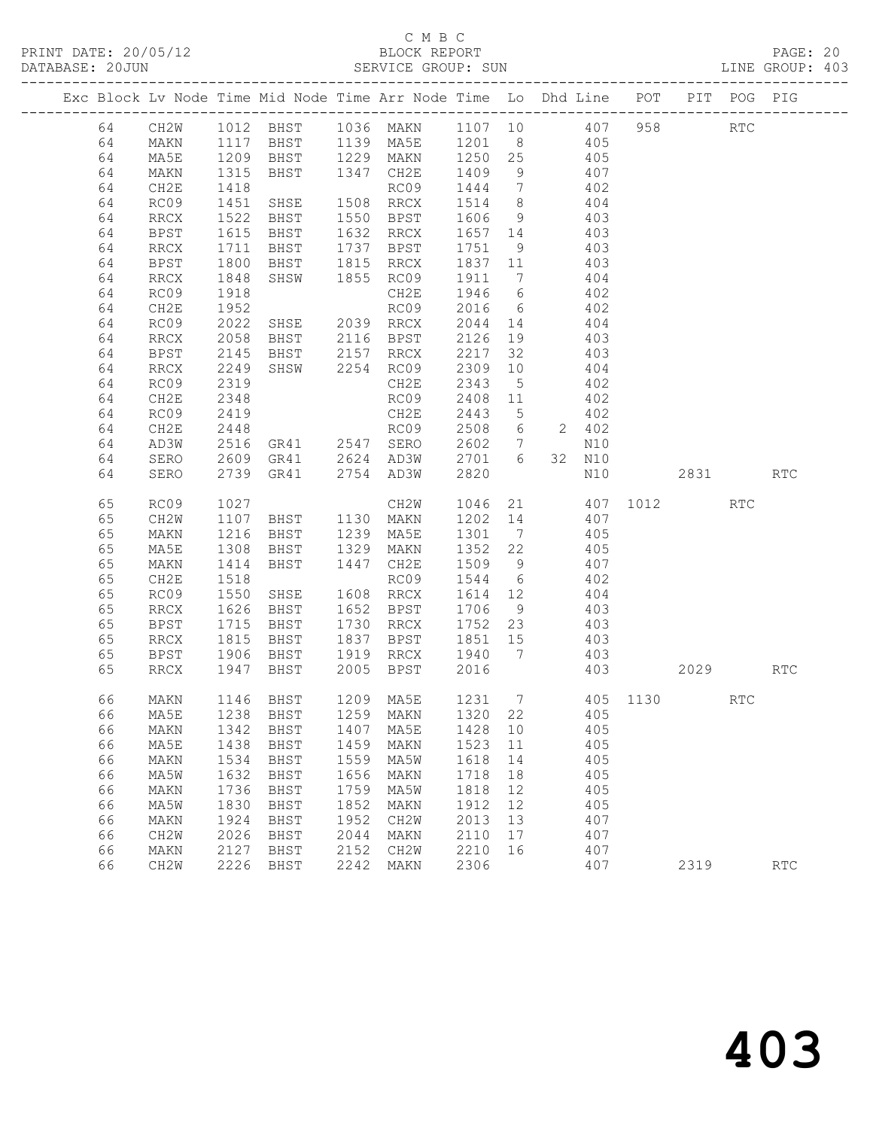PRINT DATE: 20/05/12 BLOCK REPORT BATABASE: 20JUN

## C M B C<br>BLOCK REPORT

PAGE: 20<br>LINE GROUP: 403

|  |    |                   |              |                                            |      | Exc Block Lv Node Time Mid Node Time Arr Node Time Lo Dhd Line POT PIT POG PIG                      |                |                 |       |                   |                 |          |            |            |
|--|----|-------------------|--------------|--------------------------------------------|------|-----------------------------------------------------------------------------------------------------|----------------|-----------------|-------|-------------------|-----------------|----------|------------|------------|
|  | 64 | CH2W              |              |                                            |      | 1012 BHST 1036 MAKN 1107 10 407                                                                     |                |                 |       |                   |                 | 958 30   | RTC        |            |
|  | 64 | MAKN              |              |                                            |      | 1117 BHST 1139 MA5E 1201 8 405<br>1209 BHST 1229 MAKN 1250 25 405<br>1315 BHST 1347 CH2E 1409 9 407 |                |                 |       |                   |                 |          |            |            |
|  | 64 | MA5E              |              |                                            |      |                                                                                                     |                |                 |       |                   |                 |          |            |            |
|  | 64 | MAKN              |              |                                            |      |                                                                                                     |                |                 |       |                   |                 |          |            |            |
|  | 64 | CH2E              | 1418         |                                            |      | RC09                                                                                                | 1444 7 402     |                 |       |                   |                 |          |            |            |
|  | 64 | RC09              | 1451         | SHSE                                       |      | 1508 RRCX                                                                                           | 1514           | 8 <sup>8</sup>  |       | $\frac{404}{403}$ |                 |          |            |            |
|  | 64 | RRCX              | 1522         | BHST                                       |      | 1550 BPST                                                                                           | 1606 9         |                 |       |                   |                 |          |            |            |
|  | 64 | <b>BPST</b>       | 1615         | BHST                                       |      | 1632 RRCX                                                                                           | 1657 14 403    |                 |       |                   |                 |          |            |            |
|  | 64 | <b>RRCX</b>       | 1711         | BHST                                       |      | 1737 BPST                                                                                           | 1751           |                 | 9 403 |                   |                 |          |            |            |
|  | 64 | BPST              | 1800         | BHST                                       |      | 1815 RRCX                                                                                           | 1837 11        |                 |       | 403               |                 |          |            |            |
|  | 64 | RRCX              | 1848         | SHSW                                       |      | 1855 RC09                                                                                           | 1911 7         |                 |       | 404               |                 |          |            |            |
|  | 64 | RC09              | 1918         |                                            |      | CH2E                                                                                                | $1946$ 6 $402$ |                 |       |                   |                 |          |            |            |
|  | 64 | CH2E              | 1952         |                                            |      | RC09                                                                                                | 2016 6 402     |                 |       |                   |                 |          |            |            |
|  | 64 | RC09              | 2022         | SHSE 2039 RRCX                             |      |                                                                                                     | 2044           | 14              |       | 404               |                 |          |            |            |
|  | 64 | RRCX              | 2058         | BHST 2116 BPST<br>BHST 2157 RRCX           |      |                                                                                                     | 2126           | 19              |       | 403<br>403        |                 |          |            |            |
|  | 64 | BPST              | 2145         |                                            |      |                                                                                                     | 2217           | 32              |       |                   |                 |          |            |            |
|  | 64 | RRCX              | 2249         |                                            |      | SHSW 2254 RC09                                                                                      | 2309           | 10              |       | 404               |                 |          |            |            |
|  | 64 | RC09              | 2319         |                                            |      | CH2E                                                                                                | 2343           | $5\overline{)}$ |       | 402               |                 |          |            |            |
|  | 64 | CH2E              | 2348         |                                            |      | RC09                                                                                                | 2408 11        |                 |       | 402               |                 |          |            |            |
|  | 64 | RC09              | 2419         |                                            |      | CH2E                                                                                                | 2443 5         |                 |       | 402               |                 |          |            |            |
|  | 64 | CH2E              | 2448         |                                            |      | RC09                                                                                                | 2508 6 2 402   |                 |       |                   |                 |          |            |            |
|  | 64 | AD3W              | 2516         | GR41 2547 SERO                             |      |                                                                                                     | 2602 7         |                 |       | N10               |                 |          |            |            |
|  | 64 | SERO              |              | 2609 GR41 2624 AD3W<br>2739 GR41 2754 AD3W |      |                                                                                                     | 2701 6         |                 |       | 32 N10            |                 |          |            |            |
|  | 64 | SERO              |              |                                            |      |                                                                                                     | 2820           |                 |       | N10               |                 | 2831     |            | <b>RTC</b> |
|  | 65 | RC09              | 1027         |                                            |      | CH2W                                                                                                | 1046           |                 |       |                   | 21 407 1012     |          | <b>RTC</b> |            |
|  | 65 | CH2W              | 1107         | BHST                                       |      | 1130 MAKN                                                                                           | 1202 14        |                 |       | 407               |                 |          |            |            |
|  | 65 | MAKN              | 1216         | BHST                                       |      | 1239 MA5E                                                                                           | 1301 7         |                 |       | 405               |                 |          |            |            |
|  | 65 | MA5E              | 1308         | BHST                                       |      | 1329 MAKN                                                                                           | 1352 22 405    |                 |       |                   |                 |          |            |            |
|  | 65 | MAKN              | 1414         | BHST                                       | 1447 | CH2E                                                                                                | 1509 9 407     |                 |       |                   |                 |          |            |            |
|  | 65 | CH2E              | 1518         |                                            |      | RC09                                                                                                | 1544           | $6\overline{6}$ |       | 402               |                 |          |            |            |
|  | 65 | RC09              | 1550         | SHSE                                       |      | 1608 RRCX                                                                                           | 1614 12        |                 |       | 404               |                 |          |            |            |
|  | 65 | RRCX              | 1626         | BHST                                       |      | 1652 BPST                                                                                           | 1706           |                 | 9 403 |                   |                 |          |            |            |
|  | 65 | BPST              | 1715         | BHST                                       |      | 1730 RRCX                                                                                           | 1752 23 403    |                 |       |                   |                 |          |            |            |
|  | 65 | RRCX              | 1815         | BHST                                       | 1837 | BPST                                                                                                | 1851 15        |                 |       | 403               |                 |          |            |            |
|  | 65 | BPST              | 1906<br>1947 | BHST                                       |      | 1919 RRCX                                                                                           | 1940 7         |                 |       | 403               |                 |          |            |            |
|  | 65 | RRCX              |              | BHST                                       |      | 2005 BPST                                                                                           | 2016           |                 |       | 403               |                 | 2029 RTC |            |            |
|  | 66 | MAKN              |              | 1146 BHST                                  |      | 1209 MA5E                                                                                           |                |                 |       |                   | 1231 7 405 1130 |          | RTC        |            |
|  |    |                   |              |                                            |      | 66 MA5E 1238 BHST 1259 MAKN 1320 22 405                                                             |                |                 |       |                   |                 |          |            |            |
|  | 66 | MAKN              | 1342         | BHST                                       | 1407 | MA5E                                                                                                | 1428           | 10              |       | 405               |                 |          |            |            |
|  | 66 | MA5E              | 1438         | BHST                                       | 1459 | <b>MAKN</b>                                                                                         | 1523           | 11              |       | 405               |                 |          |            |            |
|  | 66 | MAKN              | 1534         | BHST                                       | 1559 | MA5W                                                                                                | 1618           | 14              |       | 405               |                 |          |            |            |
|  | 66 | MA5W              | 1632         | BHST                                       | 1656 | MAKN                                                                                                | 1718           | 18              |       | 405               |                 |          |            |            |
|  | 66 | MAKN              | 1736         | <b>BHST</b>                                | 1759 | MA5W                                                                                                | 1818           | 12              |       | 405               |                 |          |            |            |
|  | 66 | MA5W              | 1830         | BHST                                       | 1852 | MAKN                                                                                                | 1912           | 12              |       | 405               |                 |          |            |            |
|  | 66 | MAKN              | 1924         | BHST                                       | 1952 | CH2W                                                                                                | 2013           | 13              |       | 407               |                 |          |            |            |
|  | 66 | CH <sub>2</sub> M | 2026         | <b>BHST</b>                                | 2044 | MAKN                                                                                                | 2110           | 17              |       | 407               |                 |          |            |            |
|  | 66 | MAKN              | 2127         | <b>BHST</b>                                | 2152 | CH2W                                                                                                | 2210           | 16              |       | 407               |                 |          |            |            |
|  | 66 | CH2W              | 2226         | BHST                                       | 2242 | MAKN                                                                                                | 2306           |                 |       | 407               |                 | 2319     |            | RTC        |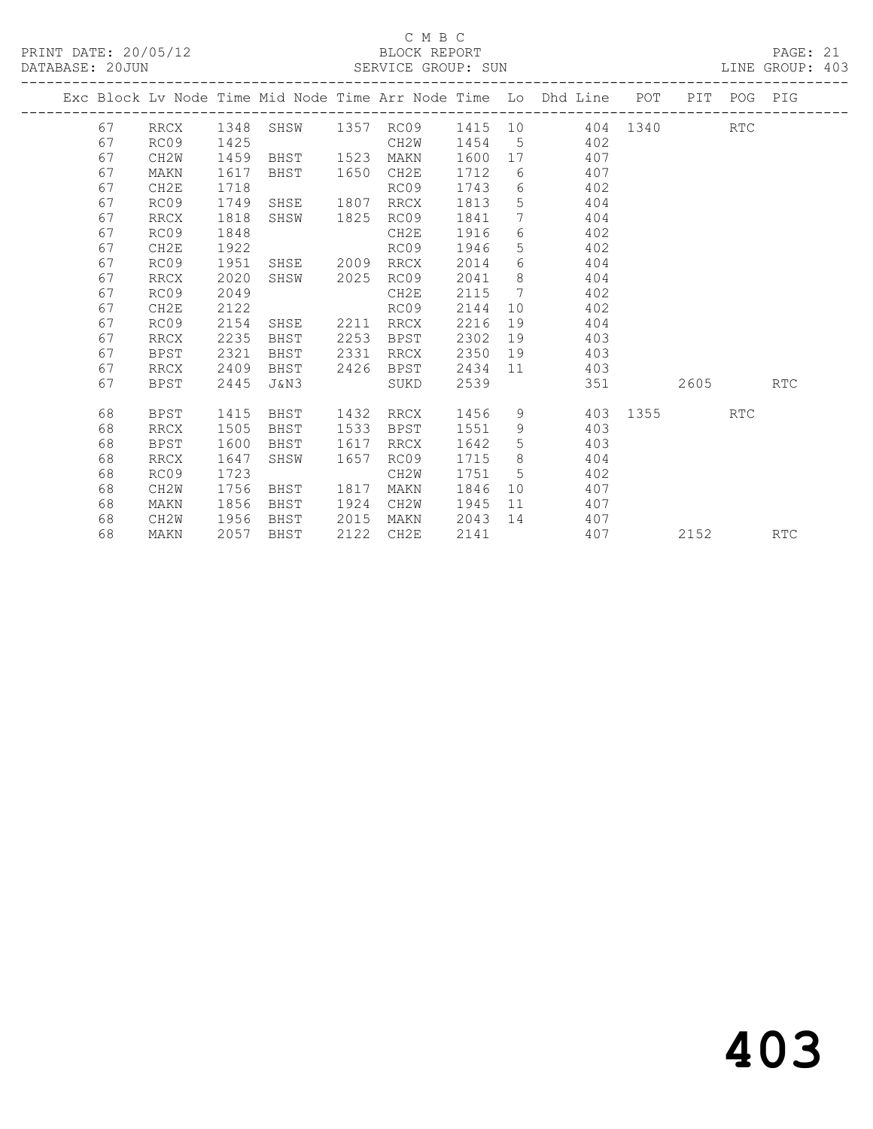|  |    |                   |      |                |      |                |      |                              | Exc Block Lv Node Time Mid Node Time Arr Node Time Lo Dhd Line POT PIT POG PIG |      |            |            |
|--|----|-------------------|------|----------------|------|----------------|------|------------------------------|--------------------------------------------------------------------------------|------|------------|------------|
|  | 67 | RRCX              | 1348 |                |      | SHSW 1357 RC09 |      |                              | 1415 10 404 1340                                                               |      | <b>RTC</b> |            |
|  | 67 | RC09              | 1425 |                |      | CH2W           | 1454 |                              | 5 402                                                                          |      |            |            |
|  | 67 | CH <sub>2</sub> W | 1459 | BHST 1523      |      | MAKN           | 1600 |                              | 407                                                                            |      |            |            |
|  | 67 | MAKN              | 1617 | BHST 1650      |      | CH2E           | 1712 |                              | $6 \qquad \qquad$<br>407                                                       |      |            |            |
|  | 67 | CH2E              | 1718 |                |      | RC09           | 1743 | 6                            | 402                                                                            |      |            |            |
|  | 67 | RC09              | 1749 | SHSE           | 1807 | RRCX           | 1813 | 5 <sup>5</sup>               | 404                                                                            |      |            |            |
|  | 67 | <b>RRCX</b>       | 1818 | SHSW           | 1825 | RC09           | 1841 | $7\overline{ }$              | 404                                                                            |      |            |            |
|  | 67 | RC09              | 1848 |                |      | CH2E           | 1916 | 6                            | 402                                                                            |      |            |            |
|  | 67 | CH2E              | 1922 |                |      | RC09           | 1946 | 5                            | 402                                                                            |      |            |            |
|  | 67 | RC09              | 1951 | SHSE 2009 RRCX |      |                | 2014 | 6                            | 404                                                                            |      |            |            |
|  | 67 | <b>RRCX</b>       | 2020 | SHSW           | 2025 | RC09           | 2041 | 8                            | 404                                                                            |      |            |            |
|  | 67 | RC09              | 2049 |                |      | CH2E           | 2115 | $7\phantom{.0}\phantom{.0}7$ | 402                                                                            |      |            |            |
|  | 67 | CH2E              | 2122 |                |      | RC09           | 2144 | 10                           | 402                                                                            |      |            |            |
|  | 67 | RC09              | 2154 | SHSE 2211      |      | RRCX           | 2216 | 19                           | 404                                                                            |      |            |            |
|  | 67 | RRCX              | 2235 | BHST           | 2253 | BPST           | 2302 | 19                           | 403                                                                            |      |            |            |
|  | 67 | <b>BPST</b>       | 2321 | BHST           | 2331 | RRCX           | 2350 | 19                           | 403                                                                            |      |            |            |
|  | 67 | <b>RRCX</b>       | 2409 | BHST           | 2426 | BPST           | 2434 |                              | $11$ and $11$<br>403                                                           |      |            |            |
|  | 67 | <b>BPST</b>       | 2445 | J&N3           |      | SUKD           | 2539 |                              | 351                                                                            | 2605 |            | <b>RTC</b> |
|  | 68 | BPST              | 1415 | BHST           | 1432 | RRCX           | 1456 |                              | 9 403 1355                                                                     |      | <b>RTC</b> |            |
|  | 68 |                   |      | BHST           | 1533 |                | 1551 | 9                            | 403                                                                            |      |            |            |
|  |    | <b>RRCX</b>       | 1505 |                | 1617 | BPST           |      |                              |                                                                                |      |            |            |
|  | 68 | <b>BPST</b>       | 1600 | BHST           | 1657 | RRCX           | 1642 | $5\phantom{.0}$<br>8         | 403<br>404                                                                     |      |            |            |
|  | 68 | RRCX              | 1647 | SHSW           |      | RC09           | 1715 | 5                            |                                                                                |      |            |            |
|  | 68 | RC09              | 1723 |                |      | CH2W           | 1751 | 10                           | 402<br>407                                                                     |      |            |            |
|  | 68 | CH2W              | 1756 | BHST           | 1817 | MAKN           | 1846 |                              | 407                                                                            |      |            |            |
|  | 68 | MAKN              | 1856 | BHST           | 1924 | CH2W           | 1945 |                              | 11                                                                             |      |            |            |
|  | 68 | CH2W              | 1956 | BHST           | 2015 | MAKN           | 2043 |                              | 14 407                                                                         |      |            |            |
|  | 68 | MAKN              | 2057 | BHST           | 2122 | CH2E           | 2141 |                              | 407                                                                            | 2152 |            | <b>RTC</b> |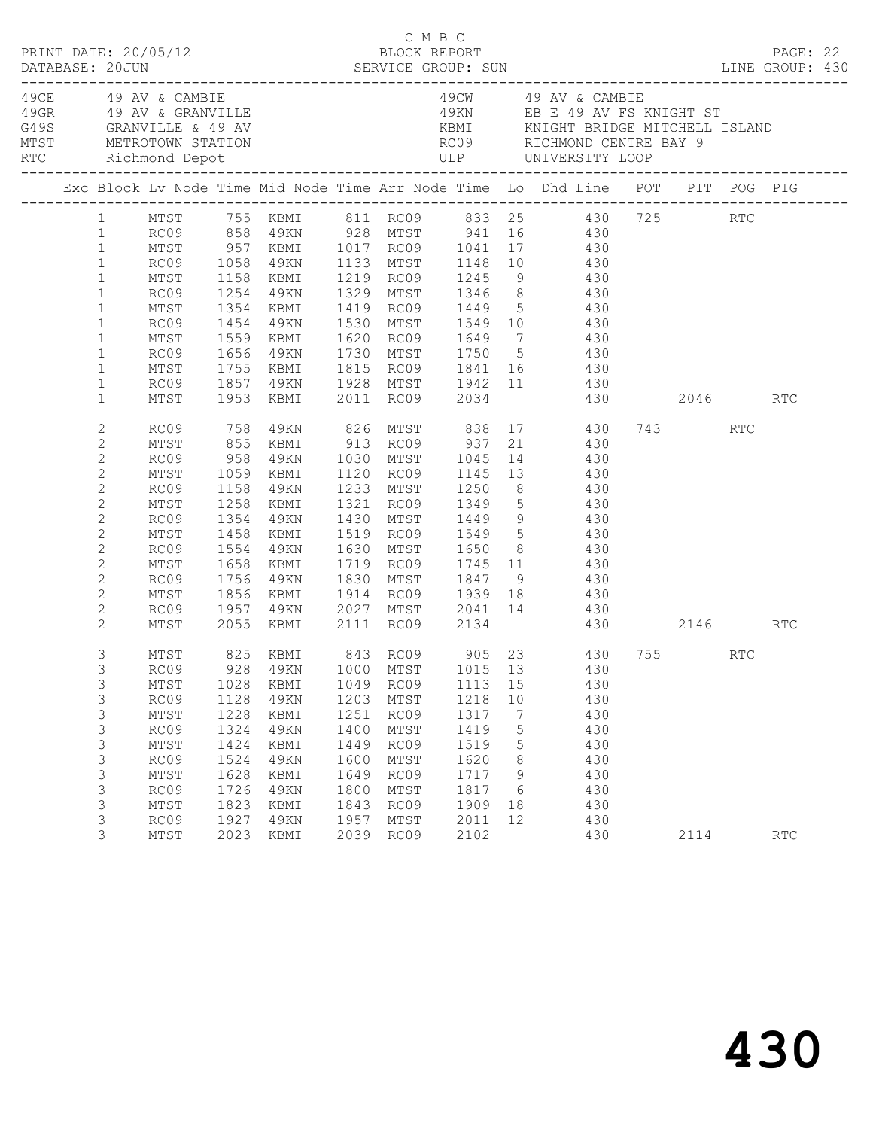|                                                                                                                                                                                                                  | PRINT DATE: 20/05/12                                                                                 |                                                                                      |                                                                                                                     |                                                                                      | C M B C<br>BLOCK REPORT                                                              |                                                                                         |                                                           | DESCRIPTION<br>DATABASE: 20JUN SERVICE GROUP: SUN LINE GROUP: 430                                                                                                                                                                                                                                                                                              |      |     | PAGE: 22 |  |
|------------------------------------------------------------------------------------------------------------------------------------------------------------------------------------------------------------------|------------------------------------------------------------------------------------------------------|--------------------------------------------------------------------------------------|---------------------------------------------------------------------------------------------------------------------|--------------------------------------------------------------------------------------|--------------------------------------------------------------------------------------|-----------------------------------------------------------------------------------------|-----------------------------------------------------------|----------------------------------------------------------------------------------------------------------------------------------------------------------------------------------------------------------------------------------------------------------------------------------------------------------------------------------------------------------------|------|-----|----------|--|
|                                                                                                                                                                                                                  | 49CE 49 AV & CAMBIE                                                                                  |                                                                                      | 49 GRANUILLE<br>49 GRANUILLE & 49 AV<br>MTST METROTOWN STATION<br>RTC Richmond Depot                                |                                                                                      |                                                                                      |                                                                                         |                                                           | 49CW 49 AV & CAMBIE<br>49KN EB E 49 AV FS KNIGHT ST                                                                                                                                                                                                                                                                                                            |      |     |          |  |
|                                                                                                                                                                                                                  |                                                                                                      |                                                                                      |                                                                                                                     |                                                                                      |                                                                                      |                                                                                         |                                                           | Exc Block Lv Node Time Mid Node Time Arr Node Time Lo Dhd Line POT PIT POG PIG                                                                                                                                                                                                                                                                                 |      |     |          |  |
| $\mathbf{1}$<br>$\mathbf{1}$<br>$\mathbf{1}$<br>$\mathbf{1}$<br>$\mathbf{1}$<br>$\mathbf{1}$<br>$\mathbf{1}$                                                                                                     | RC09 1254 49KN<br>MTST<br>RC09<br>MTST<br>RC09 1656 49KN                                             | 1354                                                                                 | KBMI                                                                                                                |                                                                                      |                                                                                      |                                                                                         |                                                           | 1 MTST 755 KBMI 811 RC09 833 25 430 725 RTC<br>1 RC09 858 49KN 928 MTST 941 16 430<br>MTST 957 KBMI 1017 RC09 1041 17 430<br>RC09 1058 49KN 1133 MTST 1148 10 430<br>MTST 1158 KBMI 1219 RC09 1245 9 430<br>1329 MTST 1346 8 430<br>1419 RC09 1449 5 430<br>1454 49KN 1530 MTST 1549 10      430<br>1559 KBMI 1620 RC09 1649 7     430<br>1730 MTST 1750 5 430 |      |     |          |  |
| $\mathbf{1}$<br>$\mathbf{1}$<br>$\mathbf{1}$<br>$\mathbf{1}$                                                                                                                                                     | MTST                                                                                                 |                                                                                      |                                                                                                                     |                                                                                      |                                                                                      |                                                                                         |                                                           | 1755 KBMI 1815 RC09 1841 16 430<br>RC09 1857 49KN 1928 MTST 1942 11 430<br>MTST 1953 KBMI 2011 RC09 2034 430<br>430 2046 RTC                                                                                                                                                                                                                                   |      |     |          |  |
| $\mathbf{2}$<br>$\mathbf{2}$<br>$\mathbf{2}$<br>$\mathbf{2}$<br>$\overline{c}$<br>$\mathbf{2}$<br>$\overline{c}$<br>$\mathbf{2}$<br>$\mathbf{2}$<br>$\mathbf{2}$<br>$\mathbf{2}$<br>$\mathbf{2}$<br>$\mathbf{2}$ | RC09 758<br>MTST<br>RC09<br>MTST<br>RC09<br>MTST<br>RC09<br>MTST<br>RC09<br>MTST<br>RC09<br>MTST     | 1158<br>1258<br>1354<br>1554<br>1658                                                 | 49KN<br>KBMI<br>49KN<br>1458 KBMI<br>49KN<br>KBMI<br>1756 49KN<br>1856 KBMI                                         |                                                                                      |                                                                                      | 1233 MTST 1250<br>1321 RC09 1349<br>1430 MTST 1449<br>1519 RC09 1549<br>1630 MTST 1650  |                                                           | 49KN 826 MTST 838 17 430<br>855 KBMI 913 RC09 937 21 430<br>958 49KN 1030 MTST 1045 14 430<br>1059 KBMI 1120 RC09 1145 13 430<br>$21$ 430<br>8 430<br>$\begin{array}{ccc} 5 & & 430 \\ 9 & & 430 \\ 5 & & 430 \end{array}$<br>8 430<br>1719 RC09 1745 11 430<br>1830 MTST 1847 9 430<br>1914 RC09 1939 18 430<br>RC09 1957 49KN 2027 MTST 2041 14 430          | 743  | RTC |          |  |
| 2<br>3<br>3<br>3<br>3<br>3<br>3<br>3<br>3<br>3<br>3<br>3<br>3<br>3                                                                                                                                               | MTST<br>MTST<br>MTST<br>RC09<br>MTST<br>RC09<br>MTST<br>RC09<br>MTST<br>RC09<br>MTST<br>RC09<br>MTST | 1028<br>1128<br>1228<br>1324<br>1424<br>1524<br>1628<br>1726<br>1823<br>1927<br>2023 | 2055 KBMI 2111 RC09 2134<br>KBMI<br>4 9 K N<br>KBMI<br>49KN<br>KBMI<br>49KN<br>KBMI<br>49KN<br>KBMI<br>49KN<br>KBMI | 1049<br>1203<br>1251<br>1400<br>1449<br>1600<br>1649<br>1800<br>1843<br>1957<br>2039 | RC09<br>MTST<br>RC09<br>MTST<br>RC09<br>MTST<br>RC09<br>MTST<br>RC09<br>MTST<br>RC09 | 1113 15<br>1218<br>1317<br>1419<br>1519<br>1620<br>1717<br>1817<br>1909<br>2011<br>2102 | 10<br>$\overline{7}$<br>5<br>5<br>8<br>9<br>6<br>18<br>12 | 430 2146 RTC<br>825 KBMI 843 RC09 905 23 430 755 RTC<br>RC09 928 49KN 1000 MTST 1015 13 430<br>430<br>430<br>430<br>430<br>430<br>430<br>430<br>430<br>430<br>430<br>430                                                                                                                                                                                       | 2114 |     | RTC      |  |
|                                                                                                                                                                                                                  |                                                                                                      |                                                                                      |                                                                                                                     |                                                                                      |                                                                                      |                                                                                         |                                                           |                                                                                                                                                                                                                                                                                                                                                                |      |     |          |  |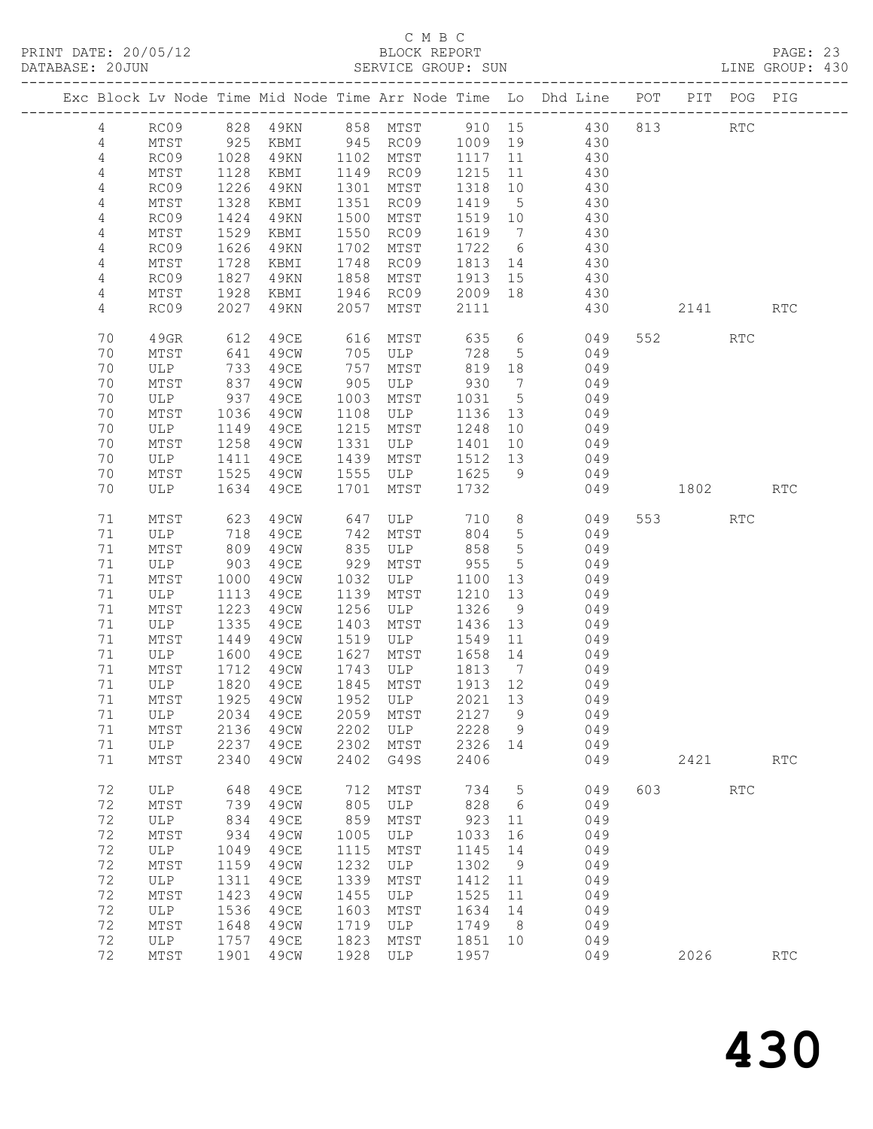|                |                                   |              |              |              |              |                 |                 | Exc Block Lv Node Time Mid Node Time Arr Node Time Lo Dhd Line POT |     |          | PIT POG PIG          |                      |
|----------------|-----------------------------------|--------------|--------------|--------------|--------------|-----------------|-----------------|--------------------------------------------------------------------|-----|----------|----------------------|----------------------|
| $\overline{4}$ | RC09                              |              |              |              |              |                 |                 | 828 49KN 858 MTST 910 15 430                                       |     | 813      | $\operatorname{RTC}$ |                      |
| 4              | MTST                              |              | KBMI         |              | 945 RC09     | 1009 19         |                 | 430                                                                |     |          |                      |                      |
| 4              | RC09                              | 925<br>1028  | 49KN         |              | 1102 MTST    | 1117            | 11              | 430                                                                |     |          |                      |                      |
| 4              | MTST                              | 1128         | KBMI         | 1149         | RC09         | 1215            | 11              | 430                                                                |     |          |                      |                      |
| 4              | RC09                              | 1226         | 49KN         | 1301         | MTST         | 1318            | 10              | 430                                                                |     |          |                      |                      |
| 4              | MTST                              | 1328         | KBMI         | 1351         | RC09         | 1419            | $5\overline{)}$ | 430                                                                |     |          |                      |                      |
| 4              | RC09                              | 1424         | 49KN         | 1500         | MTST         | 1519 10         |                 | 430                                                                |     |          |                      |                      |
| 4              | MTST                              | 1529         | KBMI         | 1550         | RC09         | 1619            | $\overline{7}$  | 430                                                                |     |          |                      |                      |
| 4<br>4         | RC09<br>$\mathtt{MTST}$           | 1626<br>1728 | 49KN<br>KBMI | 1702<br>1748 | MTST<br>RC09 | 1722<br>1813    | 6<br>14         | 430<br>430                                                         |     |          |                      |                      |
| $\overline{4}$ | RC09                              | 1827         | 49KN         | 1858         | MTST         | 1913            | 15              | 430                                                                |     |          |                      |                      |
| 4              | MTST                              | 1928         | KBMI         | 1946         | RC09         | 2009 18         |                 | 430                                                                |     |          |                      |                      |
| 4              | RC09                              | 2027         | 49KN         | 2057         | MTST         | 2111            |                 | 430                                                                |     | 2141 RTC |                      |                      |
| 70             | 49GR                              | 612          | 49CE         | 616          | MTST         | 635             |                 | $6\overline{6}$<br>049                                             |     | 552      | RTC                  |                      |
| 70             | MTST                              | 641          | 49CW         | 705          | ULP          | 728             | $5\overline{)}$ | 049                                                                |     |          |                      |                      |
| 70             | ULP                               | 733          | 49CE         | 757          | MTST         | 819             | 18              | 049                                                                |     |          |                      |                      |
| 70             | MTST                              | 837          | 49CW         | 905          | ULP          | 930             | $\overline{7}$  | 049<br>049                                                         |     |          |                      |                      |
| 70<br>70       | ULP<br>MTST                       | 937<br>1036  | 49CE<br>49CW | 1003<br>1108 | MTST<br>ULP  | 1031<br>1136 13 | $5\overline{)}$ | 049                                                                |     |          |                      |                      |
| 70             | ULP                               | 1149         | 49CE         | 1215         | MTST         | 1248            | 10              | 049                                                                |     |          |                      |                      |
| 70             | MTST                              | 1258         | 49CW         | 1331         | ULP          | 1401            | 10              | 049                                                                |     |          |                      |                      |
| 70             | ULP                               | 1411         | 49CE         | 1439         | MTST         | 1512            | 13              | 049                                                                |     |          |                      |                      |
| 70             | MTST                              | 1525         | 49CW         | 1555         | ULP          | 1625            | 9               | 049                                                                |     |          |                      |                      |
| 70             | ULP                               | 1634         | 49CE         | 1701         | MTST         | 1732            |                 | 049                                                                |     | 1802     |                      | <b>RTC</b>           |
| 71             | MTST                              | 623          | 49CW         | 647          | ULP<br>mtst  | 710             | 8 <sup>8</sup>  | 049                                                                |     | 553 75   | <b>RTC</b>           |                      |
| 71             | ULP                               | 718          | 49CE         | 742          | MTST         | 804             | $5\overline{)}$ | 049                                                                |     |          |                      |                      |
| 71             | MTST                              | 809          | 49CW         | 835          | ULP          | 858             | $5\overline{)}$ | 049                                                                |     |          |                      |                      |
| 71             | ULP                               | 903          | 49CE         | 929          | MTST         | 955             | $5\overline{)}$ | 049                                                                |     |          |                      |                      |
| 71<br>71       | MTST<br>ULP                       | 1000<br>1113 | 49CW<br>49CE | 1032<br>1139 | ULP<br>MTST  | 1100<br>1210    | 13<br>13        | 049<br>049                                                         |     |          |                      |                      |
| 71             | MTST                              | 1223         | 49CW         | 1256         | ULP          | 1326            | 9               | 049                                                                |     |          |                      |                      |
| 71             | ULP                               | 1335         | 49CE         | 1403         | MTST         | 1436            | 13              | 049                                                                |     |          |                      |                      |
| 71             | MTST                              | 1449         | 49CW         | 1519         | ULP          | 1549            | 11              | 049                                                                |     |          |                      |                      |
| 71             | ULP                               | 1600         | 49CE         | 1627         | MTST         | 1658            | 14              | 049                                                                |     |          |                      |                      |
| 71             | MTST                              | 1712         | 49CW         | 1743         | ULP          | 1813            | $\overline{7}$  | 049                                                                |     |          |                      |                      |
| 71             | ULP                               | 1820         | 49CE         | 1845         | MTST         | 1913 12         |                 | 049                                                                |     |          |                      |                      |
| 71             | MTST                              | 1925         | 49CW         |              | 1952 ULP     | 2021 13         |                 | 049                                                                |     |          |                      |                      |
|                | 71 ULP 2034 49CE 2059 MTST 2127 9 |              |              |              |              |                 |                 | 049                                                                |     |          |                      |                      |
| 71<br>71       | MTST                              | 2136         | 49CW<br>49CE | 2202<br>2302 | ULP          | 2228            | 9               | 049                                                                |     |          |                      |                      |
| 71             | ULP<br>MTST                       | 2237<br>2340 | 49CW         | 2402         | MTST<br>G49S | 2326<br>2406    | 14              | 049<br>049                                                         |     | 2421     |                      | RTC                  |
|                |                                   |              |              |              |              |                 |                 |                                                                    |     |          |                      |                      |
| 72             | ULP                               | 648          | 49CE         | 712          | MTST         | 734             | $5\phantom{.0}$ | 049                                                                | 603 |          | RTC                  |                      |
| 72<br>72       | MTST                              | 739          | 49CW         | 805<br>859   | ULP          | 828             | 6               | 049                                                                |     |          |                      |                      |
| 72             | <b>ULP</b><br>MTST                | 834<br>934   | 49CE<br>49CW | 1005         | MTST<br>ULP  | 923<br>1033     | 11<br>16        | 049<br>049                                                         |     |          |                      |                      |
| 72             | ULP                               | 1049         | 49CE         | 1115         | MTST         | 1145            | 14              | 049                                                                |     |          |                      |                      |
| 72             | MTST                              | 1159         | 49CW         | 1232         | ULP          | 1302            | 9               | 049                                                                |     |          |                      |                      |
| 72             | ULP                               | 1311         | 49CE         | 1339         | MTST         | 1412            | 11              | 049                                                                |     |          |                      |                      |
| 72             | MTST                              | 1423         | 49CW         | 1455         | ULP          | 1525            | 11              | 049                                                                |     |          |                      |                      |
| 72             | ULP                               | 1536         | 49CE         | 1603         | MTST         | 1634            | 14              | 049                                                                |     |          |                      |                      |
| 72             | MTST                              | 1648         | 49CW         | 1719         | ULP          | 1749            | 8 <sup>8</sup>  | 049                                                                |     |          |                      |                      |
| 72             | ULP                               | 1757         | 49CE         | 1823         | MTST         | 1851            | 10              | 049                                                                |     |          |                      |                      |
| 72             | MTST                              | 1901         | 49CW         | 1928         | ULP          | 1957            |                 | 049                                                                |     | 2026     |                      | $\operatorname{RTC}$ |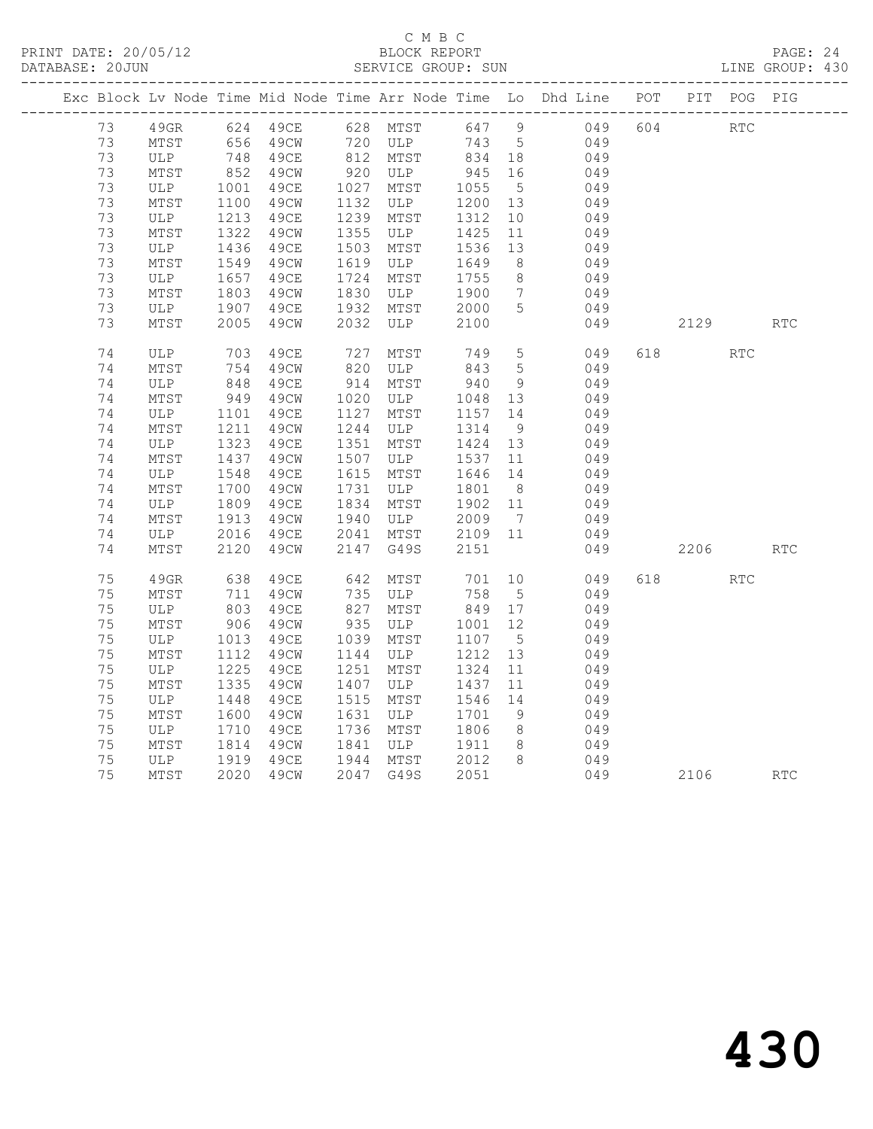#### C M B C<br>BLOCK REPORT SERVICE GROUP: SUN

|    |      |                  |                        |            |                   |            |                 | Exc Block Lv Node Time Mid Node Time Arr Node Time Lo Dhd Line POT PIT POG PIG |     |            |            |            |
|----|------|------------------|------------------------|------------|-------------------|------------|-----------------|--------------------------------------------------------------------------------|-----|------------|------------|------------|
| 73 |      |                  | 49GR 624 49CE 628 MTST |            |                   |            |                 | 647 9 049                                                                      | 604 | <b>RTC</b> |            |            |
| 73 | MTST |                  | 656 49CW               |            | 720 ULP           | 743 5      |                 | 049                                                                            |     |            |            |            |
| 73 | ULP  |                  | 748 49CE               |            | $812$ MTST        | 834 18     |                 | 049                                                                            |     |            |            |            |
| 73 | MTST | 852              | 49CW                   |            | 920 ULP           | 945        | 16              | 049                                                                            |     |            |            |            |
| 73 | ULP  | 1001             | 49CE                   |            | 1027 MTST         | 1055       | $5^{\circ}$     | 049                                                                            |     |            |            |            |
| 73 | MTST | 1100             | 49CW                   | 1132       | ULP               | 1200       | 13              | 049                                                                            |     |            |            |            |
| 73 | ULP  | 1213             | 49CE                   |            | 1239 MTST         | 1312       | 10              | 049                                                                            |     |            |            |            |
| 73 | MTST | 1322             | 49CW                   |            | 1355 ULP          | 1425       | 11              | 049                                                                            |     |            |            |            |
| 73 | ULP  | 1436             | 49CE                   | 1503       | MTST              | 1536       | 13              | 049                                                                            |     |            |            |            |
| 73 | MTST | $\frac{1}{1549}$ | 49CW                   | 1619       | ULP               | 1649       | 8 <sup>8</sup>  | 049                                                                            |     |            |            |            |
| 73 | ULP  |                  | 49CE                   | 1724       | MTST              | 1755       | 8 <sup>8</sup>  | 049                                                                            |     |            |            |            |
| 73 | MTST | 165/1803         | 49CW                   | 1830       | ULP               | 1900       | $7\overline{ }$ | 049                                                                            |     |            |            |            |
| 73 | ULP  | 1907             | 49CE                   |            | 1932 MTST         | 2000       | $5\overline{)}$ | 049                                                                            |     |            |            |            |
| 73 | MTST | 2005             | 49CW                   |            | 2032 ULP          | 2100       |                 | 049                                                                            |     | 2129       |            | <b>RTC</b> |
| 74 | ULP  | 703              | 49CE                   | 727<br>820 | MTST              | 749<br>843 | $5\overline{)}$ | 049                                                                            |     | 618 — 18   | <b>RTC</b> |            |
| 74 | MTST | 754              | 49CW                   |            | ULP               |            | $5^{\circ}$     | 049                                                                            |     |            |            |            |
| 74 | ULP  | 848<br>949       | 49CE                   | 914        | MTST              | 940        | 9 <sup>°</sup>  | 049                                                                            |     |            |            |            |
| 74 | MTST |                  | 49CW                   | 1020       | ULP               | 1048 13    |                 | 049                                                                            |     |            |            |            |
| 74 | ULP  | 1101             | 49CE                   | 1127       | MTST              | 1157       | 14              | 049                                                                            |     |            |            |            |
| 74 | MTST | 1211             | 49CW                   | 1244       | ULP               | 1314       | 9               | 049                                                                            |     |            |            |            |
| 74 | ULP  | 1323             | 49CE                   | 1351       | MTST              | 1424 13    |                 | 049                                                                            |     |            |            |            |
| 74 | MTST | 1437             | 49CW                   | 1507       | ULP               | 1537       | 11              | 049                                                                            |     |            |            |            |
| 74 | ULP  | 1548             | 49CE                   | 1615       | MTST              | 1646 14    |                 | 049                                                                            |     |            |            |            |
| 74 | MTST | 1700             | 49CW                   | 1731       | ULP               | 1801       | 8 <sup>8</sup>  | 049                                                                            |     |            |            |            |
| 74 | ULP  | 1809             | 49CE                   | 1834       | MTST              | 1902 11    |                 | 049                                                                            |     |            |            |            |
| 74 | MTST | 1913             | 49CW                   | 1940       | ULP               | 2009       | $7\overline{)}$ | 049                                                                            |     |            |            |            |
| 74 | ULP  | 2016             | 49CE                   |            | 2041 MTST 2109 11 |            |                 | 049                                                                            |     |            |            |            |
| 74 | MTST | 2120             | 49CW                   | 2147       | G49S              | 2151       |                 | 049                                                                            |     | 2206       |            | <b>RTC</b> |
| 75 | 49GR | 638              | 49CE                   | 642        | MTST              | 701        |                 | 10 0<br>049                                                                    | 618 |            | <b>RTC</b> |            |
| 75 | MTST | 711              | 49CW                   |            | 735 ULP           | 758        | $5\overline{)}$ | 049                                                                            |     |            |            |            |
| 75 | ULP  | 803              | 49CE                   | 827        | MTST              | 849        | 17              | 049                                                                            |     |            |            |            |
| 75 | MTST | 906              | 49CW                   | 935        | ULP               | 1001       | 12              | 049                                                                            |     |            |            |            |
| 75 | ULP  | 1013<br>1112     | 49CE                   | 1039       | MTST              | 1107       | $5^{\circ}$     | 049                                                                            |     |            |            |            |
| 75 | MTST | 1112             | 49CW                   | 1144       | ULP               | 1212       | 13              | 049                                                                            |     |            |            |            |
| 75 | ULP  | 1225             | 49CE                   |            | 1251 MTST         | 1324       | 11              | 049                                                                            |     |            |            |            |
| 75 | MTST | 1335             | 49CW                   | 1407       | ULP               | 1437       | 11              | 049                                                                            |     |            |            |            |
| 75 | ULP  | 1448             | 49CE                   | 1515       | MTST              | 1546       | 14              | 049                                                                            |     |            |            |            |
| 75 | MTST | 1600             | 49CW                   | 1631       | ULP               | 1701       | 9               | 049                                                                            |     |            |            |            |
| 75 | ULP  | 1710             | 49CE                   |            | 1736 MTST         | 1806       | 8 <sup>8</sup>  | 049                                                                            |     |            |            |            |
| 75 | MTST | 1814             | 49CW                   |            | 1841 ULP          | 1911       | 8 <sup>8</sup>  | 049                                                                            |     |            |            |            |
| 75 | ULP  | 1919             | 49CE                   |            | 1944 MTST         | 2012       | 8 <sup>8</sup>  | 049                                                                            |     |            |            |            |
| 75 | MTST |                  | 2020 49CW              |            | 2047 G49S         | 2051       |                 |                                                                                | 049 | 2106       |            | <b>RTC</b> |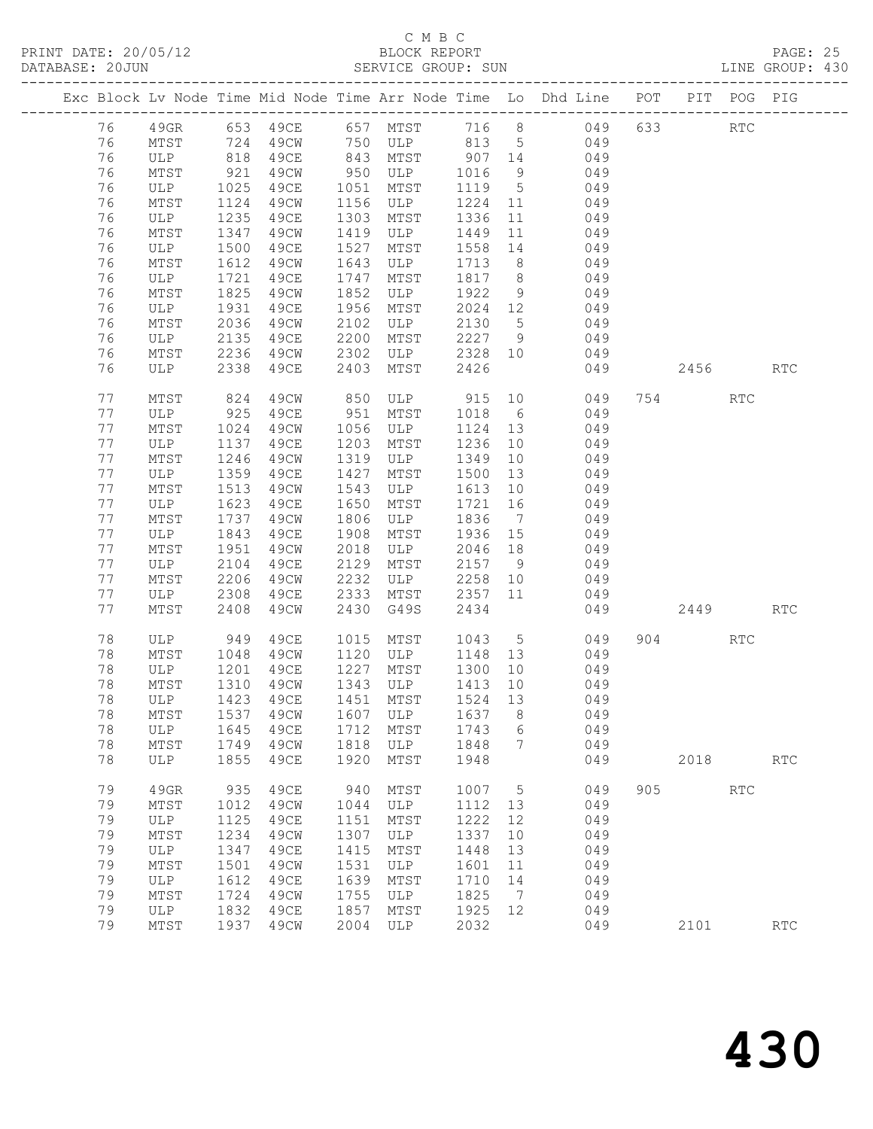## C M B C

| DATABASE: 20JUN |    |                       |              |      |      | SERVICE GROUP: SUN                           |         |                | LINE GROUP: 430                                                                  |           |            |                      |  |
|-----------------|----|-----------------------|--------------|------|------|----------------------------------------------|---------|----------------|----------------------------------------------------------------------------------|-----------|------------|----------------------|--|
|                 |    |                       |              |      |      |                                              |         |                | Exc Block Lv Node Time Mid Node Time Arr Node Time Lo Dhd Line POT PIT POG PIG   |           |            |                      |  |
|                 | 76 |                       |              |      |      |                                              |         |                | 49GR 653 49CE 657 MTST 716 8 049 633 RTC                                         |           |            |                      |  |
|                 | 76 | MTST 724              |              |      |      |                                              |         |                | 49CW 750 ULP 813 5 049                                                           |           |            |                      |  |
|                 | 76 | ULP 818<br>MTST 921   |              |      |      |                                              |         |                | 49CE 843 MTST 907 14 049<br>49CW 950 ULP 1016 9 049<br>49CE 1051 MTST 1119 5 049 |           |            |                      |  |
|                 | 76 |                       |              |      |      |                                              |         |                |                                                                                  |           |            |                      |  |
|                 | 76 | ULP 1025              |              |      |      |                                              |         |                |                                                                                  |           |            |                      |  |
|                 | 76 | MTST                  | 1124         | 49CW |      | 1156 ULP                                     |         |                | 1224 11 049                                                                      |           |            |                      |  |
|                 | 76 | ULP                   | 1235         | 49CE |      | 1303 MTST                                    | 1336    |                | 11 049                                                                           |           |            |                      |  |
|                 | 76 | MTST                  | 1347         | 49CW |      | 1419 ULP                                     | 1449    | 11             | 049                                                                              |           |            |                      |  |
|                 | 76 | ULP                   | 1500         | 49CE | 1527 | MTST                                         | 1558 14 |                | 049                                                                              |           |            |                      |  |
|                 | 76 | MTST                  | 1612         | 49CW | 1643 | ULP                                          |         |                | 1713 8 049                                                                       |           |            |                      |  |
|                 | 76 | ULP                   | 1721         | 49CE | 1747 | MTST                                         |         |                | 1817 8 049                                                                       |           |            |                      |  |
|                 | 76 | MTST                  | 1825         | 49CW | 1852 | ULP                                          | 1922 9  |                | 049                                                                              |           |            |                      |  |
|                 | 76 | ULP 1931              |              | 49CE | 1956 | MTST                                         |         |                | $2024$ 12 049                                                                    |           |            |                      |  |
|                 | 76 | MTST                  | 2036         | 49CW | 2102 | ULP                                          |         |                | 2130 5 049                                                                       |           |            |                      |  |
|                 | 76 | ULP                   | 2135         | 49CE | 2200 | MTST                                         |         |                | 2227 9 049                                                                       |           |            |                      |  |
|                 | 76 | MTST 2236<br>ULP 2338 |              |      |      | 49CW 2302 ULP 2328 10<br>49CE 2403 MTST 2426 |         |                | 049                                                                              |           |            |                      |  |
|                 | 76 |                       |              |      |      |                                              |         |                | 049                                                                              | 2456 RTC  |            |                      |  |
|                 | 77 | MTST                  | 824          | 49CW |      |                                              |         |                | 850 ULP 915 10 049                                                               | 754       | RTC        |                      |  |
|                 | 77 | ULP                   |              | 49CE | 951  | MTST                                         | 1018 6  |                | 049                                                                              |           |            |                      |  |
|                 | 77 | MTST                  | 925<br>1024  | 49CW |      | 1056 ULP                                     | 1124 13 |                | 049                                                                              |           |            |                      |  |
|                 | 77 | ULP                   | 1137         | 49CE | 1203 | MTST                                         | 1236    |                | 10 049                                                                           |           |            |                      |  |
|                 | 77 | MTST                  | 1246         | 49CW |      | 1319 ULP                                     | 1349    |                | 10 049                                                                           |           |            |                      |  |
|                 | 77 | ULP                   | 1359<br>1513 | 49CE | 1427 | MTST                                         | 1500    | 13             | 049                                                                              |           |            |                      |  |
|                 | 77 | MTST                  |              | 49CW | 1543 | ULP                                          | 1613 10 |                | 049                                                                              |           |            |                      |  |
|                 | 77 | ULP                   | 1623         | 49CE | 1650 | MTST                                         | 1721 16 |                | 049                                                                              |           |            |                      |  |
|                 | 77 | MTST                  | 1737         | 49CW | 1806 | ULP                                          |         |                | 1836 7 049                                                                       |           |            |                      |  |
|                 | 77 | ULP                   | 1843         | 49CE | 1908 | MTST                                         | 1936 15 |                | 049                                                                              |           |            |                      |  |
|                 | 77 | MTST                  | 1951         | 49CW | 2018 | ULP                                          | 2046 18 |                | 049                                                                              |           |            |                      |  |
|                 | 77 | ULP                   | 2104         | 49CE | 2129 | MTST                                         |         |                | $2157$ 9 049                                                                     |           |            |                      |  |
|                 | 77 | MTST                  | 2206         | 49CW | 2232 |                                              |         |                | ULP 2258 10 049                                                                  |           |            |                      |  |
|                 | 77 | ULP                   | 2308         | 49CE | 2333 | MTST                                         |         |                | 2357 11 049                                                                      |           |            |                      |  |
|                 | 77 | MTST                  | 2408         | 49CW | 2430 | G49S                                         | 2434    |                | 049                                                                              | 2449      |            | <b>RTC</b>           |  |
|                 | 78 | ULP 949               |              | 49CE |      | 1015 MTST 1043 5                             |         |                | 049                                                                              | 904 — 100 | RTC        |                      |  |
|                 | 78 | MTST                  | 1048         | 49CW |      | 1120 ULP                                     |         |                | 1148 13 049                                                                      |           |            |                      |  |
|                 | 78 | ULP                   | 1201<br>1310 | 49CE |      | 1227 MTST 1300 10<br>$1343$ ULP $1413$ 10    |         |                | 049                                                                              |           |            |                      |  |
|                 | 78 | MTST                  |              | 49CW |      |                                              |         |                | 049                                                                              |           |            |                      |  |
|                 |    |                       |              |      |      |                                              |         |                | 78 ULP 1423 49CE 1451 MTST 1524 13 049                                           |           |            |                      |  |
|                 | 78 | MTST                  | 1537         | 49CW | 1607 | ULP                                          | 1637    | 8              | 049                                                                              |           |            |                      |  |
|                 | 78 | ULP                   | 1645         | 49ce | 1712 | MTST                                         | 1743    | 6              | 049                                                                              |           |            |                      |  |
|                 | 78 | MTST                  | 1749         | 49CW | 1818 | ULP                                          | 1848    | 7              | 049                                                                              |           |            |                      |  |
|                 | 78 | ULP                   | 1855         | 49CE | 1920 | MTST                                         | 1948    |                | 049                                                                              |           | 2018       | $\operatorname{RTC}$ |  |
|                 | 79 | 49GR                  | 935          | 49CE | 940  | MTST                                         | 1007 5  |                | 049                                                                              | 905       | <b>RTC</b> |                      |  |
|                 | 79 | MTST                  | 1012         | 49CW | 1044 | ULP                                          | 1112 13 |                | 049                                                                              |           |            |                      |  |
|                 | 79 | ULP                   | 1125         | 49CE | 1151 | MTST                                         | 1222    | 12             | 049                                                                              |           |            |                      |  |
|                 | 79 | MTST                  | 1234         | 49CW | 1307 | ULP                                          | 1337    | 10             | 049                                                                              |           |            |                      |  |
|                 | 79 | ULP                   | 1347         | 49CE | 1415 | MTST                                         | 1448    | 13             | 049                                                                              |           |            |                      |  |
|                 | 79 | MTST                  | 1501         | 49CW | 1531 | ULP                                          | 1601    | 11             | 049                                                                              |           |            |                      |  |
|                 | 79 | ULP                   | 1612         | 49CE | 1639 | MTST                                         | 1710    | 14             | 049                                                                              |           |            |                      |  |
|                 | 79 | MTST                  | 1724         | 49CW | 1755 | ULP                                          | 1825    | $\overline{7}$ | 049                                                                              |           |            |                      |  |
|                 | 79 | ULP                   | 1832         | 49CE | 1857 | MTST                                         | 1925    | 12             | 049                                                                              |           |            |                      |  |
|                 | 79 | MTST                  | 1937         | 49CW | 2004 | ULP                                          | 2032    |                | 049                                                                              |           | 2101       | RTC                  |  |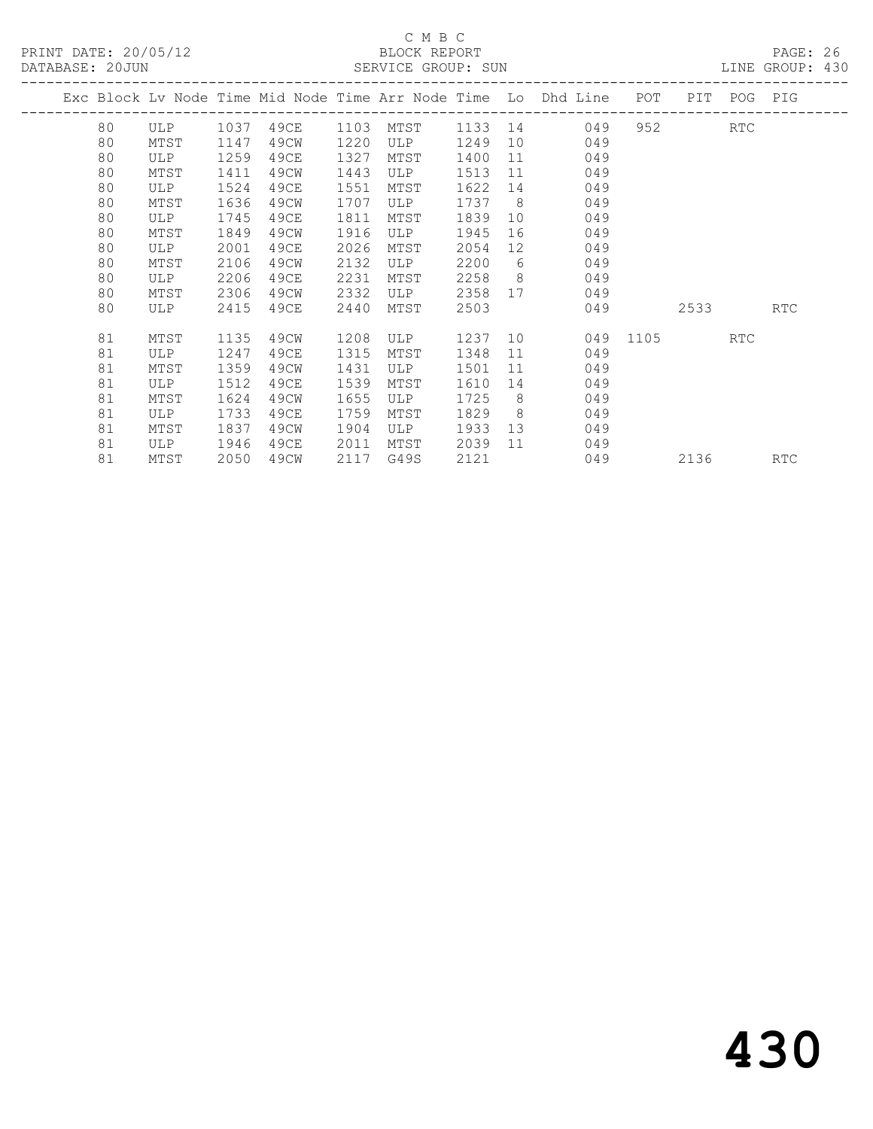PRINT DATE: 20/05/12 BLOCK REPORT<br>DATABASE: 20JUN SERVICE GROUP: SUN

## C M B C<br>BLOCK REPORT

PAGE: 26<br>LINE GROUP: 430

|    |      |      |      |      |              |      |                | Exc Block Lv Node Time Mid Node Time Arr Node Time Lo Dhd Line POT |          |      | PIT POG PIG |            |
|----|------|------|------|------|--------------|------|----------------|--------------------------------------------------------------------|----------|------|-------------|------------|
| 80 | ULP  | 1037 | 49CE | 1103 | MTST 1133 14 |      |                | 049                                                                |          |      | RTC         |            |
| 80 | MTST | 1147 | 49CW | 1220 | ULP          | 1249 |                | 10<br>049                                                          |          |      |             |            |
| 80 | ULP  | 1259 | 49CE | 1327 | MTST         | 1400 | 11             | 049                                                                |          |      |             |            |
| 80 | MTST | 1411 | 49CW | 1443 | ULP          | 1513 | 11             | 049                                                                |          |      |             |            |
| 80 | ULP  | 1524 | 49CE | 1551 | MTST         | 1622 | 14             | 049                                                                |          |      |             |            |
| 80 | MTST | 1636 | 49CW | 1707 | ULP          | 1737 | 8 <sup>8</sup> | 049                                                                |          |      |             |            |
| 80 | ULP  | 1745 | 49CE | 1811 | MTST         | 1839 | 10             | 049                                                                |          |      |             |            |
| 80 | MTST | 1849 | 49CW | 1916 | ULP          | 1945 | 16             | 049                                                                |          |      |             |            |
| 80 | ULP  | 2001 | 49CE | 2026 | MTST         | 2054 | 12             | 049                                                                |          |      |             |            |
| 80 | MTST | 2106 | 49CW | 2132 | ULP          | 2200 | 6              | 049                                                                |          |      |             |            |
| 80 | ULP  | 2206 | 49CE | 2231 | MTST         | 2258 |                | $8 \overline{)}$<br>049                                            |          |      |             |            |
| 80 | MTST | 2306 | 49CW | 2332 | ULP          | 2358 |                | 049<br>17                                                          |          |      |             |            |
| 80 | ULP  | 2415 | 49CE | 2440 | MTST         | 2503 |                |                                                                    | 049      | 2533 |             | RTC        |
| 81 | MTST | 1135 | 49CW | 1208 | ULP          | 1237 |                | 10                                                                 | 049 1105 |      | RTC         |            |
| 81 | ULP  | 1247 | 49CE | 1315 | MTST         | 1348 | 11             | 049                                                                |          |      |             |            |
| 81 | MTST | 1359 | 49CW | 1431 | ULP          | 1501 | 11             | 049                                                                |          |      |             |            |
| 81 | ULP  | 1512 | 49CE | 1539 | MTST         | 1610 | 14             | 049                                                                |          |      |             |            |
| 81 | MTST | 1624 | 49CW | 1655 | ULP          | 1725 | 8 <sup>8</sup> | 049                                                                |          |      |             |            |
| 81 | ULP  | 1733 | 49CE | 1759 | MTST         | 1829 | 8 <sup>8</sup> | 049                                                                |          |      |             |            |
| 81 | MTST | 1837 | 49CW | 1904 | ULP          | 1933 |                | 13<br>049                                                          |          |      |             |            |
| 81 | ULP  | 1946 | 49CE | 2011 | MTST         | 2039 | 11             | 049                                                                |          |      |             |            |
| 81 | MTST | 2050 | 49CW | 2117 | G49S         | 2121 |                | 049                                                                |          | 2136 |             | <b>RTC</b> |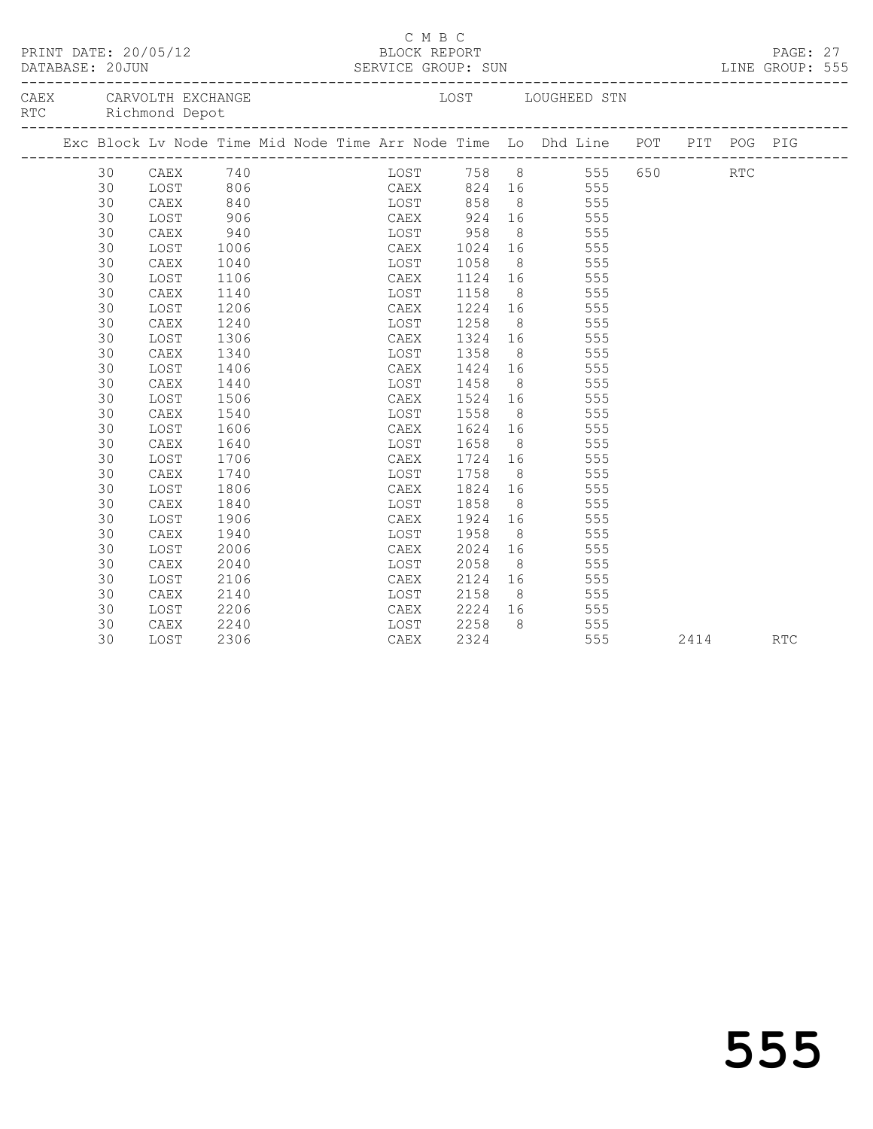| PRINT DATE: 20/05/12          |    |                                                                                | BLOCK REPORT |  |      | C M B C |                   |                |                                                     |     |             |      | PAGE: 27   |  |
|-------------------------------|----|--------------------------------------------------------------------------------|--------------|--|------|---------|-------------------|----------------|-----------------------------------------------------|-----|-------------|------|------------|--|
| CAEX CARVOLTH EXCHANGE<br>RTC |    | Richmond Depot                                                                 |              |  |      |         |                   |                | LOST LOUGHEED STN                                   |     |             |      |            |  |
|                               |    | Exc Block Lv Node Time Mid Node Time Arr Node Time Lo Dhd Line POT PIT POG PIG |              |  |      |         |                   |                |                                                     |     |             |      |            |  |
|                               | 30 |                                                                                |              |  |      |         |                   |                |                                                     |     | 555 650 RTC |      |            |  |
|                               | 30 |                                                                                |              |  |      |         |                   |                | 555                                                 |     |             |      |            |  |
|                               | 30 | CAEX 740<br>LOST 806<br>CAEX 840<br>CAEX                                       |              |  |      |         |                   |                | 10ST 758 8 555<br>CAEX 824 16 555<br>10ST 858 8 555 |     |             |      |            |  |
|                               | 30 | LOST                                                                           | 906          |  |      |         |                   |                | CAEX 924 16 555                                     |     |             |      |            |  |
|                               | 30 | CAEX                                                                           | 940          |  |      |         | LOST 958          |                | 8 555                                               |     |             |      |            |  |
|                               | 30 | LOST                                                                           | 1006         |  | CAEX |         |                   |                | 1024 16 555                                         |     |             |      |            |  |
|                               | 30 | CAEX                                                                           | 1040         |  | LOST |         |                   |                | 555                                                 |     |             |      |            |  |
|                               | 30 | LOST                                                                           | 1106         |  | CAEX |         | 1058 8<br>1124 16 |                | 555                                                 |     |             |      |            |  |
|                               | 30 | CAEX                                                                           | 1140         |  | LOST |         | 1158              |                | $8$ 555                                             |     |             |      |            |  |
|                               | 30 | LOST                                                                           | 1206         |  | CAEX |         |                   |                | 1224 16 555                                         |     |             |      |            |  |
|                               | 30 | CAEX                                                                           | 1240         |  | LOST |         | 1258              |                | 8 555                                               |     |             |      |            |  |
|                               | 30 | LOST                                                                           | 1306         |  | CAEX |         |                   |                | 1324 16 555                                         |     |             |      |            |  |
|                               | 30 | CAEX                                                                           | 1340         |  | LOST |         | 1358 8<br>1424 16 |                | 555                                                 |     |             |      |            |  |
|                               | 30 | LOST                                                                           | 1406         |  | CAEX |         |                   |                | 555                                                 |     |             |      |            |  |
|                               | 30 | ${\tt CAEX}$                                                                   | 1440         |  | LOST |         | 1458              |                | 8 555                                               |     |             |      |            |  |
|                               | 30 | LOST                                                                           | 1506         |  | CAEX |         |                   |                | 1524 16 555                                         |     |             |      |            |  |
|                               | 30 | ${\tt CAEX}$                                                                   | 1540         |  | LOST |         | 1558              |                | 8 555                                               |     |             |      |            |  |
|                               | 30 | LOST                                                                           | 1606         |  | CAEX |         |                   |                | 1624 16 555                                         |     |             |      |            |  |
|                               | 30 | CAEX                                                                           | 1640         |  | LOST |         | 1658              |                |                                                     |     |             |      |            |  |
|                               | 30 | LOST                                                                           | 1706         |  | CAEX |         |                   |                | 1658 8 555<br>1724 16 555                           |     |             |      |            |  |
|                               | 30 | CAEX                                                                           | 1740         |  | LOST |         | 1758              |                | 8 555                                               |     |             |      |            |  |
|                               | 30 | LOST                                                                           | 1806         |  | CAEX |         |                   |                | 1824 16 555                                         |     |             |      |            |  |
|                               | 30 | CAEX                                                                           | 1840         |  | LOST |         | 1858              |                | 8 555                                               |     |             |      |            |  |
|                               | 30 | LOST                                                                           | 1906         |  | CAEX |         | 1924              |                | 16 555                                              |     |             |      |            |  |
|                               | 30 | CAEX                                                                           | 1940         |  | LOST |         | 1958              | 8 <sup>8</sup> | 555                                                 |     |             |      |            |  |
|                               | 30 | LOST                                                                           | 2006         |  | CAEX |         |                   |                | 2024 16 555                                         |     |             |      |            |  |
|                               | 30 | CAEX                                                                           | 2040         |  | LOST |         | 2058              |                | 8 555                                               |     |             |      |            |  |
|                               | 30 | LOST                                                                           | 2106         |  | CAEX |         |                   |                | 2124 16 555                                         |     |             |      |            |  |
|                               | 30 | ${\tt CAEX}$                                                                   | 2140         |  | LOST |         | 2158              |                | 8 555                                               |     |             |      |            |  |
|                               | 30 | LOST                                                                           | 2206         |  | CAEX |         | 2224 16           |                | 555                                                 |     |             |      |            |  |
|                               | 30 | CAEX                                                                           | 2240         |  |      |         | LOST 2258         | 8 <sup>8</sup> |                                                     | 555 |             |      |            |  |
|                               | 30 | LOST                                                                           | 2306         |  | CAEX |         | 2324              |                |                                                     | 555 |             | 2414 | <b>RTC</b> |  |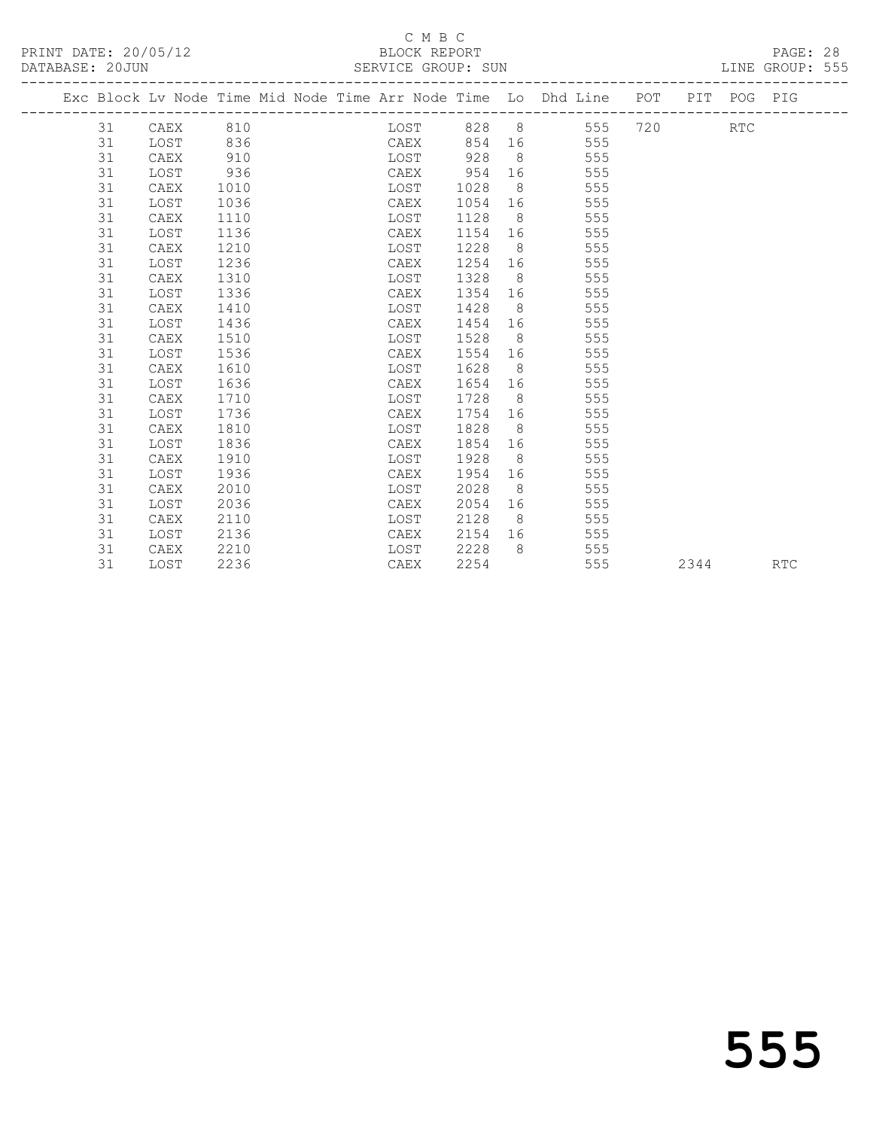PRINT DATE: 20/05/12 BLOCK REPORT BATABASE: 20JUN

## C M B C<br>BLOCK REPORT

PAGE: 28<br>LINE GROUP: 555

|  |    | Exc Block Lv Node Time Mid Node Time Arr Node Time Lo Dhd Line POT PIT POG PIG |      |  |      |             |                |                  |     |             |      |            |
|--|----|--------------------------------------------------------------------------------|------|--|------|-------------|----------------|------------------|-----|-------------|------|------------|
|  |    |                                                                                |      |  |      | LOST 828 8  |                |                  |     | 555 720 RTC |      |            |
|  | 31 | LOST                                                                           | 836  |  |      | CAEX 854 16 |                |                  | 555 |             |      |            |
|  | 31 | CAEX                                                                           | 910  |  | LOST | 928         | 8 <sup>8</sup> |                  | 555 |             |      |            |
|  | 31 | LOST                                                                           | 936  |  | CAEX | 954         | 16             |                  | 555 |             |      |            |
|  | 31 | CAEX                                                                           | 1010 |  | LOST | 1028        | 8 <sup>8</sup> |                  | 555 |             |      |            |
|  | 31 | LOST                                                                           | 1036 |  | CAEX | 1054        | 16             |                  | 555 |             |      |            |
|  | 31 | CAEX                                                                           | 1110 |  | LOST | 1128        | 8 <sup>1</sup> |                  | 555 |             |      |            |
|  | 31 | LOST                                                                           | 1136 |  | CAEX | 1154        |                |                  | 555 |             |      |            |
|  | 31 | CAEX                                                                           | 1210 |  | LOST | 1228        |                | $8 \overline{)}$ | 555 |             |      |            |
|  | 31 | LOST                                                                           | 1236 |  | CAEX | 1254        | 16             |                  | 555 |             |      |            |
|  | 31 | CAEX                                                                           | 1310 |  | LOST | 1328        |                | $8 \overline{)}$ | 555 |             |      |            |
|  | 31 | LOST                                                                           | 1336 |  | CAEX | 1354        | 16             |                  | 555 |             |      |            |
|  | 31 | CAEX                                                                           | 1410 |  | LOST | 1428        | 8 <sup>8</sup> |                  | 555 |             |      |            |
|  | 31 | LOST                                                                           | 1436 |  | CAEX | 1454        | 16             |                  | 555 |             |      |            |
|  | 31 | CAEX                                                                           | 1510 |  | LOST | 1528        |                | $8 \overline{)}$ | 555 |             |      |            |
|  | 31 | LOST                                                                           | 1536 |  | CAEX | 1554        |                |                  | 555 |             |      |            |
|  | 31 | CAEX                                                                           | 1610 |  | LOST | 1628        | 8 <sup>8</sup> |                  | 555 |             |      |            |
|  | 31 | LOST                                                                           | 1636 |  | CAEX | 1654        | 16             |                  | 555 |             |      |            |
|  | 31 | CAEX                                                                           | 1710 |  | LOST | 1728        | 8 <sup>8</sup> |                  | 555 |             |      |            |
|  | 31 | LOST                                                                           | 1736 |  | CAEX | 1754        | 16             |                  | 555 |             |      |            |
|  | 31 | CAEX                                                                           | 1810 |  | LOST | 1828        | 8 <sup>8</sup> |                  | 555 |             |      |            |
|  | 31 | LOST                                                                           | 1836 |  | CAEX | 1854        | 16             |                  | 555 |             |      |            |
|  | 31 | CAEX                                                                           | 1910 |  | LOST | 1928        |                | $8 \overline{8}$ | 555 |             |      |            |
|  | 31 | LOST                                                                           | 1936 |  | CAEX | 1954        | 16             |                  | 555 |             |      |            |
|  | 31 | CAEX                                                                           | 2010 |  | LOST | 2028        | 8 <sup>8</sup> |                  | 555 |             |      |            |
|  | 31 | LOST                                                                           | 2036 |  | CAEX | 2054        | 16             |                  | 555 |             |      |            |
|  | 31 | CAEX                                                                           | 2110 |  | LOST | 2128        | 8 <sup>8</sup> |                  | 555 |             |      |            |
|  | 31 | LOST                                                                           | 2136 |  | CAEX | 2154        | 16             |                  | 555 |             |      |            |
|  | 31 | CAEX                                                                           | 2210 |  | LOST | 2228        | 8              |                  | 555 |             |      |            |
|  | 31 | LOST                                                                           | 2236 |  | CAEX | 2254        |                |                  | 555 |             | 2344 | <b>RTC</b> |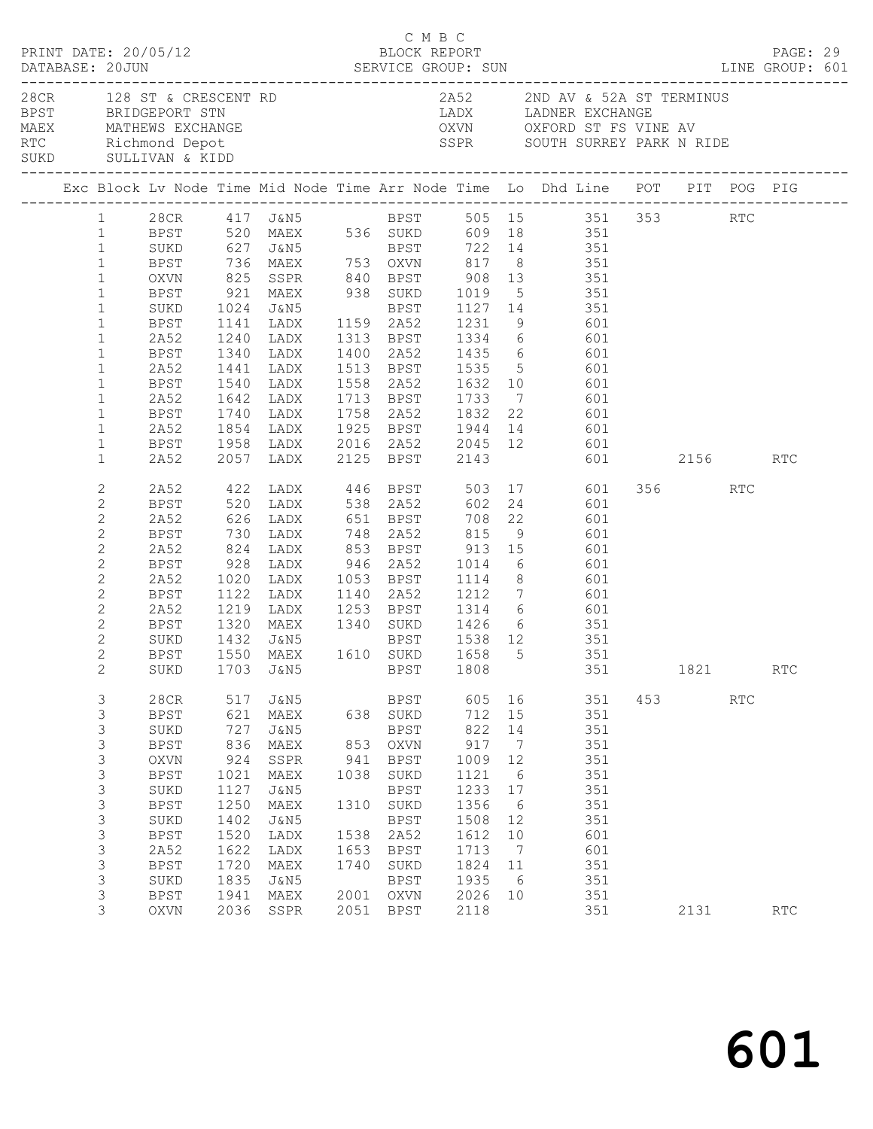|                                                                                                                                                                                                                              | PRINT DATE: 20/05/12                                                                                                                                                                                                        |                                                                                                         |                                                                                                                                                              |                                                                   | C M B C<br>BLOCK REPORT                                                                                                                                                                    |                                                                                                                  |                                                                                                                                     | DATABASE: 20JUN SERVICE GROUP: SUN LINE GROUP: 601                                                                                                                                                                                                                                  |     |         |     | PAGE: 29             |  |
|------------------------------------------------------------------------------------------------------------------------------------------------------------------------------------------------------------------------------|-----------------------------------------------------------------------------------------------------------------------------------------------------------------------------------------------------------------------------|---------------------------------------------------------------------------------------------------------|--------------------------------------------------------------------------------------------------------------------------------------------------------------|-------------------------------------------------------------------|--------------------------------------------------------------------------------------------------------------------------------------------------------------------------------------------|------------------------------------------------------------------------------------------------------------------|-------------------------------------------------------------------------------------------------------------------------------------|-------------------------------------------------------------------------------------------------------------------------------------------------------------------------------------------------------------------------------------------------------------------------------------|-----|---------|-----|----------------------|--|
|                                                                                                                                                                                                                              | 28CR 128 ST & CRESCENT RD<br>BPST BRIDGEPORT STN                                                                                                                                                                            |                                                                                                         |                                                                                                                                                              |                                                                   |                                                                                                                                                                                            |                                                                                                                  |                                                                                                                                     | 2A52 2ND AV & 52A ST TERMINUS<br>LADX LADNER EXCHANGE<br>MAEX<br>MATHEWS EXCHANGE<br>RTC Richmond Depot SSPR SOUTH SURREY PARK N RIDE<br>SUKD SULLIVAN & KIDD<br>SSPR SOUTH SURREY PARK N RIDE                                                                                      |     |         |     |                      |  |
|                                                                                                                                                                                                                              |                                                                                                                                                                                                                             |                                                                                                         |                                                                                                                                                              |                                                                   |                                                                                                                                                                                            |                                                                                                                  |                                                                                                                                     | Exc Block Lv Node Time Mid Node Time Arr Node Time Lo Dhd Line POT PIT POG PIG                                                                                                                                                                                                      |     |         |     |                      |  |
| $\mathbf{1}$<br>$\mathbf{1}$<br>$\mathbf{1}$<br>$\mathbf{1}$<br>$\mathbf{1}$<br>$\mathbf{1}$<br>$\mathbf{1}$<br>$\mathbf{1}$<br>$\mathbf{1}$<br>$\mathbf{1}$<br>$\mathbf{1}$<br>$\mathbf{1}$<br>$\mathbf{1}$<br>$\mathbf{1}$ | SUKD 627 J&N5 BPST 722 14 351<br>BPST 736 MAEX 753 OXVN 817 8 351<br>OXVN 825 SSPR 840 BPST 908 13 351<br>BPST 921 MAEX 938 SUKD 1019 5 351<br>SUKD<br>BPST<br>2A52<br>BPST<br>2A52<br>BPST<br>2A52<br>BPST<br>2A52<br>BPST | 1340<br>1441                                                                                            |                                                                                                                                                              |                                                                   |                                                                                                                                                                                            |                                                                                                                  |                                                                                                                                     | 1 28CR 417 J&N5 BPST 505 15 351 353 RTC<br>1 BPST 520 MAEX 536 SUKD 609 18 351<br>LADX 1400 2A52 1435 6 601<br>LADX 1513 BPST 1535 5 601<br>1540 LADX 1558 2A52 1632 10 601<br>1642 LADX 1713 BPST 1733 7 601<br>1740 LADX 1758 2A52 1832 22 601<br>1854 LADX 1925 BPST 1944 14 601 |     |         |     |                      |  |
| $\mathbf{1}$                                                                                                                                                                                                                 | 2A52                                                                                                                                                                                                                        |                                                                                                         |                                                                                                                                                              |                                                                   |                                                                                                                                                                                            |                                                                                                                  |                                                                                                                                     | 601 2156 RTC                                                                                                                                                                                                                                                                        |     |         |     |                      |  |
| $\mathbf{2}$<br>2<br>$\mathbf{2}$<br>$\mathbf{2}$<br>$\mathbf{2}$<br>$\mathbf{2}$<br>$\sqrt{2}$<br>$\mathbf{2}$<br>$\mathbf{2}$<br>2<br>$\mathbf{2}$<br>$\mathbf{2}$<br>$\overline{2}$                                       | BPST<br>2A52<br>BPST<br>2A52<br>BPST<br>2A52<br>BPST<br>2A52<br>BPST<br>SUKD<br>BPST                                                                                                                                        | 1320                                                                                                    | 1020 LADX<br>1122 LADX                                                                                                                                       |                                                                   |                                                                                                                                                                                            |                                                                                                                  |                                                                                                                                     | 2A52 422 LADX 446 BPST 503 17 601<br>824 LADX 853 BPST 913 15 601<br>928 LADX 946 2A52 1014 6 601<br>1020 LADX 1053 BPST 1114 8 601<br>1122 LADX 1140 2A52 1212 7 601<br>1219 LADX 1253 BPST 1314 6 601<br>MAEX 1340 SUKD 1426 6 351<br>SUKD 1703 J&N5 BPST 1808 351 1821           |     | 356 RTC |     | RTC                  |  |
| 3<br>3<br>3<br>3<br>$\mathsf 3$<br>$\mathsf 3$<br>$\mathsf 3$<br>$\mathsf 3$<br>$\mathsf 3$<br>$\mathsf 3$<br>3<br>$\mathsf 3$<br>3<br>3<br>3                                                                                | 28CR<br><b>BPST</b><br>SUKD<br><b>BPST</b><br><b>OXVN</b><br><b>BPST</b><br>SUKD<br><b>BPST</b><br>SUKD<br><b>BPST</b><br>2A52<br><b>BPST</b><br>SUKD<br><b>BPST</b><br>OXVN                                                | 517<br>621<br>727<br>836<br>924<br>1021<br>1127<br>1250<br>1402<br>1520<br>1622<br>1720<br>1835<br>1941 | J&N5<br>MAEX<br>J&N5<br>MAEX<br>SSPR<br>$\ensuremath{\mathsf{MAEX}}$<br><b>J&amp;N5</b><br>MAEX<br>J&N5<br>LADX<br>LADX<br>MAEX<br>J&N5<br>MAEX<br>2036 SSPR | 638<br>853<br>941<br>1038<br>1310<br>1538<br>1653<br>1740<br>2001 | BPST<br>SUKD<br>BPST<br>$\mathop{\rm OXVN}\nolimits$<br><b>BPST</b><br>SUKD<br><b>BPST</b><br>SUKD<br><b>BPST</b><br>2A52<br><b>BPST</b><br>$\rm SUKD$<br><b>BPST</b><br>OXVN<br>2051 BPST | 605<br>712<br>822<br>917<br>1009<br>1121<br>1233<br>1356<br>1508<br>1612<br>1713<br>1824<br>1935<br>2026<br>2118 | 16<br>15<br>14<br>$\overline{7}$<br>12<br>$6\overline{6}$<br>17<br>$6\overline{6}$<br>12<br>10<br>$\overline{7}$<br>11<br>- 6<br>10 | 351<br>351<br>351<br>351<br>351<br>351<br>351<br>351<br>351<br>601<br>601<br>351<br>351<br>351<br>351                                                                                                                                                                               | 453 | 2131    | RTC | $\operatorname{RTC}$ |  |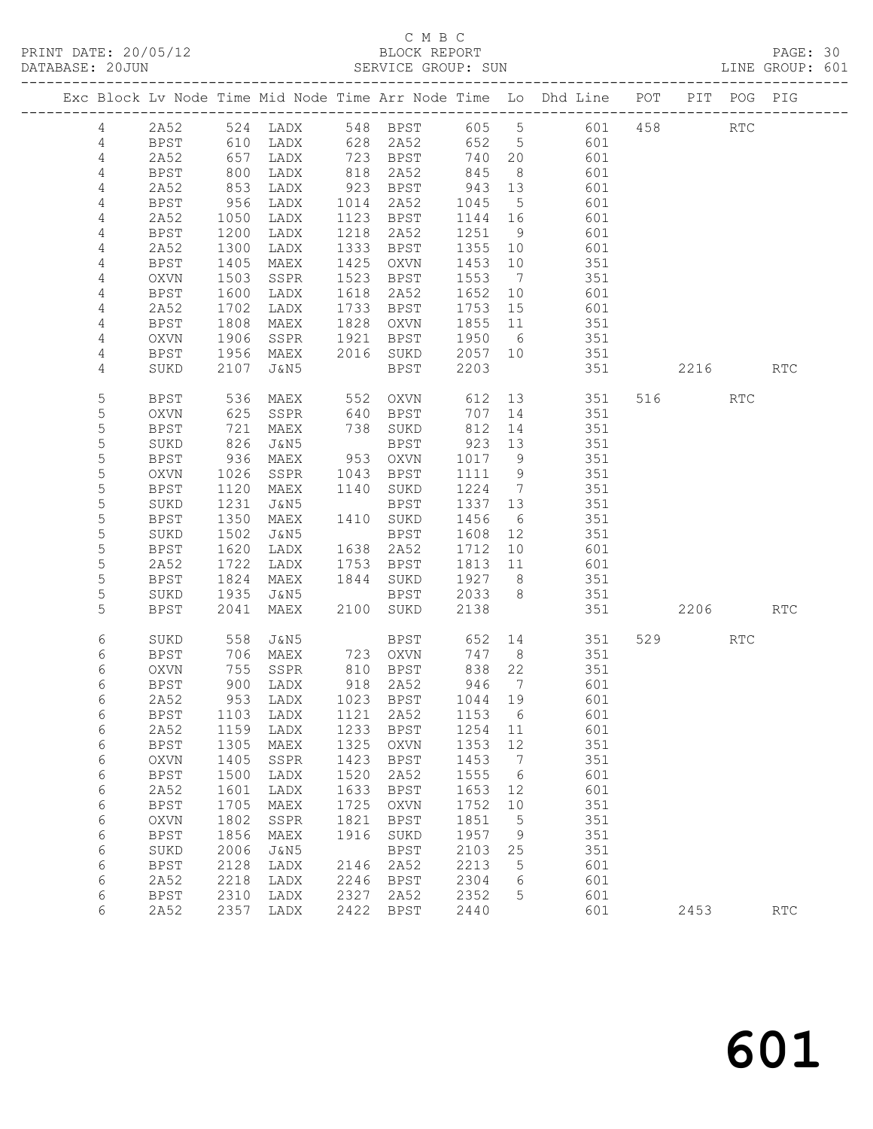## C M B C<br>BLOCK REPORT

| DATABASE: 20JUN |             |              |                   |                              |      | SERVICE GROUP: SUN           |                  |                      |                                                                                |          |     | LINE GROUP: 601 |  |
|-----------------|-------------|--------------|-------------------|------------------------------|------|------------------------------|------------------|----------------------|--------------------------------------------------------------------------------|----------|-----|-----------------|--|
|                 |             |              |                   |                              |      |                              |                  |                      | Exc Block Lv Node Time Mid Node Time Arr Node Time Lo Dhd Line POT PIT POG PIG |          |     |                 |  |
|                 | 4           |              |                   |                              |      |                              |                  |                      | 2A52 524 LADX 548 BPST 605 5 601 458 RTC                                       |          |     |                 |  |
|                 | 4           | BPST         |                   |                              |      |                              |                  |                      | 610 LADX 628 2A52 652 5 601                                                    |          |     |                 |  |
|                 | 4           | 2A52         | 657<br>800<br>853 |                              |      | LADX 723 BPST                | 740 20           |                      | 601                                                                            |          |     |                 |  |
|                 | 4           | BPST         |                   | LADX                         |      | 818  2A52<br>923  BPST       | 845 8<br>943 13  |                      | 601                                                                            |          |     |                 |  |
|                 | 4           | 2A52         |                   | LADX                         |      |                              |                  |                      | 601                                                                            |          |     |                 |  |
|                 | 4           | BPST         | 956               | LADX                         |      | 1014 2A52                    | 1045             | $5\overline{)}$      | 601                                                                            |          |     |                 |  |
|                 | 4           | 2A52         | 1050              | LADX                         |      | 1123 BPST                    | 1144 16          |                      | 601                                                                            |          |     |                 |  |
|                 | 4           | BPST         | 1200              | LADX                         |      | 1218 2A52                    | 1251 9           |                      | 601                                                                            |          |     |                 |  |
|                 | 4           | 2A52         | 1300              | LADX                         |      | 1333 BPST                    | 1355 10          |                      | 601                                                                            |          |     |                 |  |
|                 | 4           | BPST         | 1405              | MAEX                         |      | 1425 OXVN                    | 1453 10          |                      | 351                                                                            |          |     |                 |  |
|                 | 4           | OXVN         | 1503              | SSPR                         |      | 1523 BPST                    | 1553             | $7\overline{)}$      | 351                                                                            |          |     |                 |  |
|                 | 4           | BPST         | 1600              | LADX                         |      | 1618 2A52                    | 1652 10          |                      | 601                                                                            |          |     |                 |  |
|                 | 4           | 2A52         | 1702              | LADX                         |      | 1733 BPST                    | 1753 15          |                      | 601                                                                            |          |     |                 |  |
|                 | 4           | BPST         | 1808              | MAEX                         |      | 1828 OXVN                    | 1855 11          |                      | 351                                                                            |          |     |                 |  |
|                 | 4           | OXVN         | 1906              | SSPR                         |      | 1921 BPST 1950 6             |                  |                      | 351                                                                            |          |     |                 |  |
|                 | 4           | BPST         | 1956              | MAEX                         |      | 2016 SUKD 2057 10            |                  |                      | 351                                                                            |          |     |                 |  |
|                 | 4           | SUKD         | 2107              | J&N5                         |      | BPST                         | 2203             |                      | 351                                                                            | 2216 RTC |     |                 |  |
|                 | 5           | BPST         | 536               | MAEX                         |      |                              |                  |                      | 552 OXVN 612 13 351                                                            | 516 RTC  |     |                 |  |
|                 | 5           | OXVN         | 625<br>721        | SSPR                         |      | 640 BPST<br>738 SUKD<br>BPST | 707 14           |                      | 351                                                                            |          |     |                 |  |
|                 | 5           | BPST         |                   | MAEX                         |      |                              | 812 14           |                      | 351<br>351                                                                     |          |     |                 |  |
|                 | 5           | SUKD         | 826               | J&N5                         |      | BPST                         | 923 13           |                      |                                                                                |          |     |                 |  |
|                 | 5           | BPST         | 936               | MAEX                         |      | 953 OXVN                     | 1017 9           |                      | 351                                                                            |          |     |                 |  |
|                 | 5<br>5      | OXVN         | 1026              | SSPR                         |      | 1043 BPST                    | 1111 9<br>1224 7 |                      | 351                                                                            |          |     |                 |  |
|                 | $\mathsf S$ | BPST<br>SUKD | 1120<br>1231      | MAEX<br>J&N5                 |      | 1140 SUKD<br>BPST            | 1337 13          |                      | 351<br>351                                                                     |          |     |                 |  |
|                 | 5           | BPST         | 1350              | MAEX                         |      | 1410 SUKD                    | 1456             | 6                    | 351                                                                            |          |     |                 |  |
|                 | 5           | SUKD         | 1502              | J&N5                         |      | BPST                         | 1608             | 12                   | 351                                                                            |          |     |                 |  |
|                 | 5           | BPST         | 1620              | LADX                         |      | 1638 2A52                    | 1712 10          |                      | 601                                                                            |          |     |                 |  |
|                 | 5           | 2A52         | 1722              | LADX                         |      | 1753 BPST                    |                  |                      | $1813$ $11$ $601$                                                              |          |     |                 |  |
|                 | 5           | BPST         | 1824              | MAEX                         |      | 1844 SUKD 1927 8             |                  |                      | 351                                                                            |          |     |                 |  |
|                 | 5           | SUKD         | 1935              | J&N5                         |      | BPST 2033 8                  |                  |                      | 351                                                                            |          |     |                 |  |
|                 | 5           | BPST         | 2041              | MAEX                         |      | 2100 SUKD                    | 2138             |                      | 351 2206                                                                       |          |     | RTC             |  |
|                 | 6           | SUKD         | 558               | J&N5                         |      |                              |                  |                      | BPST 652 14 351                                                                | 529      | RTC |                 |  |
|                 | 6           | BPST         | 706               | MAEX                         |      | 723 OXVN                     | 747 8            |                      | 351                                                                            |          |     |                 |  |
|                 | 6           | OXVN         |                   | 755 SSPR<br>900 LADX<br>SSPR |      | 810    BPST<br>918    2A52   | 838 22<br>946 7  |                      | 351                                                                            |          |     |                 |  |
|                 | 6           | BPST         |                   |                              |      |                              |                  |                      | 601                                                                            |          |     |                 |  |
|                 | 6           | 2A52         |                   |                              |      |                              |                  |                      | 953 LADX 1023 BPST 1044 19 601                                                 |          |     |                 |  |
|                 | 6           | BPST         | 1103              | LADX                         | 1121 | 2A52                         | 1153             | - 6                  | 601                                                                            |          |     |                 |  |
|                 | 6           | 2A52         | 1159              | LADX                         | 1233 | BPST                         | 1254 11          |                      | 601                                                                            |          |     |                 |  |
|                 | 6           | <b>BPST</b>  | 1305              | MAEX                         | 1325 | OXVN                         | 1353             | 12                   | 351                                                                            |          |     |                 |  |
|                 | 6           | OXVN         | 1405              | SSPR                         | 1423 | BPST                         | 1453             | $\overline{7}$       | 351                                                                            |          |     |                 |  |
|                 | 6           | <b>BPST</b>  | 1500              | LADX                         | 1520 | 2A52                         | 1555             | $6\overline{6}$      | 601                                                                            |          |     |                 |  |
|                 | 6           | 2A52         | 1601              | LADX                         | 1633 | <b>BPST</b>                  | 1653             | 12                   | 601                                                                            |          |     |                 |  |
|                 | 6           | <b>BPST</b>  | 1705              | MAEX                         | 1725 | OXVN                         | 1752             | 10                   | 351                                                                            |          |     |                 |  |
|                 | 6           | OXVN         | 1802              | SSPR                         | 1821 | <b>BPST</b>                  | 1851             | $5^{\circ}$          | 351                                                                            |          |     |                 |  |
|                 | 6<br>6      | BPST<br>SUKD | 1856<br>2006      | MAEX<br><b>J&amp;N5</b>      | 1916 | SUKD<br><b>BPST</b>          | 1957<br>2103     | $\overline{9}$<br>25 | 351<br>351                                                                     |          |     |                 |  |
|                 | 6           | <b>BPST</b>  | 2128              | LADX                         | 2146 | 2A52                         | 2213             | $5^{\circ}$          | 601                                                                            |          |     |                 |  |
|                 | 6           | 2A52         | 2218              | LADX                         | 2246 | BPST                         | 2304             | $6\overline{6}$      | 601                                                                            |          |     |                 |  |
|                 | 6           | <b>BPST</b>  | 2310              | LADX                         | 2327 | 2A52                         | 2352             | 5                    | 601                                                                            |          |     |                 |  |
|                 | 6           | 2A52         | 2357              | LADX                         | 2422 | BPST                         | 2440             |                      | 601                                                                            | 2453     |     | <b>RTC</b>      |  |
|                 |             |              |                   |                              |      |                              |                  |                      |                                                                                |          |     |                 |  |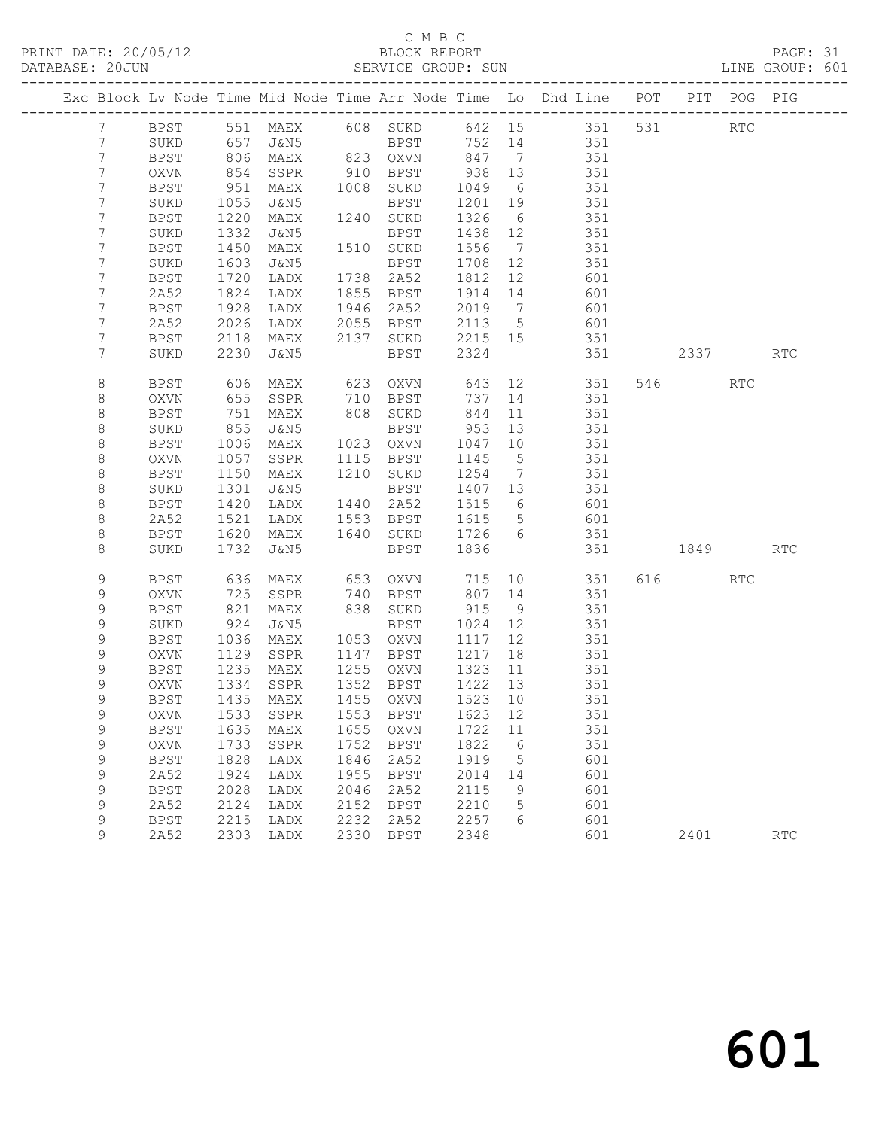PRINT DATE: 20/05/12 BLOCK REPORT BATABASE: 20JUN

## C M B C<br>BLOCK REPORT

PAGE: 31<br>LINE GROUP: 601

|                  |                     |              |                      |              |                                  |              |                 | Exc Block Lv Node Time Mid Node Time Arr Node Time Lo Dhd Line POT |     |       | PIT POG PIG          |            |
|------------------|---------------------|--------------|----------------------|--------------|----------------------------------|--------------|-----------------|--------------------------------------------------------------------|-----|-------|----------------------|------------|
| $7\phantom{.}$   | BPST                |              |                      |              |                                  |              |                 | 551 MAEX 608 SUKD 642 15 351                                       | 531 |       | $\operatorname{RTC}$ |            |
| $7\phantom{.0}$  | SUKD                |              |                      |              | BPST<br>oxvn                     | 752 14       |                 | 351                                                                |     |       |                      |            |
| 7                | BPST                |              | 657 J&N5<br>806 MAEX |              | 823 OXVN                         | 847 7        |                 | 351                                                                |     |       |                      |            |
| 7                | OXVN                | 854          | SSPR                 |              | 910 BPST                         | 938 13       |                 | 351                                                                |     |       |                      |            |
| 7                | <b>BPST</b>         | 951          | MAEX                 |              | 1008 SUKD                        | 1049         | 6               | 351                                                                |     |       |                      |            |
| 7                | SUKD                | 1055         | J&N5                 |              | BPST                             | 1201         | 19              | 351                                                                |     |       |                      |            |
| 7                | BPST                | 1220         | MAEX                 |              | 1240 SUKD                        | 1326         | 6               | 351                                                                |     |       |                      |            |
| 7                | SUKD                | 1332         | J&N5                 |              | BPST                             | 1438 12      |                 | 351                                                                |     |       |                      |            |
| 7                | <b>BPST</b>         | 1450         | MAEX                 |              | 1510 SUKD                        | 1556         | $\overline{7}$  | 351                                                                |     |       |                      |            |
| 7                | SUKD                | 1603         | J&N5                 |              | BPST                             | 1708         | 12              | 351                                                                |     |       |                      |            |
| 7                | BPST                | 1720         | LADX                 |              | 1738 2A52                        | 1812         | 12              | 601                                                                |     |       |                      |            |
| 7                | 2A52                | 1824         | LADX                 |              | 1855 BPST                        | 1914 14      |                 | 601                                                                |     |       |                      |            |
| 7                | BPST                | 1928         | LADX                 |              | 1946 2A52                        | 2019         | $\overline{7}$  | 601                                                                |     |       |                      |            |
| 7                | 2A52                | 2026         | LADX                 |              | 2055 BPST                        | 2113 5       |                 | 601                                                                |     |       |                      |            |
| 7                | <b>BPST</b>         | 2118         | MAEX                 |              | 2137 SUKD                        | 2215 15      |                 | 351                                                                |     |       |                      |            |
| 7                | SUKD                | 2230         | J&N5                 |              | BPST                             | 2324         |                 | 351                                                                |     | 2337  |                      | <b>RTC</b> |
| 8                | BPST                | 606          | MAEX                 | 623          | OXVN                             | 643          | 12              | 351                                                                |     | 546 7 | <b>RTC</b>           |            |
| 8                | <b>OXVN</b>         | 655          | SSPR                 |              | 710 BPST                         | 737          | 14              | 351                                                                |     |       |                      |            |
| 8                | <b>BPST</b>         | 751          | MAEX                 |              | 808 SUKD                         | 844          | 11              | 351                                                                |     |       |                      |            |
| 8                | SUKD                | 855          | J&N5                 |              | BPST                             | 953          | 13              | 351                                                                |     |       |                      |            |
| 8                | <b>BPST</b>         | 1006         | MAEX                 |              | 1023 OXVN                        | 1047         | 10              | 351                                                                |     |       |                      |            |
| $\,8\,$          | OXVN                | 1057         | SSPR                 |              | 1115 BPST                        | 1145         | $5^{\circ}$     | 351                                                                |     |       |                      |            |
| 8                | <b>BPST</b>         | 1150         | MAEX                 |              | 1210 SUKD                        | 1254         | $\overline{7}$  | 351                                                                |     |       |                      |            |
| 8                | SUKD                | 1301         | J&N5                 |              | BPST                             | 1407 13      |                 | 351                                                                |     |       |                      |            |
| 8                | <b>BPST</b>         | 1420         | LADX                 |              | 1440 2A52                        | 1515         | $6\overline{6}$ | 601                                                                |     |       |                      |            |
| $\,8\,$          | 2A52                | 1521         | LADX                 |              | 1553 BPST                        | 1615         | $5\overline{)}$ | 601                                                                |     |       |                      |            |
| 8                | <b>BPST</b>         | 1620         | MAEX                 |              | 1640 SUKD                        | 1726 6       |                 | 351                                                                |     |       |                      |            |
| 8                | SUKD                | 1732         | J&N5                 |              | BPST                             | 1836         |                 | 351                                                                |     | 1849  |                      | <b>RTC</b> |
| 9                | <b>BPST</b>         | 636          | MAEX                 |              | 653 OXVN                         | 715          | 10              | 351                                                                |     | 616 7 | RTC                  |            |
| 9                | OXVN                | 725          | SSPR                 |              | 740 BPST                         | 807 14       |                 | 351                                                                |     |       |                      |            |
| 9                | <b>BPST</b>         | 821          | MAEX                 |              | 838 SUKD                         | 915          | 9               | 351                                                                |     |       |                      |            |
| 9                | SUKD                | 924          | J&N5                 |              | BPST                             | 1024         | 12              | 351                                                                |     |       |                      |            |
| 9                | <b>BPST</b>         | 1036         | MAEX                 |              | 1053 OXVN                        | 1117         | 12              | 351                                                                |     |       |                      |            |
| 9                | OXVN                | 1129         | SSPR                 |              | 1147 BPST                        | 1217         | 18              | 351                                                                |     |       |                      |            |
| 9                | BPST                | 1235         | MAEX                 |              | 1255 OXVN                        | 1323         | 11              | 351                                                                |     |       |                      |            |
| 9                | <b>OXVN</b>         | 1334         | SSPR                 |              | 1352 BPST                        | 1422 13      |                 | 351                                                                |     |       |                      |            |
| 9                | BPST                | 1435         | MAEX                 |              | 1455 OXVN                        | 1523 10      |                 | 351                                                                |     |       |                      |            |
| 9                |                     |              |                      |              | OXVN 1533 SSPR 1553 BPST 1623 12 |              |                 | 351                                                                |     |       |                      |            |
| 9                | BPST                | 1635         | MAEX                 | 1655         | OXVN                             | 1722         | 11              | 351                                                                |     |       |                      |            |
| $\mathsf 9$      | <b>OXVN</b>         | 1733         | SSPR                 | 1752         | <b>BPST</b>                      | 1822         | 6               | 351                                                                |     |       |                      |            |
| 9<br>$\mathsf 9$ | <b>BPST</b><br>2A52 | 1828<br>1924 | LADX                 | 1846<br>1955 | 2A52                             | 1919<br>2014 | 5               | 601<br>601                                                         |     |       |                      |            |
| $\mathsf 9$      | <b>BPST</b>         | 2028         | LADX<br>LADX         | 2046         | <b>BPST</b><br>2A52              | 2115         | 14<br>9         | 601                                                                |     |       |                      |            |
| 9                | 2A52                | 2124         | LADX                 | 2152         | <b>BPST</b>                      | 2210         | 5               | 601                                                                |     |       |                      |            |
| 9                | <b>BPST</b>         | 2215         | LADX                 | 2232         | 2A52                             | 2257         | 6               | 601                                                                |     |       |                      |            |
| 9                | 2A52                | 2303         | LADX                 | 2330         | <b>BPST</b>                      | 2348         |                 | 601                                                                |     | 2401  |                      | <b>RTC</b> |
|                  |                     |              |                      |              |                                  |              |                 |                                                                    |     |       |                      |            |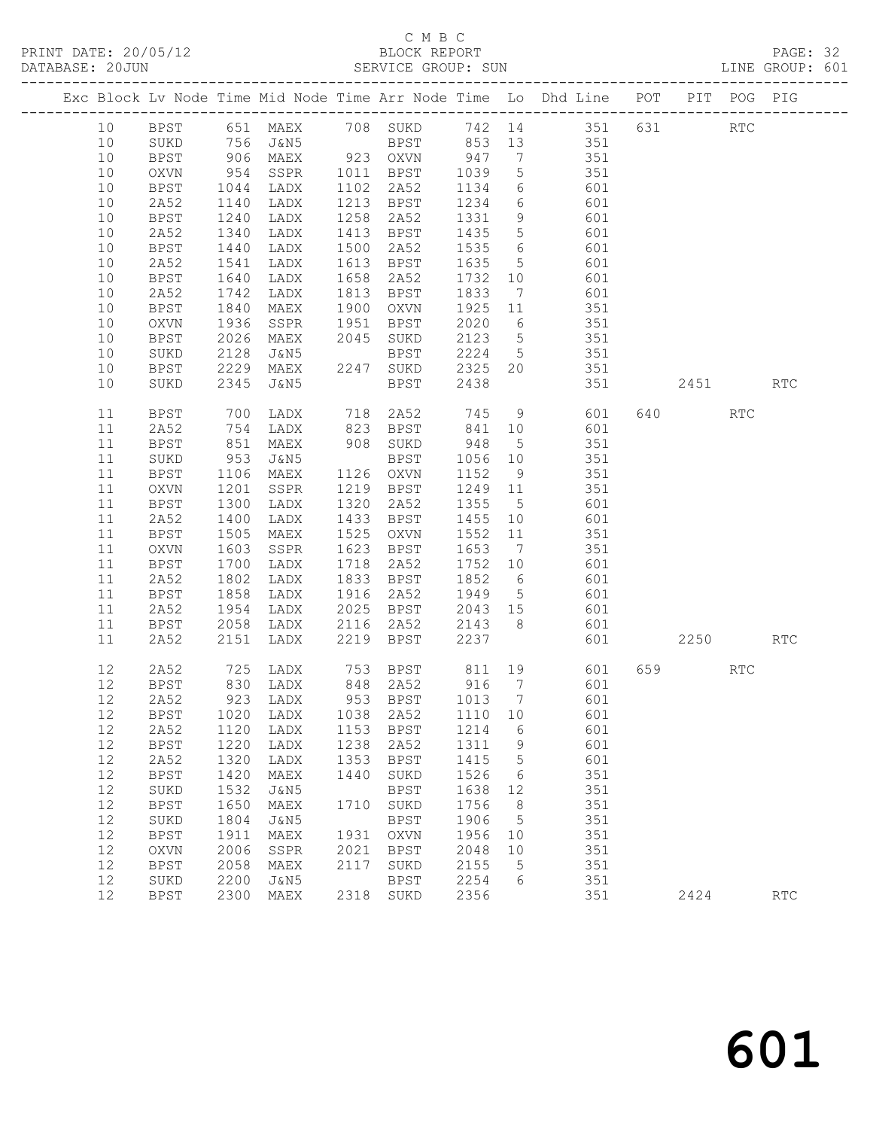## C M B C

| DATABASE: 20JUN |             |                   |                |      | SERVICE GROUP: SUN                                               |         |                 |                                                                                                                            |         |           |     | LINE GROUP: 601      |  |
|-----------------|-------------|-------------------|----------------|------|------------------------------------------------------------------|---------|-----------------|----------------------------------------------------------------------------------------------------------------------------|---------|-----------|-----|----------------------|--|
|                 |             |                   |                |      |                                                                  |         |                 | Exc Block Lv Node Time Mid Node Time Arr Node Time Lo Dhd Line POT PIT POG PIG                                             |         |           |     |                      |  |
| 10              |             |                   |                |      |                                                                  |         |                 | BPST 651 MAEX 708 SUKD 742 14 351 631 RTC                                                                                  |         |           |     |                      |  |
| 10              | SUKD        |                   |                |      |                                                                  |         |                 | 756 J&N5 BPST 853 13 351                                                                                                   |         |           |     |                      |  |
| 10              | BPST        |                   |                |      |                                                                  |         |                 | 906 MAEX 923 OXVN 947 7 351<br>954 SSPR 1011 BPST 1039 5 351<br>1044 LADX 1102 2A52 1134 6 601                             |         |           |     |                      |  |
| 10              | OXVN        |                   |                |      |                                                                  |         |                 |                                                                                                                            |         |           |     |                      |  |
| 10              | BPST        | 1044              | LADX           |      |                                                                  |         |                 |                                                                                                                            |         |           |     |                      |  |
| 10              | 2A52        | 1140              | LADX           |      | 1213 BPST 1234                                                   |         |                 | 6 601                                                                                                                      |         |           |     |                      |  |
| 10              | BPST        | 1240              | LADX           |      | 1258 2A52                                                        | 1331 9  |                 | 601                                                                                                                        |         |           |     |                      |  |
| 10              | 2A52        | 1340              | LADX           |      | 1413 BPST                                                        | 1435 5  |                 | 601                                                                                                                        |         |           |     |                      |  |
| 10              | BPST        | 1440              | LADX           |      | 1500 2A52                                                        | 1535 6  |                 | 601                                                                                                                        |         |           |     |                      |  |
| 10              | 2A52        | 1541              | LADX           |      | 1613 BPST                                                        | 1635 5  |                 | 601                                                                                                                        |         |           |     |                      |  |
| 10              | BPST        | 1640              | LADX           |      | 1658 2A52                                                        | 1732    | 10              | 601                                                                                                                        |         |           |     |                      |  |
| 10              | 2A52        | 1742              | LADX           |      | 1813 BPST                                                        | 1833    | $7\overline{ }$ | 601                                                                                                                        |         |           |     |                      |  |
| 10              | <b>BPST</b> | 1840              | MAEX           |      | 1900 OXVN                                                        | 1925 11 |                 | $rac{0}{351}$                                                                                                              |         |           |     |                      |  |
| 10              | OXVN        | 1936              | SSPR           |      | 1951 BPST                                                        |         |                 | 2020 6 351                                                                                                                 |         |           |     |                      |  |
| 10              | BPST        | 2026              | MAEX 2045 SUKD |      |                                                                  | 2123 5  |                 | 351                                                                                                                        |         |           |     |                      |  |
| 10              | SUKD        | 2128              |                |      |                                                                  |         |                 | 351                                                                                                                        |         |           |     |                      |  |
| 10              | BPST        | 2229              |                |      |                                                                  |         |                 | 351                                                                                                                        |         |           |     |                      |  |
| 10              | SUKD        | 2345              | J&N5           |      | BPST 2438                                                        |         |                 |                                                                                                                            | 351 351 | 2451 RTC  |     |                      |  |
| 11              | BPST        | 700<br>754<br>851 |                |      | LADX 718 2A52 745 9<br>LADX 823 BPST 841 10                      |         |                 | 9 601                                                                                                                      |         |           | RTC |                      |  |
| 11              | 2A52        |                   |                |      |                                                                  |         |                 | 601                                                                                                                        |         |           |     |                      |  |
| 11              | BPST        |                   | MAEX           |      | 908 SUKD                                                         | 948     |                 | 5 351                                                                                                                      |         |           |     |                      |  |
| 11              | SUKD        | 953               | J&N5           |      | BPST                                                             | 1056 10 |                 | 351                                                                                                                        |         |           |     |                      |  |
| 11              | BPST        |                   | <b>MAEX</b>    |      | 1126 OXVN                                                        | 1152 9  |                 | 351                                                                                                                        |         |           |     |                      |  |
| 11              | OXVN        | 1106<br>1201      | SSPR           |      | 1219 BPST                                                        | 1249 11 |                 | 351                                                                                                                        |         |           |     |                      |  |
| 11              | BPST        | 1300              | LADX           |      | 1320 2A52                                                        |         |                 | 1355 5 601                                                                                                                 |         |           |     |                      |  |
| 11              | 2A52        | 1400              | LADX           |      | 1433 BPST                                                        | 1455 10 |                 | 601                                                                                                                        |         |           |     |                      |  |
| 11              | <b>BPST</b> | 1505              | MAEX           |      | 1525 OXVN                                                        | 1552    | 11              | 351                                                                                                                        |         |           |     |                      |  |
| 11              | OXVN        | 1603              | SSPR           |      | 1623 BPST                                                        | 1653 7  |                 | 351                                                                                                                        |         |           |     |                      |  |
| 11              | BPST        | 1700              | LADX           |      | 1718 2A52                                                        | 1752 10 |                 | 601                                                                                                                        |         |           |     |                      |  |
| 11              | 2A52        | 1802              | LADX           |      | 1833 BPST                                                        |         |                 | 1852 6 601                                                                                                                 |         |           |     |                      |  |
| 11              | BPST        | 1858              | LADX           |      | 1916 2A52                                                        | 1949 5  |                 | 601                                                                                                                        |         |           |     |                      |  |
| 11              | 2A52        | 1954              | LADX           |      | 2025   BPST        2043    15<br>2116    2A52        2143      8 |         |                 | 601                                                                                                                        |         |           |     |                      |  |
| 11              | BPST        | 2058              | LADX           |      |                                                                  | 2143 8  |                 | 601                                                                                                                        |         |           |     |                      |  |
| 11              | 2A52        | 2151              | LADX           |      | 2219 BPST                                                        | 2237    |                 |                                                                                                                            | 601 7   | 2250 RTC  |     |                      |  |
| 12              | 2A52        |                   |                |      |                                                                  |         |                 | 725 LADX      753   BPST        811   19             601<br>830   LADX        848   2A52        916     7              601 |         | 659 — 100 | RTC |                      |  |
| 12              | BPST        |                   |                |      |                                                                  |         |                 |                                                                                                                            |         |           |     |                      |  |
|                 | 12 2A52     |                   |                |      |                                                                  |         |                 | 923 LADX 953 BPST 1013 7 601                                                                                               |         |           |     |                      |  |
| 12              | BPST        | 1020              | LADX           | 1038 | 2A52                                                             | 1110 10 |                 | 601                                                                                                                        |         |           |     |                      |  |
| 12              | 2A52        | 1120              | LADX           |      | 1153 BPST                                                        | 1214    | $6\overline{6}$ | 601                                                                                                                        |         |           |     |                      |  |
| 12              | <b>BPST</b> | 1220              | LADX           | 1238 | 2A52                                                             | 1311    | 9               | 601                                                                                                                        |         |           |     |                      |  |
| 12              | 2A52        | 1320              | LADX           | 1353 | BPST                                                             | 1415    | $5^{\circ}$     | 601                                                                                                                        |         |           |     |                      |  |
| 12              | <b>BPST</b> | 1420              | MAEX           | 1440 | SUKD                                                             | 1526    | $6\overline{6}$ | 351                                                                                                                        |         |           |     |                      |  |
| 12              | SUKD        | 1532              | J&N5           |      | BPST                                                             | 1638    | 12              | 351                                                                                                                        |         |           |     |                      |  |
| 12              | BPST        | 1650              | MAEX           |      | 1710 SUKD                                                        | 1756    | 8 <sup>8</sup>  | 351                                                                                                                        |         |           |     |                      |  |
| 12              | $\rm SUKD$  | 1804              | J&N5           |      | <b>BPST</b>                                                      | 1906    | $5\overline{)}$ | 351                                                                                                                        |         |           |     |                      |  |
| 12              | BPST        | 1911              | MAEX           |      | 1931 OXVN                                                        | 1956 10 |                 | 351                                                                                                                        |         |           |     |                      |  |
| 12              | OXVN        | 2006              | SSPR           | 2021 | BPST                                                             | 2048    | 10              | 351                                                                                                                        |         |           |     |                      |  |
| 12              | <b>BPST</b> | 2058              | MAEX           |      | 2117 SUKD                                                        | 2155    | $5^{\circ}$     | 351                                                                                                                        |         |           |     |                      |  |
| 12              | $\rm SUKD$  | 2200              | J&N5           |      | BPST                                                             | 2254    | $6\overline{6}$ | 351                                                                                                                        |         |           |     |                      |  |
| 12              | <b>BPST</b> | 2300              | MAEX           |      | 2318 SUKD                                                        | 2356    |                 | 351                                                                                                                        |         | 2424      |     | $\operatorname{RTC}$ |  |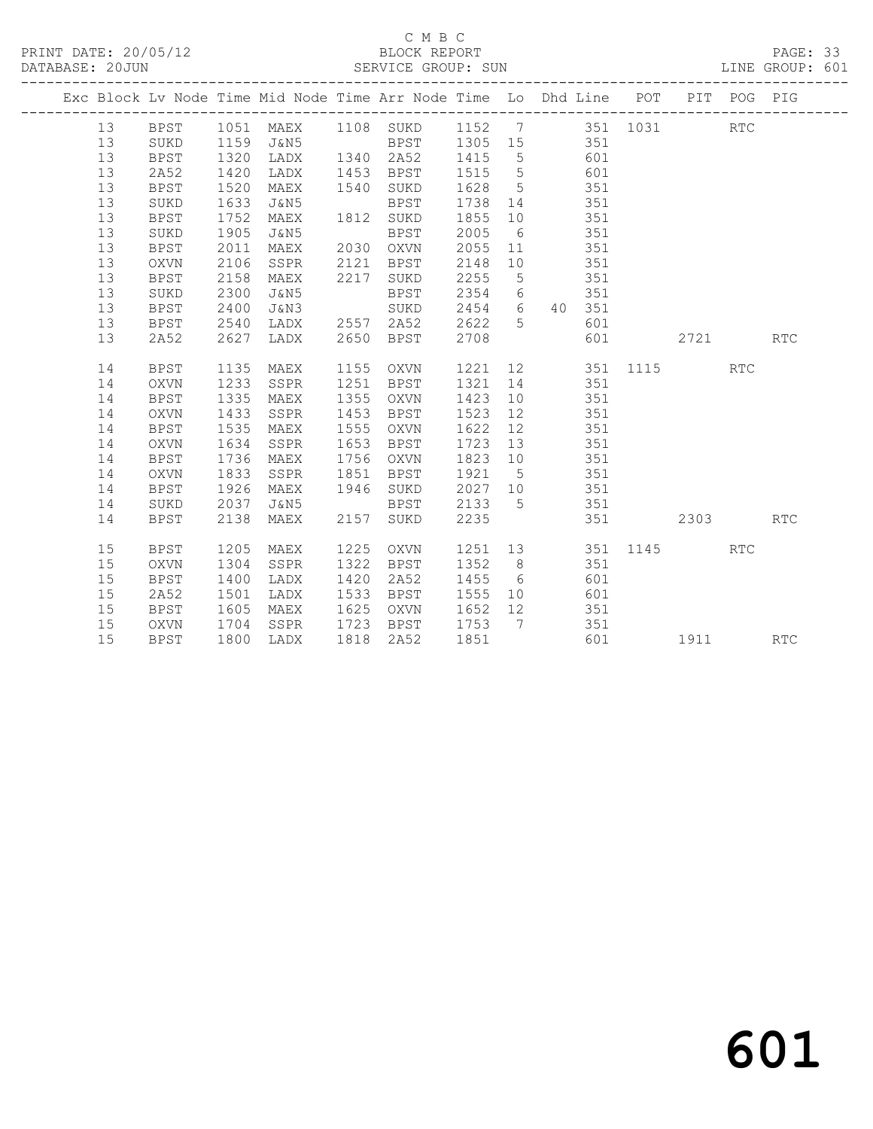#### C M B C<br>BLOCK REPORT SERVICE GROUP: SUN

|    |             |      |                     |      | Exc Block Lv Node Time Mid Node Time Arr Node Time Lo Dhd Line POT PIT POG PIG |      |                 |               |     |            |                                                                                                                                                                                                                                 |            |            |
|----|-------------|------|---------------------|------|--------------------------------------------------------------------------------|------|-----------------|---------------|-----|------------|---------------------------------------------------------------------------------------------------------------------------------------------------------------------------------------------------------------------------------|------------|------------|
| 13 | <b>BPST</b> |      | 1051 MAEX 1108 SUKD |      |                                                                                | 1152 |                 |               |     | 7 351 1031 |                                                                                                                                                                                                                                 | <b>RTC</b> |            |
| 13 | SUKD        | 1159 | J&N5                |      | <b>BPST</b>                                                                    | 1305 | 15              |               | 351 |            |                                                                                                                                                                                                                                 |            |            |
| 13 | <b>BPST</b> | 1320 | LADX                |      | 1340 2A52                                                                      | 1415 | $5\overline{)}$ |               | 601 |            |                                                                                                                                                                                                                                 |            |            |
| 13 | 2A52        | 1420 | LADX                | 1453 | BPST                                                                           | 1515 | $5\overline{)}$ |               | 601 |            |                                                                                                                                                                                                                                 |            |            |
| 13 | <b>BPST</b> | 1520 | MAEX                | 1540 | SUKD                                                                           | 1628 | $5\overline{)}$ |               | 351 |            |                                                                                                                                                                                                                                 |            |            |
| 13 | SUKD        | 1633 | J&N5                |      | BPST                                                                           | 1738 | 14              |               | 351 |            |                                                                                                                                                                                                                                 |            |            |
| 13 | BPST        | 1752 | MAEX                | 1812 | SUKD                                                                           | 1855 | 10              |               | 351 |            |                                                                                                                                                                                                                                 |            |            |
| 13 | SUKD        | 1905 | J&N5                |      | <b>BPST</b>                                                                    | 2005 | 6               |               | 351 |            |                                                                                                                                                                                                                                 |            |            |
| 13 | <b>BPST</b> | 2011 | MAEX                | 2030 | OXVN                                                                           | 2055 | 11              |               | 351 |            |                                                                                                                                                                                                                                 |            |            |
| 13 | <b>OXVN</b> | 2106 | SSPR                | 2121 | <b>BPST</b>                                                                    | 2148 | 10              |               | 351 |            |                                                                                                                                                                                                                                 |            |            |
| 13 | BPST        | 2158 | MAEX                | 2217 | SUKD                                                                           | 2255 | $5\phantom{.0}$ |               | 351 |            |                                                                                                                                                                                                                                 |            |            |
| 13 | SUKD        | 2300 | J&N5                |      | BPST                                                                           | 2354 | 6               |               | 351 |            |                                                                                                                                                                                                                                 |            |            |
| 13 | <b>BPST</b> | 2400 | J&N3                |      | SUKD                                                                           | 2454 |                 | 6 40 351      |     |            |                                                                                                                                                                                                                                 |            |            |
| 13 | <b>BPST</b> | 2540 | LADX                | 2557 | 2A52                                                                           | 2622 | 5               |               | 601 |            |                                                                                                                                                                                                                                 |            |            |
| 13 | 2A52        | 2627 | LADX                | 2650 | <b>BPST</b>                                                                    | 2708 |                 |               | 601 |            | 2721                                                                                                                                                                                                                            |            | RTC        |
|    |             |      |                     |      |                                                                                |      |                 |               |     |            |                                                                                                                                                                                                                                 |            |            |
| 14 | <b>BPST</b> | 1135 | MAEX                | 1155 | OXVN                                                                           | 1221 |                 | 12 and $\sim$ | 351 | 1115       |                                                                                                                                                                                                                                 | <b>RTC</b> |            |
| 14 | <b>OXVN</b> | 1233 | SSPR                | 1251 | <b>BPST</b>                                                                    | 1321 | 14              |               | 351 |            |                                                                                                                                                                                                                                 |            |            |
| 14 | <b>BPST</b> | 1335 | MAEX                | 1355 | OXVN                                                                           | 1423 | 10              |               | 351 |            |                                                                                                                                                                                                                                 |            |            |
| 14 | <b>OXVN</b> | 1433 | SSPR                | 1453 | BPST                                                                           | 1523 | 12              |               | 351 |            |                                                                                                                                                                                                                                 |            |            |
| 14 | <b>BPST</b> | 1535 | MAEX                | 1555 | OXVN                                                                           | 1622 | 12              |               | 351 |            |                                                                                                                                                                                                                                 |            |            |
| 14 | <b>OXVN</b> | 1634 | SSPR                | 1653 | <b>BPST</b>                                                                    | 1723 | 13              |               | 351 |            |                                                                                                                                                                                                                                 |            |            |
| 14 | <b>BPST</b> | 1736 | MAEX                | 1756 | OXVN                                                                           | 1823 | 10              |               | 351 |            |                                                                                                                                                                                                                                 |            |            |
| 14 | <b>OXVN</b> | 1833 | SSPR                | 1851 | BPST                                                                           | 1921 | $5^{\circ}$     |               | 351 |            |                                                                                                                                                                                                                                 |            |            |
| 14 | <b>BPST</b> | 1926 | MAEX                | 1946 | SUKD                                                                           | 2027 | 10              |               | 351 |            |                                                                                                                                                                                                                                 |            |            |
| 14 | SUKD        | 2037 | J&N5                |      | <b>BPST</b>                                                                    | 2133 | $5^{\circ}$     |               | 351 |            |                                                                                                                                                                                                                                 |            |            |
| 14 | <b>BPST</b> | 2138 | MAEX                | 2157 | SUKD                                                                           | 2235 |                 |               | 351 |            | 2303                                                                                                                                                                                                                            |            | <b>RTC</b> |
|    |             |      |                     |      |                                                                                |      |                 |               |     |            |                                                                                                                                                                                                                                 |            |            |
| 15 | <b>BPST</b> | 1205 | MAEX                | 1225 | OXVN                                                                           | 1251 | 13              |               | 351 | 1145       |                                                                                                                                                                                                                                 | <b>RTC</b> |            |
| 15 | <b>OXVN</b> | 1304 | SSPR                | 1322 | <b>BPST</b>                                                                    | 1352 | 8 <sup>8</sup>  |               | 351 |            |                                                                                                                                                                                                                                 |            |            |
| 15 | <b>BPST</b> | 1400 | LADX                | 1420 | 2A52                                                                           | 1455 | 6               |               | 601 |            |                                                                                                                                                                                                                                 |            |            |
| 15 | 2A52        | 1501 | LADX                | 1533 | BPST                                                                           | 1555 | 10              |               | 601 |            |                                                                                                                                                                                                                                 |            |            |
| 15 | BPST        | 1605 | MAEX                | 1625 | OXVN                                                                           | 1652 | 12              |               | 351 |            |                                                                                                                                                                                                                                 |            |            |
| 15 | <b>OXVN</b> | 1704 | SSPR                | 1723 | BPST                                                                           | 1753 | $\overline{7}$  |               | 351 |            |                                                                                                                                                                                                                                 |            |            |
| 15 | <b>BPST</b> | 1800 | LADX                | 1818 | 2A52                                                                           | 1851 |                 |               | 601 |            | 1911 — 1911 — 1911 — 1922 — 1923 — 1924 — 1925 — 1927 — 1928 — 1928 — 1928 — 1928 — 1928 — 1928 — 1928 — 1928 — 1928 — 1928 — 1928 — 1928 — 1928 — 1928 — 1928 — 1928 — 1928 — 1928 — 1928 — 1928 — 1928 — 1928 — 1928 — 1928 — |            | <b>RTC</b> |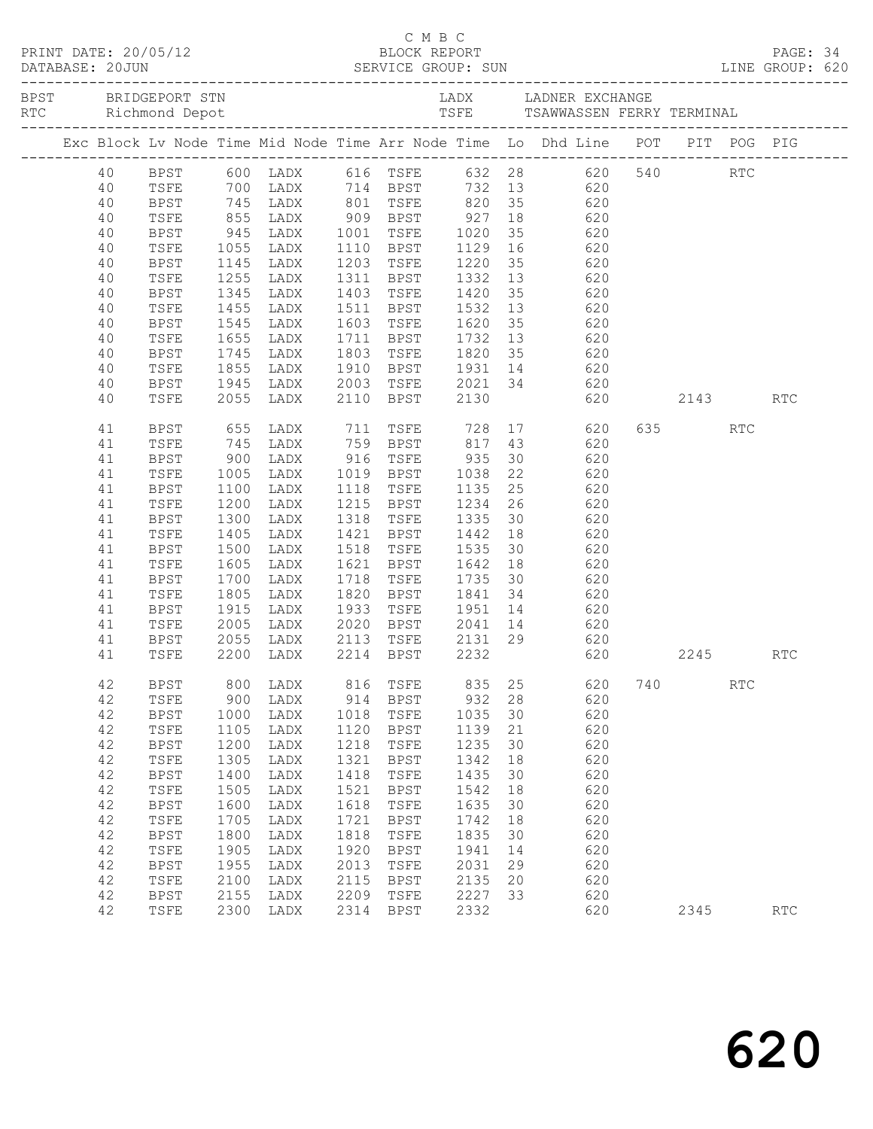|  | 40       |              |              |              |      |                                |         |    | BPST 600 LADX 616 TSFE 632 28 620 540 RTC                                                      |         |            |            |  |
|--|----------|--------------|--------------|--------------|------|--------------------------------|---------|----|------------------------------------------------------------------------------------------------|---------|------------|------------|--|
|  | 40       | TSFE         |              |              |      |                                |         |    | 700 LADX 714 BPST 732 13 620                                                                   |         |            |            |  |
|  | 40       | BPST         |              |              |      |                                |         |    |                                                                                                |         |            |            |  |
|  | 40       | TSFE         |              |              |      |                                |         |    | 745 LADX 801 TSFE 820 35 620<br>855 LADX 909 BPST 927 18 620<br>945 LADX 1001 TSFE 1020 35 620 |         |            |            |  |
|  | 40       | BPST         |              |              |      |                                |         |    |                                                                                                |         |            |            |  |
|  | 40       | TSFE         | 1055         | LADX         |      |                                |         |    | 1110 BPST 1129 16 620                                                                          |         |            |            |  |
|  | 40       | BPST         | 1145         | LADX         |      | 1203 TSFE                      | 1220 35 |    | 620                                                                                            |         |            |            |  |
|  | 40       | TSFE         | 1255<br>1345 | LADX         |      | 1311 BPST                      | 1332 13 |    | 620<br>$620$<br>$620$                                                                          |         |            |            |  |
|  | 40       | BPST         |              | LADX         |      | 1403 TSFE                      | 1420    | 35 | 620                                                                                            |         |            |            |  |
|  | 40       | TSFE         | 1455         | LADX         |      | 1511 BPST                      | 1532    | 13 |                                                                                                |         |            |            |  |
|  | 40       | BPST         | 1545         | LADX         |      | 1603 TSFE                      | 1620 35 |    | 620                                                                                            |         |            |            |  |
|  | 40       | TSFE         | 1655         | LADX         |      |                                |         |    | 1711 BPST 1732 13 620<br>1803 TSFE 1820 35 620                                                 |         |            |            |  |
|  | 40<br>40 | BPST         | 1745<br>1855 | LADX         |      |                                |         |    | 1910 BPST 1931 14 620                                                                          |         |            |            |  |
|  | 40       | TSFE         | 1945         | LADX<br>LADX |      |                                |         |    |                                                                                                |         |            |            |  |
|  | 40       | BPST<br>TSFE | 2055         | LADX         |      | 2110 BPST                      | 2130    |    | 2003 TSFE 2021 34 620<br>620                                                                   | 2143    |            | <b>RTC</b> |  |
|  |          |              |              |              |      |                                |         |    |                                                                                                |         |            |            |  |
|  | 41       | BPST         | 655          | LADX         |      | 711 TSFE                       | 728     |    | 17<br>620                                                                                      | 635 000 | <b>RTC</b> |            |  |
|  | 41       | TSFE         |              | 745 LADX     |      | 759 BPST 817 43                |         |    | 620                                                                                            |         |            |            |  |
|  | 41       | BPST         | $900$ $1005$ | LADX         |      | 916 TSFE 935<br>1019 BPST 1038 |         | 30 | 620                                                                                            |         |            |            |  |
|  | 41       | TSFE         | 1005         | LADX         |      |                                |         | 22 | 620                                                                                            |         |            |            |  |
|  | 41       | BPST         | 1100         | LADX         | 1118 | TSFE                           |         |    | 1135 25 620                                                                                    |         |            |            |  |
|  | 41       | TSFE         | 1200         | LADX         |      | 1215 BPST                      |         |    | 1234 26 620                                                                                    |         |            |            |  |
|  | 41       | <b>BPST</b>  | 1300         | LADX         |      | 1318 TSFE                      |         |    | 1335 30 620                                                                                    |         |            |            |  |
|  | 41       | TSFE         | 1405         | LADX         |      | 1421 BPST 1442 18              |         |    | 620                                                                                            |         |            |            |  |
|  | 41       | BPST         | 1500         | LADX         |      | 1518 TSFE                      | 1535 30 |    | 620                                                                                            |         |            |            |  |
|  | 41       | TSFE         | 1605         | LADX         |      | 1621 BPST                      | 1642 18 |    | 620                                                                                            |         |            |            |  |
|  | 41       | BPST         | 1700         | LADX         |      | 1718 TSFE                      | 1735 30 |    | 620                                                                                            |         |            |            |  |
|  | 41       | TSFE         | 1805         | LADX         |      | 1820 BPST                      | 1841 34 |    | 620                                                                                            |         |            |            |  |
|  | 41       | BPST         | 1915         | LADX         | 1933 | TSFE                           |         |    | $1951$ $14$ $620$                                                                              |         |            |            |  |
|  | 41       | TSFE         | 2005         | LADX         |      |                                |         |    | 2020 BPST 2041 14 620                                                                          |         |            |            |  |
|  | 41       | BPST         | 2055         | LADX         |      | 2113 TSFE                      |         |    | 2131 29 620                                                                                    |         |            |            |  |
|  | 41       | TSFE         |              | 2200 LADX    |      | 2214 BPST 2232                 |         |    | $620$                                                                                          | 2245    |            | <b>RTC</b> |  |
|  | 42       |              |              |              |      |                                |         |    | BPST 800 LADX 816 TSFE 835 25 620 740                                                          |         | RTC        |            |  |
|  | 42       | TSFE         | 900          | LADX         | 914  | BPST                           | 932     | 28 | 620                                                                                            |         |            |            |  |
|  | 42       | BPST         | 1000         | LADX         | 1018 | TSFE                           | 1035    | 30 | 620                                                                                            |         |            |            |  |
|  | 42       | TSFE         | 1105         | LADX         | 1120 | BPST                           | 1139    | 21 | 620                                                                                            |         |            |            |  |
|  | 42       | BPST         | 1200         | LADX         | 1218 | TSFE                           | 1235    | 30 | 620                                                                                            |         |            |            |  |
|  | 42       | TSFE         | 1305         | LADX         | 1321 | BPST                           | 1342    | 18 | 620                                                                                            |         |            |            |  |
|  | 42       | <b>BPST</b>  | 1400         | LADX         | 1418 | TSFE                           | 1435    | 30 | 620                                                                                            |         |            |            |  |
|  | 42       | TSFE         | 1505         | LADX         | 1521 | <b>BPST</b>                    | 1542    | 18 | 620                                                                                            |         |            |            |  |
|  | 42       | BPST         | 1600         | LADX         | 1618 | TSFE                           | 1635    | 30 | 620                                                                                            |         |            |            |  |
|  | 42       | TSFE         | 1705         | LADX         | 1721 | BPST                           | 1742    | 18 | 620                                                                                            |         |            |            |  |
|  | 42       | <b>BPST</b>  | 1800         | LADX         | 1818 | TSFE                           | 1835    | 30 | 620                                                                                            |         |            |            |  |
|  | 42       | TSFE         | 1905         | LADX         | 1920 | BPST                           | 1941    | 14 | 620                                                                                            |         |            |            |  |
|  | 42       | BPST         | 1955         | LADX         | 2013 | TSFE                           | 2031    | 29 | 620                                                                                            |         |            |            |  |
|  | 42       | TSFE         | 2100         | LADX         | 2115 | <b>BPST</b>                    | 2135    | 20 | 620                                                                                            |         |            |            |  |
|  | 42       | <b>BPST</b>  | 2155         | LADX         | 2209 | TSFE                           | 2227    | 33 | 620                                                                                            |         |            |            |  |
|  | 42       | TSFE         | 2300         | LADX         | 2314 | BPST                           | 2332    |    | 620                                                                                            | 2345    |            | <b>RTC</b> |  |

C M B C